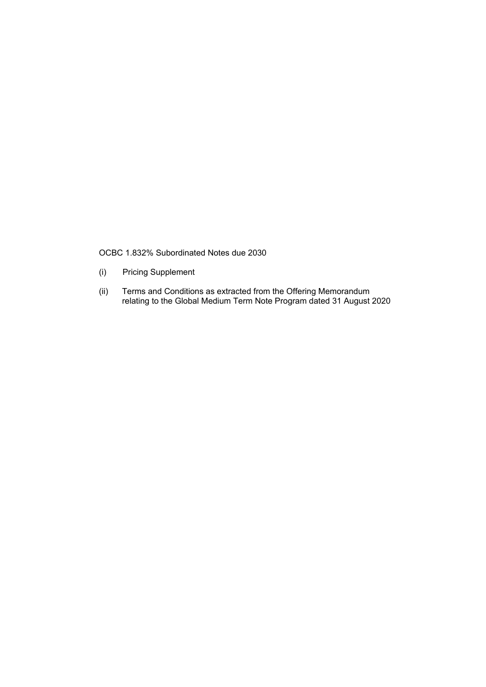OCBC 1.832% Subordinated Notes due 2030

- **Pricing Supplement**  $(i)$
- Terms and Conditions as extracted from the Offering Memorandum<br>relating to the Global Medium Term Note Program dated 31 August 2020  $(ii)$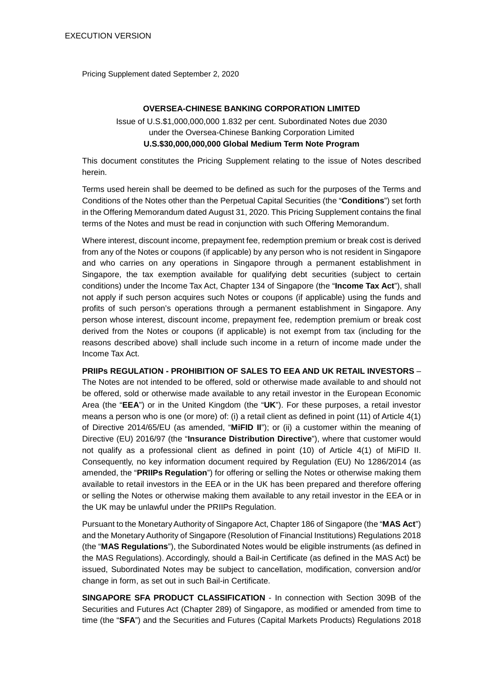Pricing Supplement dated September 2, 2020

#### **OVERSEA-CHINESE BANKING CORPORATION LIMITED**

## Issue of U.S.\$1,000,000,000 1.832 per cent. Subordinated Notes due 2030 under the Oversea-Chinese Banking Corporation Limited **U.S.\$30,000,000,000 Global Medium Term Note Program**

This document constitutes the Pricing Supplement relating to the issue of Notes described herein.

Terms used herein shall be deemed to be defined as such for the purposes of the Terms and Conditions of the Notes other than the Perpetual Capital Securities (the "**Conditions**") set forth in the Offering Memorandum dated August 31, 2020. This Pricing Supplement contains the final terms of the Notes and must be read in conjunction with such Offering Memorandum.

Where interest, discount income, prepayment fee, redemption premium or break cost is derived from any of the Notes or coupons (if applicable) by any person who is not resident in Singapore and who carries on any operations in Singapore through a permanent establishment in Singapore, the tax exemption available for qualifying debt securities (subject to certain conditions) under the Income Tax Act, Chapter 134 of Singapore (the "**Income Tax Act**"), shall not apply if such person acquires such Notes or coupons (if applicable) using the funds and profits of such person's operations through a permanent establishment in Singapore. Any person whose interest, discount income, prepayment fee, redemption premium or break cost derived from the Notes or coupons (if applicable) is not exempt from tax (including for the reasons described above) shall include such income in a return of income made under the Income Tax Act.

**PRIIPs REGULATION - PROHIBITION OF SALES TO EEA AND UK RETAIL INVESTORS** – The Notes are not intended to be offered, sold or otherwise made available to and should not be offered, sold or otherwise made available to any retail investor in the European Economic Area (the "**EEA**") or in the United Kingdom (the "**UK**"). For these purposes, a retail investor means a person who is one (or more) of: (i) a retail client as defined in point (11) of Article 4(1) of Directive 2014/65/EU (as amended, "**MiFID II**"); or (ii) a customer within the meaning of Directive (EU) 2016/97 (the "**Insurance Distribution Directive**"), where that customer would not qualify as a professional client as defined in point (10) of Article 4(1) of MiFID II. Consequently, no key information document required by Regulation (EU) No 1286/2014 (as amended, the "**PRIIPs Regulation**") for offering or selling the Notes or otherwise making them available to retail investors in the EEA or in the UK has been prepared and therefore offering or selling the Notes or otherwise making them available to any retail investor in the EEA or in the UK may be unlawful under the PRIIPs Regulation.

Pursuant to the Monetary Authority of Singapore Act, Chapter 186 of Singapore (the "**MAS Act**") and the Monetary Authority of Singapore (Resolution of Financial Institutions) Regulations 2018 (the "**MAS Regulations**"), the Subordinated Notes would be eligible instruments (as defined in the MAS Regulations). Accordingly, should a Bail-in Certificate (as defined in the MAS Act) be issued, Subordinated Notes may be subject to cancellation, modification, conversion and/or change in form, as set out in such Bail-in Certificate.

**SINGAPORE SFA PRODUCT CLASSIFICATION** - In connection with Section 309B of the Securities and Futures Act (Chapter 289) of Singapore, as modified or amended from time to time (the "**SFA**") and the Securities and Futures (Capital Markets Products) Regulations 2018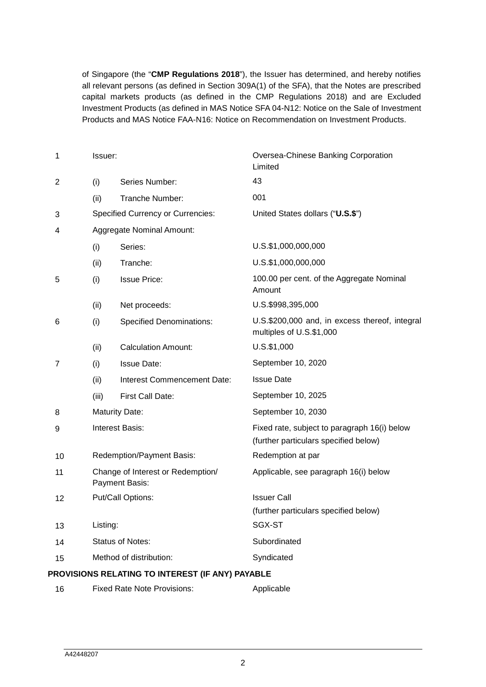of Singapore (the "**CMP Regulations 2018**"), the Issuer has determined, and hereby notifies all relevant persons (as defined in Section 309A(1) of the SFA), that the Notes are prescribed capital markets products (as defined in the CMP Regulations 2018) and are Excluded Investment Products (as defined in MAS Notice SFA 04-N12: Notice on the Sale of Investment Products and MAS Notice FAA-N16: Notice on Recommendation on Investment Products.

| 1              | Issuer:                                             |                                                  | Oversea-Chinese Banking Corporation<br>Limited                                        |
|----------------|-----------------------------------------------------|--------------------------------------------------|---------------------------------------------------------------------------------------|
| $\overline{c}$ | (i)                                                 | Series Number:                                   | 43                                                                                    |
|                | (ii)                                                | Tranche Number:                                  | 001                                                                                   |
| 3              | <b>Specified Currency or Currencies:</b>            |                                                  | United States dollars ("U.S.\$")                                                      |
| 4              |                                                     | Aggregate Nominal Amount:                        |                                                                                       |
|                | (i)                                                 | Series:                                          | U.S.\$1,000,000,000                                                                   |
|                | (ii)                                                | Tranche:                                         | U.S.\$1,000,000,000                                                                   |
| 5              | (i)                                                 | <b>Issue Price:</b>                              | 100.00 per cent. of the Aggregate Nominal<br>Amount                                   |
|                | (ii)                                                | Net proceeds:                                    | U.S.\$998,395,000                                                                     |
| 6              | (i)                                                 | <b>Specified Denominations:</b>                  | U.S.\$200,000 and, in excess thereof, integral<br>multiples of U.S.\$1,000            |
|                | (ii)                                                | <b>Calculation Amount:</b>                       | U.S.\$1,000                                                                           |
| 7              | (i)                                                 | <b>Issue Date:</b>                               | September 10, 2020                                                                    |
|                | (ii)                                                | Interest Commencement Date:                      | <b>Issue Date</b>                                                                     |
|                | (iii)                                               | First Call Date:                                 | September 10, 2025                                                                    |
| 8              | <b>Maturity Date:</b>                               |                                                  | September 10, 2030                                                                    |
| 9              | <b>Interest Basis:</b>                              |                                                  | Fixed rate, subject to paragraph 16(i) below<br>(further particulars specified below) |
| 10             |                                                     | Redemption/Payment Basis:                        | Redemption at par                                                                     |
| 11             | Change of Interest or Redemption/<br>Payment Basis: |                                                  | Applicable, see paragraph 16(i) below                                                 |
| 12             | Put/Call Options:                                   |                                                  | <b>Issuer Call</b><br>(further particulars specified below)                           |
| 13             | Listing:                                            |                                                  | SGX-ST                                                                                |
| 14             | <b>Status of Notes:</b>                             |                                                  | Subordinated                                                                          |
| 15             | Method of distribution:                             |                                                  | Syndicated                                                                            |
|                |                                                     | PROVISIONS RELATING TO INTEREST (IF ANY) PAYABLE |                                                                                       |
| 16             |                                                     | <b>Fixed Rate Note Provisions:</b>               | Applicable                                                                            |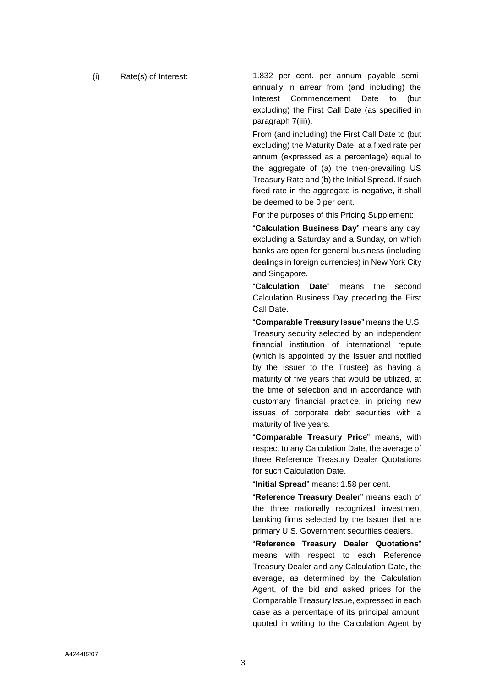(i) Rate(s) of Interest: 1.832 per cent. per annum payable semiannually in arrear from (and including) the Interest Commencement Date to (but excluding) the First Call Date (as specified in paragraph 7(iii)).

> From (and including) the First Call Date to (but excluding) the Maturity Date, at a fixed rate per annum (expressed as a percentage) equal to the aggregate of (a) the then-prevailing US Treasury Rate and (b) the Initial Spread. If such fixed rate in the aggregate is negative, it shall be deemed to be 0 per cent.

For the purposes of this Pricing Supplement:

"**Calculation Business Day**" means any day, excluding a Saturday and a Sunday, on which banks are open for general business (including dealings in foreign currencies) in New York City and Singapore.

"**Calculation Date**" means the second Calculation Business Day preceding the First Call Date.

"**Comparable Treasury Issue**" means the U.S. Treasury security selected by an independent financial institution of international repute (which is appointed by the Issuer and notified by the Issuer to the Trustee) as having a maturity of five years that would be utilized, at the time of selection and in accordance with customary financial practice, in pricing new issues of corporate debt securities with a maturity of five years.

"**Comparable Treasury Price**" means, with respect to any Calculation Date, the average of three Reference Treasury Dealer Quotations for such Calculation Date.

"**Initial Spread**" means: 1.58 per cent.

"**Reference Treasury Dealer**" means each of the three nationally recognized investment banking firms selected by the Issuer that are primary U.S. Government securities dealers.

"**Reference Treasury Dealer Quotations**" means with respect to each Reference Treasury Dealer and any Calculation Date, the average, as determined by the Calculation Agent, of the bid and asked prices for the Comparable Treasury Issue, expressed in each case as a percentage of its principal amount, quoted in writing to the Calculation Agent by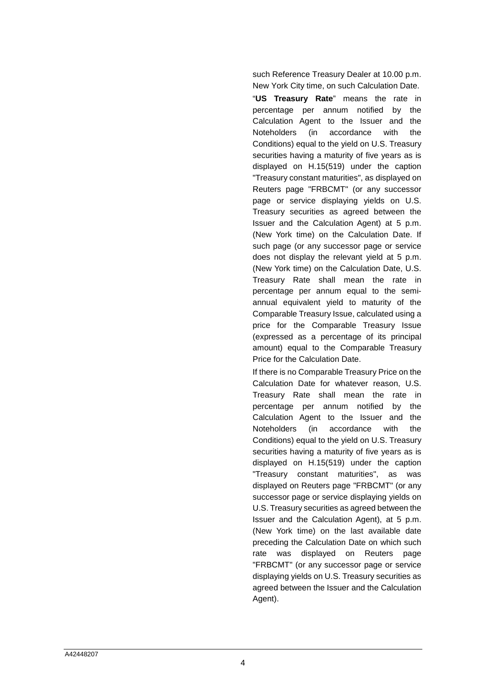such Reference Treasury Dealer at 10.00 p.m.

New York City time, on such Calculation Date. "**US Treasury Rate**" means the rate in percentage per annum notified by the Calculation Agent to the Issuer and the Noteholders (in accordance with the Conditions) equal to the yield on U.S. Treasury securities having a maturity of five years as is displayed on H.15(519) under the caption "Treasury constant maturities", as displayed on Reuters page "FRBCMT" (or any successor page or service displaying yields on U.S. Treasury securities as agreed between the Issuer and the Calculation Agent) at 5 p.m. (New York time) on the Calculation Date. If such page (or any successor page or service does not display the relevant yield at 5 p.m. (New York time) on the Calculation Date, U.S. Treasury Rate shall mean the rate in percentage per annum equal to the semiannual equivalent yield to maturity of the Comparable Treasury Issue, calculated using a price for the Comparable Treasury Issue (expressed as a percentage of its principal amount) equal to the Comparable Treasury Price for the Calculation Date.

If there is no Comparable Treasury Price on the Calculation Date for whatever reason, U.S. Treasury Rate shall mean the rate in percentage per annum notified by the Calculation Agent to the Issuer and the Noteholders (in accordance with the Conditions) equal to the yield on U.S. Treasury securities having a maturity of five years as is displayed on H.15(519) under the caption "Treasury constant maturities", as was displayed on Reuters page "FRBCMT" (or any successor page or service displaying yields on U.S. Treasury securities as agreed between the Issuer and the Calculation Agent), at 5 p.m. (New York time) on the last available date preceding the Calculation Date on which such rate was displayed on Reuters page "FRBCMT" (or any successor page or service displaying yields on U.S. Treasury securities as agreed between the Issuer and the Calculation Agent).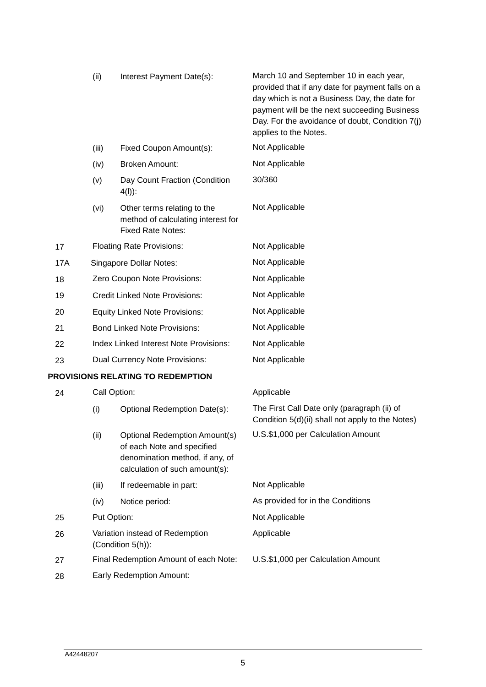|     | (ii)                                                 | Interest Payment Date(s):                                                                                                               | March 10 and September 10 in each year,<br>provided that if any date for payment falls on a<br>day which is not a Business Day, the date for<br>payment will be the next succeeding Business<br>Day. For the avoidance of doubt, Condition 7(j)<br>applies to the Notes. |
|-----|------------------------------------------------------|-----------------------------------------------------------------------------------------------------------------------------------------|--------------------------------------------------------------------------------------------------------------------------------------------------------------------------------------------------------------------------------------------------------------------------|
|     | (iii)                                                | Fixed Coupon Amount(s):                                                                                                                 | Not Applicable                                                                                                                                                                                                                                                           |
|     | (iv)                                                 | <b>Broken Amount:</b>                                                                                                                   | Not Applicable                                                                                                                                                                                                                                                           |
|     | (v)                                                  | Day Count Fraction (Condition<br>$4(I))$ :                                                                                              | 30/360                                                                                                                                                                                                                                                                   |
|     | (vi)                                                 | Other terms relating to the<br>method of calculating interest for<br><b>Fixed Rate Notes:</b>                                           | Not Applicable                                                                                                                                                                                                                                                           |
| 17  | <b>Floating Rate Provisions:</b>                     |                                                                                                                                         | Not Applicable                                                                                                                                                                                                                                                           |
| 17A | Singapore Dollar Notes:                              |                                                                                                                                         | Not Applicable                                                                                                                                                                                                                                                           |
| 18  | Zero Coupon Note Provisions:                         |                                                                                                                                         | Not Applicable                                                                                                                                                                                                                                                           |
| 19  | <b>Credit Linked Note Provisions:</b>                |                                                                                                                                         | Not Applicable                                                                                                                                                                                                                                                           |
| 20  | <b>Equity Linked Note Provisions:</b>                |                                                                                                                                         | Not Applicable                                                                                                                                                                                                                                                           |
| 21  | <b>Bond Linked Note Provisions:</b>                  |                                                                                                                                         | Not Applicable                                                                                                                                                                                                                                                           |
| 22  | Index Linked Interest Note Provisions:               |                                                                                                                                         | Not Applicable                                                                                                                                                                                                                                                           |
| 23  | Dual Currency Note Provisions:                       |                                                                                                                                         | Not Applicable                                                                                                                                                                                                                                                           |
|     |                                                      | PROVISIONS RELATING TO REDEMPTION                                                                                                       |                                                                                                                                                                                                                                                                          |
| 24  |                                                      | Call Option:                                                                                                                            | Applicable                                                                                                                                                                                                                                                               |
|     | (i)                                                  | Optional Redemption Date(s):                                                                                                            | The First Call Date only (paragraph (ii) of<br>Condition 5(d)(ii) shall not apply to the Notes)                                                                                                                                                                          |
|     | (ii)                                                 | <b>Optional Redemption Amount(s)</b><br>of each Note and specified<br>denomination method, if any, of<br>calculation of such amount(s): | U.S.\$1,000 per Calculation Amount                                                                                                                                                                                                                                       |
|     | (iii)                                                | If redeemable in part:                                                                                                                  | Not Applicable                                                                                                                                                                                                                                                           |
|     | (iv)                                                 | Notice period:                                                                                                                          | As provided for in the Conditions                                                                                                                                                                                                                                        |
| 25  | Put Option:                                          |                                                                                                                                         | Not Applicable                                                                                                                                                                                                                                                           |
| 26  | Variation instead of Redemption<br>(Condition 5(h)): |                                                                                                                                         | Applicable                                                                                                                                                                                                                                                               |
| 27  | Final Redemption Amount of each Note:                |                                                                                                                                         | U.S.\$1,000 per Calculation Amount                                                                                                                                                                                                                                       |
| 28  | <b>Early Redemption Amount:</b>                      |                                                                                                                                         |                                                                                                                                                                                                                                                                          |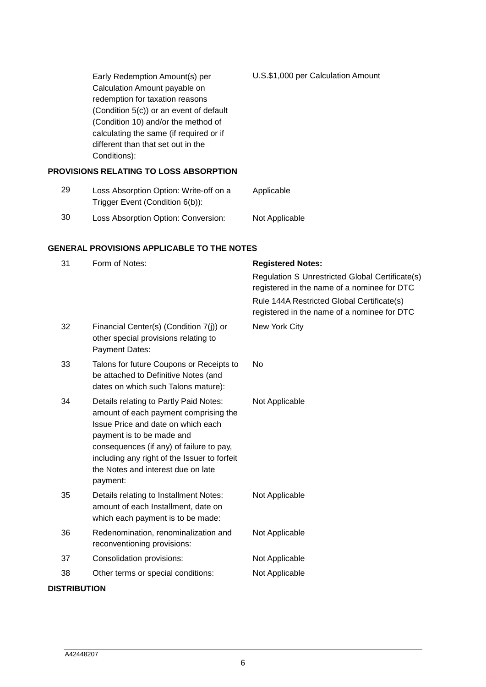Early Redemption Amount(s) per Calculation Amount payable on redemption for taxation reasons (Condition 5(c)) or an event of default (Condition 10) and/or the method of calculating the same (if required or if different than that set out in the Conditions): U.S.\$1,000 per Calculation Amount **PROVISIONS RELATING TO LOSS ABSORPTION**

#### 29 Loss Absorption Option: Write-off on a Trigger Event (Condition 6(b)): Applicable 30 Loss Absorption Option: Conversion: Not Applicable

## **GENERAL PROVISIONS APPLICABLE TO THE NOTES**

| 31                  | Form of Notes:                                                                                                                                                                                                                                                                                   | <b>Registered Notes:</b>                                                                       |  |
|---------------------|--------------------------------------------------------------------------------------------------------------------------------------------------------------------------------------------------------------------------------------------------------------------------------------------------|------------------------------------------------------------------------------------------------|--|
|                     |                                                                                                                                                                                                                                                                                                  | Regulation S Unrestricted Global Certificate(s)<br>registered in the name of a nominee for DTC |  |
|                     |                                                                                                                                                                                                                                                                                                  | Rule 144A Restricted Global Certificate(s)<br>registered in the name of a nominee for DTC      |  |
| 32                  | Financial Center(s) (Condition 7(j)) or<br>other special provisions relating to<br>Payment Dates:                                                                                                                                                                                                | New York City                                                                                  |  |
| 33                  | Talons for future Coupons or Receipts to<br>be attached to Definitive Notes (and<br>dates on which such Talons mature):                                                                                                                                                                          | No                                                                                             |  |
| 34                  | Details relating to Partly Paid Notes:<br>amount of each payment comprising the<br>Issue Price and date on which each<br>payment is to be made and<br>consequences (if any) of failure to pay,<br>including any right of the Issuer to forfeit<br>the Notes and interest due on late<br>payment: | Not Applicable                                                                                 |  |
| 35                  | Details relating to Installment Notes:<br>amount of each Installment, date on<br>which each payment is to be made:                                                                                                                                                                               | Not Applicable                                                                                 |  |
| 36                  | Redenomination, renominalization and<br>reconventioning provisions:                                                                                                                                                                                                                              | Not Applicable                                                                                 |  |
| 37                  | Consolidation provisions:                                                                                                                                                                                                                                                                        | Not Applicable                                                                                 |  |
| 38                  | Other terms or special conditions:                                                                                                                                                                                                                                                               | Not Applicable                                                                                 |  |
| <b>DISTRIBUTION</b> |                                                                                                                                                                                                                                                                                                  |                                                                                                |  |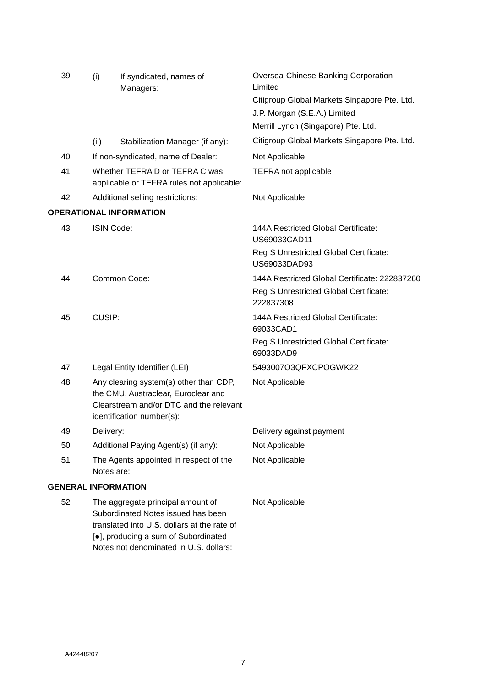| 39 | (i)                                                                                                                                                            | If syndicated, names of<br>Managers:                                        | Oversea-Chinese Banking Corporation<br>Limited         |
|----|----------------------------------------------------------------------------------------------------------------------------------------------------------------|-----------------------------------------------------------------------------|--------------------------------------------------------|
|    |                                                                                                                                                                |                                                                             | Citigroup Global Markets Singapore Pte. Ltd.           |
|    |                                                                                                                                                                |                                                                             | J.P. Morgan (S.E.A.) Limited                           |
|    |                                                                                                                                                                |                                                                             | Merrill Lynch (Singapore) Pte. Ltd.                    |
|    | (ii)                                                                                                                                                           | Stabilization Manager (if any):                                             | Citigroup Global Markets Singapore Pte. Ltd.           |
| 40 |                                                                                                                                                                | If non-syndicated, name of Dealer:                                          | Not Applicable                                         |
| 41 |                                                                                                                                                                | Whether TEFRA D or TEFRA C was<br>applicable or TEFRA rules not applicable: | <b>TEFRA</b> not applicable                            |
| 42 |                                                                                                                                                                | Additional selling restrictions:                                            | Not Applicable                                         |
|    |                                                                                                                                                                | <b>OPERATIONAL INFORMATION</b>                                              |                                                        |
| 43 | ISIN Code:                                                                                                                                                     |                                                                             | 144A Restricted Global Certificate:<br>US69033CAD11    |
|    |                                                                                                                                                                |                                                                             | Reg S Unrestricted Global Certificate:<br>US69033DAD93 |
| 44 |                                                                                                                                                                | Common Code:                                                                | 144A Restricted Global Certificate: 222837260          |
|    |                                                                                                                                                                |                                                                             | Reg S Unrestricted Global Certificate:<br>222837308    |
| 45 | CUSIP:                                                                                                                                                         |                                                                             | 144A Restricted Global Certificate:<br>69033CAD1       |
|    |                                                                                                                                                                |                                                                             | Reg S Unrestricted Global Certificate:<br>69033DAD9    |
| 47 |                                                                                                                                                                | Legal Entity Identifier (LEI)                                               | 5493007O3QFXCPOGWK22                                   |
| 48 | Any clearing system(s) other than CDP,<br>the CMU, Austraclear, Euroclear and<br>Clearstream and/or DTC and the relevant<br>identification number(s):          |                                                                             | Not Applicable                                         |
| 49 | Delivery:                                                                                                                                                      |                                                                             | Delivery against payment                               |
| 50 |                                                                                                                                                                | Additional Paying Agent(s) (if any):                                        | Not Applicable                                         |
| 51 | The Agents appointed in respect of the<br>Notes are:                                                                                                           |                                                                             | Not Applicable                                         |
|    | <b>GENERAL INFORMATION</b>                                                                                                                                     |                                                                             |                                                        |
| 52 | The aggregate principal amount of<br>Subordinated Notes issued has been<br>translated into U.S. dollars at the rate of<br>[•], producing a sum of Subordinated |                                                                             | Not Applicable                                         |

Notes not denominated in U.S. dollars: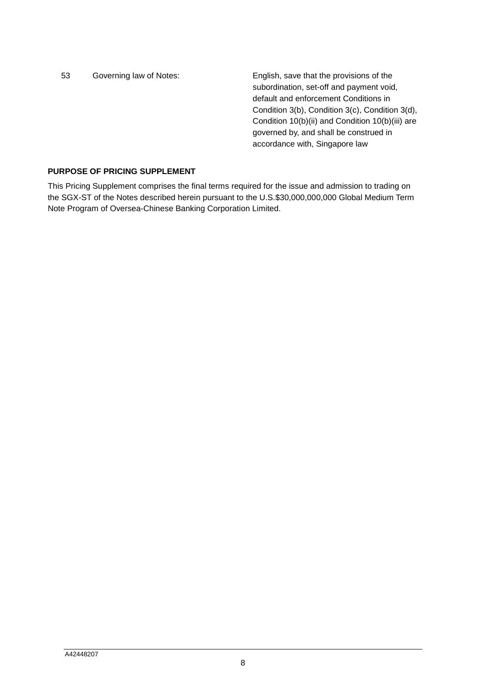53 Governing law of Notes: English, save that the provisions of the subordination, set-off and payment void, default and enforcement Conditions in Condition 3(b), Condition 3(c), Condition 3(d), Condition 10(b)(ii) and Condition 10(b)(iii) are governed by, and shall be construed in accordance with, Singapore law

## **PURPOSE OF PRICING SUPPLEMENT**

This Pricing Supplement comprises the final terms required for the issue and admission to trading on the SGX-ST of the Notes described herein pursuant to the U.S.\$30,000,000,000 Global Medium Term Note Program of Oversea-Chinese Banking Corporation Limited.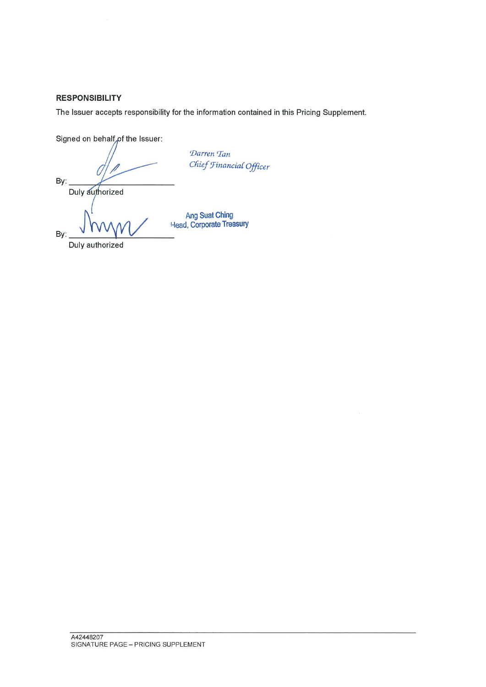# **RESPONSIBILITY**

The Issuer accepts responsibility for the information contained in this Pricing Supplement.

Signed on behalf of the Issuer:

By:

Darren Tan Chief Financial Officer

Duly authorized

By:

Duly authorized

Ang Suat Ching<br>Head, Corporate Treasury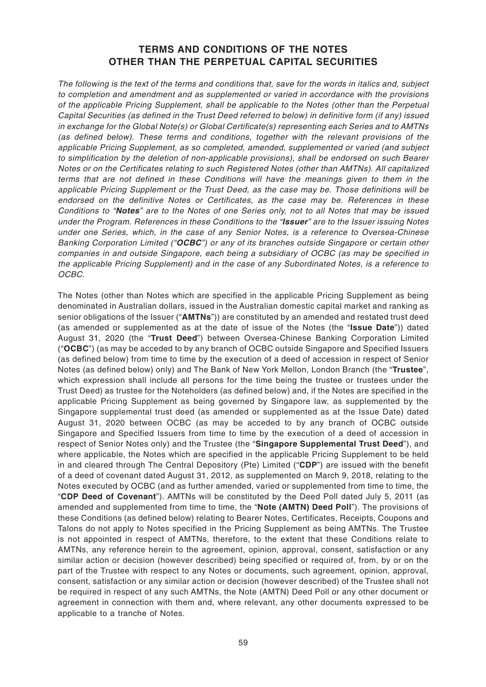# **TERMS AND CONDITIONS OF THE NOTES OTHER THAN THE PERPETUAL CAPITAL SECURITIES**

The following is the text of the terms and conditions that, save for the words in italics and, subject to completion and amendment and as supplemented or varied in accordance with the provisions of the applicable Pricing Supplement, shall be applicable to the Notes (other than the Perpetual Capital Securities (as defined in the Trust Deed referred to below) in definitive form (if any) issued in exchange for the Global Note(s) or Global Certificate(s) representing each Series and to AMTNs (as defined below). These terms and conditions, together with the relevant provisions of the applicable Pricing Supplement, as so completed, amended, supplemented or varied (and subject to simplification by the deletion of non-applicable provisions), shall be endorsed on such Bearer Notes or on the Certificates relating to such Registered Notes (other than AMTNs). All capitalized terms that are not defined in these Conditions will have the meanings given to them in the applicable Pricing Supplement or the Trust Deed, as the case may be. Those definitions will be endorsed on the definitive Notes or Certificates, as the case may be. References in these Conditions to "**Notes**" are to the Notes of one Series only, not to all Notes that may be issued under the Program. References in these Conditions to the "**Issuer**" are to the Issuer issuing Notes under one Series, which, in the case of any Senior Notes, is a reference to Oversea-Chinese Banking Corporation Limited ("**OCBC**") or any of its branches outside Singapore or certain other companies in and outside Singapore, each being a subsidiary of OCBC (as may be specified in the applicable Pricing Supplement) and in the case of any Subordinated Notes, is a reference to OCBC.

The Notes (other than Notes which are specified in the applicable Pricing Supplement as being denominated in Australian dollars, issued in the Australian domestic capital market and ranking as senior obligations of the Issuer ("**AMTNs**")) are constituted by an amended and restated trust deed (as amended or supplemented as at the date of issue of the Notes (the "**Issue Date**")) dated August 31, 2020 (the "**Trust Deed**") between Oversea-Chinese Banking Corporation Limited ("**OCBC**") (as may be acceded to by any branch of OCBC outside Singapore and Specified Issuers (as defined below) from time to time by the execution of a deed of accession in respect of Senior Notes (as defined below) only) and The Bank of New York Mellon, London Branch (the "**Trustee**", which expression shall include all persons for the time being the trustee or trustees under the Trust Deed) as trustee for the Noteholders (as defined below) and, if the Notes are specified in the applicable Pricing Supplement as being governed by Singapore law, as supplemented by the Singapore supplemental trust deed (as amended or supplemented as at the Issue Date) dated August 31, 2020 between OCBC (as may be acceded to by any branch of OCBC outside Singapore and Specified Issuers from time to time by the execution of a deed of accession in respect of Senior Notes only) and the Trustee (the "**Singapore Supplemental Trust Deed**"), and where applicable, the Notes which are specified in the applicable Pricing Supplement to be held in and cleared through The Central Depository (Pte) Limited ("**CDP**") are issued with the benefit of a deed of covenant dated August 31, 2012, as supplemented on March 9, 2018, relating to the Notes executed by OCBC (and as further amended, varied or supplemented from time to time, the "**CDP Deed of Covenant**"). AMTNs will be constituted by the Deed Poll dated July 5, 2011 (as amended and supplemented from time to time, the "**Note (AMTN) Deed Poll**"). The provisions of these Conditions (as defined below) relating to Bearer Notes, Certificates, Receipts, Coupons and Talons do not apply to Notes specified in the Pricing Supplement as being AMTNs. The Trustee is not appointed in respect of AMTNs, therefore, to the extent that these Conditions relate to AMTNs, any reference herein to the agreement, opinion, approval, consent, satisfaction or any similar action or decision (however described) being specified or required of, from, by or on the part of the Trustee with respect to any Notes or documents, such agreement, opinion, approval, consent, satisfaction or any similar action or decision (however described) of the Trustee shall not be required in respect of any such AMTNs, the Note (AMTN) Deed Poll or any other document or agreement in connection with them and, where relevant, any other documents expressed to be applicable to a tranche of Notes.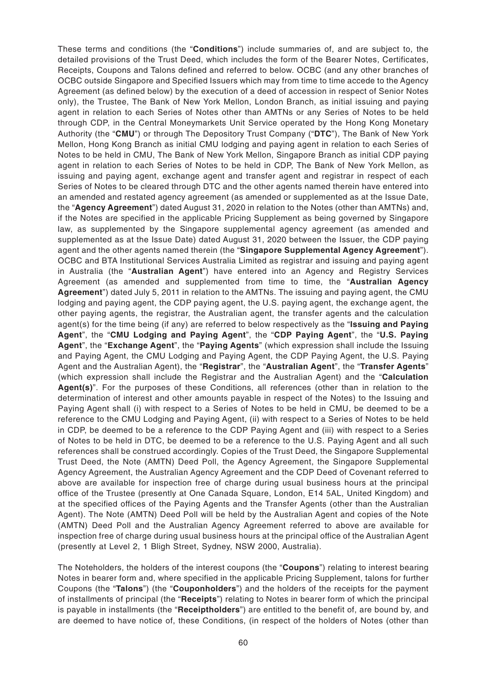These terms and conditions (the "**Conditions**") include summaries of, and are subject to, the detailed provisions of the Trust Deed, which includes the form of the Bearer Notes, Certificates, Receipts, Coupons and Talons defined and referred to below. OCBC (and any other branches of OCBC outside Singapore and Specified Issuers which may from time to time accede to the Agency Agreement (as defined below) by the execution of a deed of accession in respect of Senior Notes only), the Trustee, The Bank of New York Mellon, London Branch, as initial issuing and paying agent in relation to each Series of Notes other than AMTNs or any Series of Notes to be held through CDP, in the Central Moneymarkets Unit Service operated by the Hong Kong Monetary Authority (the "**CMU**") or through The Depository Trust Company ("**DTC**"), The Bank of New York Mellon, Hong Kong Branch as initial CMU lodging and paying agent in relation to each Series of Notes to be held in CMU, The Bank of New York Mellon, Singapore Branch as initial CDP paying agent in relation to each Series of Notes to be held in CDP, The Bank of New York Mellon, as issuing and paying agent, exchange agent and transfer agent and registrar in respect of each Series of Notes to be cleared through DTC and the other agents named therein have entered into an amended and restated agency agreement (as amended or supplemented as at the Issue Date, the "**Agency Agreement**") dated August 31, 2020 in relation to the Notes (other than AMTNs) and, if the Notes are specified in the applicable Pricing Supplement as being governed by Singapore law, as supplemented by the Singapore supplemental agency agreement (as amended and supplemented as at the Issue Date) dated August 31, 2020 between the Issuer, the CDP paying agent and the other agents named therein (the "**Singapore Supplemental Agency Agreement**"). OCBC and BTA Institutional Services Australia Limited as registrar and issuing and paying agent in Australia (the "**Australian Agent**") have entered into an Agency and Registry Services Agreement (as amended and supplemented from time to time, the "**Australian Agency Agreement**") dated July 5, 2011 in relation to the AMTNs. The issuing and paying agent, the CMU lodging and paying agent, the CDP paying agent, the U.S. paying agent, the exchange agent, the other paying agents, the registrar, the Australian agent, the transfer agents and the calculation agent(s) for the time being (if any) are referred to below respectively as the "**Issuing and Paying Agent**", the "**CMU Lodging and Paying Agent**", the "**CDP Paying Agent**", the "**U.S. Paying Agent**", the "**Exchange Agent**", the "**Paying Agents**" (which expression shall include the Issuing and Paying Agent, the CMU Lodging and Paying Agent, the CDP Paying Agent, the U.S. Paying Agent and the Australian Agent), the "**Registrar**", the "**Australian Agent**", the "**Transfer Agents**" (which expression shall include the Registrar and the Australian Agent) and the "**Calculation Agent(s)**". For the purposes of these Conditions, all references (other than in relation to the determination of interest and other amounts payable in respect of the Notes) to the Issuing and Paying Agent shall (i) with respect to a Series of Notes to be held in CMU, be deemed to be a reference to the CMU Lodging and Paying Agent, (ii) with respect to a Series of Notes to be held in CDP, be deemed to be a reference to the CDP Paying Agent and (iii) with respect to a Series of Notes to be held in DTC, be deemed to be a reference to the U.S. Paying Agent and all such references shall be construed accordingly. Copies of the Trust Deed, the Singapore Supplemental Trust Deed, the Note (AMTN) Deed Poll, the Agency Agreement, the Singapore Supplemental Agency Agreement, the Australian Agency Agreement and the CDP Deed of Covenant referred to above are available for inspection free of charge during usual business hours at the principal office of the Trustee (presently at One Canada Square, London, E14 5AL, United Kingdom) and at the specified offices of the Paying Agents and the Transfer Agents (other than the Australian Agent). The Note (AMTN) Deed Poll will be held by the Australian Agent and copies of the Note (AMTN) Deed Poll and the Australian Agency Agreement referred to above are available for inspection free of charge during usual business hours at the principal office of the Australian Agent (presently at Level 2, 1 Bligh Street, Sydney, NSW 2000, Australia).

The Noteholders, the holders of the interest coupons (the "**Coupons**") relating to interest bearing Notes in bearer form and, where specified in the applicable Pricing Supplement, talons for further Coupons (the "**Talons**") (the "**Couponholders**") and the holders of the receipts for the payment of installments of principal (the "**Receipts**") relating to Notes in bearer form of which the principal is payable in installments (the "**Receiptholders**") are entitled to the benefit of, are bound by, and are deemed to have notice of, these Conditions, (in respect of the holders of Notes (other than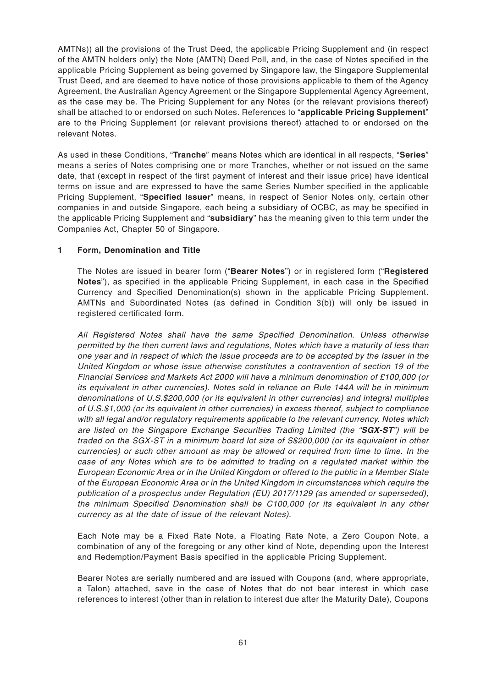AMTNs)) all the provisions of the Trust Deed, the applicable Pricing Supplement and (in respect of the AMTN holders only) the Note (AMTN) Deed Poll, and, in the case of Notes specified in the applicable Pricing Supplement as being governed by Singapore law, the Singapore Supplemental Trust Deed, and are deemed to have notice of those provisions applicable to them of the Agency Agreement, the Australian Agency Agreement or the Singapore Supplemental Agency Agreement, as the case may be. The Pricing Supplement for any Notes (or the relevant provisions thereof) shall be attached to or endorsed on such Notes. References to "**applicable Pricing Supplement**" are to the Pricing Supplement (or relevant provisions thereof) attached to or endorsed on the relevant Notes.

As used in these Conditions, "**Tranche**" means Notes which are identical in all respects, "**Series**" means a series of Notes comprising one or more Tranches, whether or not issued on the same date, that (except in respect of the first payment of interest and their issue price) have identical terms on issue and are expressed to have the same Series Number specified in the applicable Pricing Supplement, "**Specified Issuer**" means, in respect of Senior Notes only, certain other companies in and outside Singapore, each being a subsidiary of OCBC, as may be specified in the applicable Pricing Supplement and "**subsidiary**" has the meaning given to this term under the Companies Act, Chapter 50 of Singapore.

## **1 Form, Denomination and Title**

The Notes are issued in bearer form ("**Bearer Notes**") or in registered form ("**Registered Notes**"), as specified in the applicable Pricing Supplement, in each case in the Specified Currency and Specified Denomination(s) shown in the applicable Pricing Supplement. AMTNs and Subordinated Notes (as defined in Condition 3(b)) will only be issued in registered certificated form.

All Registered Notes shall have the same Specified Denomination. Unless otherwise permitted by the then current laws and regulations, Notes which have a maturity of less than one year and in respect of which the issue proceeds are to be accepted by the Issuer in the United Kingdom or whose issue otherwise constitutes a contravention of section 19 of the Financial Services and Markets Act 2000 will have a minimum denomination of £100,000 (or its equivalent in other currencies). Notes sold in reliance on Rule 144A will be in minimum denominations of U.S.\$200,000 (or its equivalent in other currencies) and integral multiples of U.S.\$1,000 (or its equivalent in other currencies) in excess thereof, subject to compliance with all legal and/or regulatory requirements applicable to the relevant currency. Notes which are listed on the Singapore Exchange Securities Trading Limited (the "**SGX-ST**") will be traded on the SGX-ST in a minimum board lot size of S\$200,000 (or its equivalent in other currencies) or such other amount as may be allowed or required from time to time. In the case of any Notes which are to be admitted to trading on a regulated market within the European Economic Area or in the United Kingdom or offered to the public in a Member State of the European Economic Area or in the United Kingdom in circumstances which require the publication of a prospectus under Regulation (EU) 2017/1129 (as amended or superseded), the minimum Specified Denomination shall be  $\epsilon$ 100,000 (or its equivalent in any other currency as at the date of issue of the relevant Notes).

Each Note may be a Fixed Rate Note, a Floating Rate Note, a Zero Coupon Note, a combination of any of the foregoing or any other kind of Note, depending upon the Interest and Redemption/Payment Basis specified in the applicable Pricing Supplement.

Bearer Notes are serially numbered and are issued with Coupons (and, where appropriate, a Talon) attached, save in the case of Notes that do not bear interest in which case references to interest (other than in relation to interest due after the Maturity Date), Coupons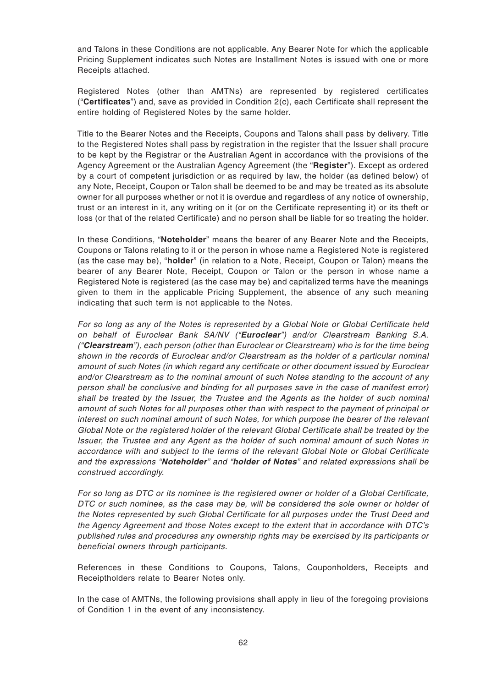and Talons in these Conditions are not applicable. Any Bearer Note for which the applicable Pricing Supplement indicates such Notes are Installment Notes is issued with one or more Receipts attached.

Registered Notes (other than AMTNs) are represented by registered certificates ("**Certificates**") and, save as provided in Condition 2(c), each Certificate shall represent the entire holding of Registered Notes by the same holder.

Title to the Bearer Notes and the Receipts, Coupons and Talons shall pass by delivery. Title to the Registered Notes shall pass by registration in the register that the Issuer shall procure to be kept by the Registrar or the Australian Agent in accordance with the provisions of the Agency Agreement or the Australian Agency Agreement (the "**Register**"). Except as ordered by a court of competent jurisdiction or as required by law, the holder (as defined below) of any Note, Receipt, Coupon or Talon shall be deemed to be and may be treated as its absolute owner for all purposes whether or not it is overdue and regardless of any notice of ownership, trust or an interest in it, any writing on it (or on the Certificate representing it) or its theft or loss (or that of the related Certificate) and no person shall be liable for so treating the holder.

In these Conditions, "**Noteholder**" means the bearer of any Bearer Note and the Receipts, Coupons or Talons relating to it or the person in whose name a Registered Note is registered (as the case may be), "**holder**" (in relation to a Note, Receipt, Coupon or Talon) means the bearer of any Bearer Note, Receipt, Coupon or Talon or the person in whose name a Registered Note is registered (as the case may be) and capitalized terms have the meanings given to them in the applicable Pricing Supplement, the absence of any such meaning indicating that such term is not applicable to the Notes.

For so long as any of the Notes is represented by a Global Note or Global Certificate held on behalf of Euroclear Bank SA/NV ("**Euroclear**") and/or Clearstream Banking S.A. ("**Clearstream**"), each person (other than Euroclear or Clearstream) who is for the time being shown in the records of Euroclear and/or Clearstream as the holder of a particular nominal amount of such Notes (in which regard any certificate or other document issued by Euroclear and/or Clearstream as to the nominal amount of such Notes standing to the account of any person shall be conclusive and binding for all purposes save in the case of manifest error) shall be treated by the Issuer, the Trustee and the Agents as the holder of such nominal amount of such Notes for all purposes other than with respect to the payment of principal or interest on such nominal amount of such Notes, for which purpose the bearer of the relevant Global Note or the registered holder of the relevant Global Certificate shall be treated by the Issuer, the Trustee and any Agent as the holder of such nominal amount of such Notes in accordance with and subject to the terms of the relevant Global Note or Global Certificate and the expressions "**Noteholder**" and "**holder of Notes**" and related expressions shall be construed accordingly.

For so long as DTC or its nominee is the registered owner or holder of a Global Certificate, DTC or such nominee, as the case may be, will be considered the sole owner or holder of the Notes represented by such Global Certificate for all purposes under the Trust Deed and the Agency Agreement and those Notes except to the extent that in accordance with DTC's published rules and procedures any ownership rights may be exercised by its participants or beneficial owners through participants.

References in these Conditions to Coupons, Talons, Couponholders, Receipts and Receiptholders relate to Bearer Notes only.

In the case of AMTNs, the following provisions shall apply in lieu of the foregoing provisions of Condition 1 in the event of any inconsistency.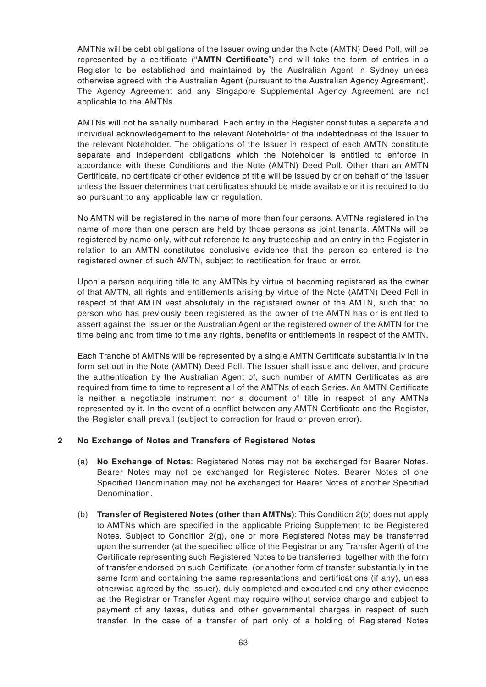AMTNs will be debt obligations of the Issuer owing under the Note (AMTN) Deed Poll, will be represented by a certificate ("**AMTN Certificate**") and will take the form of entries in a Register to be established and maintained by the Australian Agent in Sydney unless otherwise agreed with the Australian Agent (pursuant to the Australian Agency Agreement). The Agency Agreement and any Singapore Supplemental Agency Agreement are not applicable to the AMTNs.

AMTNs will not be serially numbered. Each entry in the Register constitutes a separate and individual acknowledgement to the relevant Noteholder of the indebtedness of the Issuer to the relevant Noteholder. The obligations of the Issuer in respect of each AMTN constitute separate and independent obligations which the Noteholder is entitled to enforce in accordance with these Conditions and the Note (AMTN) Deed Poll. Other than an AMTN Certificate, no certificate or other evidence of title will be issued by or on behalf of the Issuer unless the Issuer determines that certificates should be made available or it is required to do so pursuant to any applicable law or regulation.

No AMTN will be registered in the name of more than four persons. AMTNs registered in the name of more than one person are held by those persons as joint tenants. AMTNs will be registered by name only, without reference to any trusteeship and an entry in the Register in relation to an AMTN constitutes conclusive evidence that the person so entered is the registered owner of such AMTN, subject to rectification for fraud or error.

Upon a person acquiring title to any AMTNs by virtue of becoming registered as the owner of that AMTN, all rights and entitlements arising by virtue of the Note (AMTN) Deed Poll in respect of that AMTN vest absolutely in the registered owner of the AMTN, such that no person who has previously been registered as the owner of the AMTN has or is entitled to assert against the Issuer or the Australian Agent or the registered owner of the AMTN for the time being and from time to time any rights, benefits or entitlements in respect of the AMTN.

Each Tranche of AMTNs will be represented by a single AMTN Certificate substantially in the form set out in the Note (AMTN) Deed Poll. The Issuer shall issue and deliver, and procure the authentication by the Australian Agent of, such number of AMTN Certificates as are required from time to time to represent all of the AMTNs of each Series. An AMTN Certificate is neither a negotiable instrument nor a document of title in respect of any AMTNs represented by it. In the event of a conflict between any AMTN Certificate and the Register, the Register shall prevail (subject to correction for fraud or proven error).

### **2 No Exchange of Notes and Transfers of Registered Notes**

- (a) **No Exchange of Notes**: Registered Notes may not be exchanged for Bearer Notes. Bearer Notes may not be exchanged for Registered Notes. Bearer Notes of one Specified Denomination may not be exchanged for Bearer Notes of another Specified Denomination.
- (b) **Transfer of Registered Notes (other than AMTNs)**: This Condition 2(b) does not apply to AMTNs which are specified in the applicable Pricing Supplement to be Registered Notes. Subject to Condition 2(g), one or more Registered Notes may be transferred upon the surrender (at the specified office of the Registrar or any Transfer Agent) of the Certificate representing such Registered Notes to be transferred, together with the form of transfer endorsed on such Certificate, (or another form of transfer substantially in the same form and containing the same representations and certifications (if any), unless otherwise agreed by the Issuer), duly completed and executed and any other evidence as the Registrar or Transfer Agent may require without service charge and subject to payment of any taxes, duties and other governmental charges in respect of such transfer. In the case of a transfer of part only of a holding of Registered Notes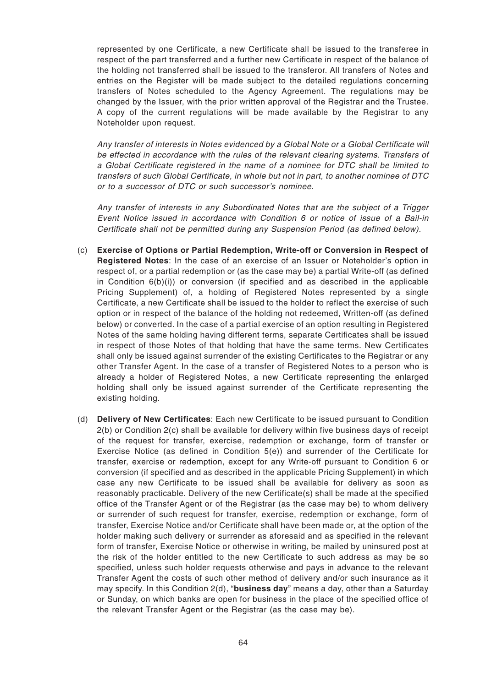represented by one Certificate, a new Certificate shall be issued to the transferee in respect of the part transferred and a further new Certificate in respect of the balance of the holding not transferred shall be issued to the transferor. All transfers of Notes and entries on the Register will be made subject to the detailed regulations concerning transfers of Notes scheduled to the Agency Agreement. The regulations may be changed by the Issuer, with the prior written approval of the Registrar and the Trustee. A copy of the current regulations will be made available by the Registrar to any Noteholder upon request.

Any transfer of interests in Notes evidenced by a Global Note or a Global Certificate will be effected in accordance with the rules of the relevant clearing systems. Transfers of a Global Certificate registered in the name of a nominee for DTC shall be limited to transfers of such Global Certificate, in whole but not in part, to another nominee of DTC or to a successor of DTC or such successor's nominee.

Any transfer of interests in any Subordinated Notes that are the subject of a Trigger Event Notice issued in accordance with Condition 6 or notice of issue of a Bail-in Certificate shall not be permitted during any Suspension Period (as defined below).

- (c) **Exercise of Options or Partial Redemption, Write-off or Conversion in Respect of Registered Notes**: In the case of an exercise of an Issuer or Noteholder's option in respect of, or a partial redemption or (as the case may be) a partial Write-off (as defined in Condition 6(b)(i)) or conversion (if specified and as described in the applicable Pricing Supplement) of, a holding of Registered Notes represented by a single Certificate, a new Certificate shall be issued to the holder to reflect the exercise of such option or in respect of the balance of the holding not redeemed, Written-off (as defined below) or converted. In the case of a partial exercise of an option resulting in Registered Notes of the same holding having different terms, separate Certificates shall be issued in respect of those Notes of that holding that have the same terms. New Certificates shall only be issued against surrender of the existing Certificates to the Registrar or any other Transfer Agent. In the case of a transfer of Registered Notes to a person who is already a holder of Registered Notes, a new Certificate representing the enlarged holding shall only be issued against surrender of the Certificate representing the existing holding.
- (d) **Delivery of New Certificates**: Each new Certificate to be issued pursuant to Condition 2(b) or Condition 2(c) shall be available for delivery within five business days of receipt of the request for transfer, exercise, redemption or exchange, form of transfer or Exercise Notice (as defined in Condition 5(e)) and surrender of the Certificate for transfer, exercise or redemption, except for any Write-off pursuant to Condition 6 or conversion (if specified and as described in the applicable Pricing Supplement) in which case any new Certificate to be issued shall be available for delivery as soon as reasonably practicable. Delivery of the new Certificate(s) shall be made at the specified office of the Transfer Agent or of the Registrar (as the case may be) to whom delivery or surrender of such request for transfer, exercise, redemption or exchange, form of transfer, Exercise Notice and/or Certificate shall have been made or, at the option of the holder making such delivery or surrender as aforesaid and as specified in the relevant form of transfer, Exercise Notice or otherwise in writing, be mailed by uninsured post at the risk of the holder entitled to the new Certificate to such address as may be so specified, unless such holder requests otherwise and pays in advance to the relevant Transfer Agent the costs of such other method of delivery and/or such insurance as it may specify. In this Condition 2(d), "**business day**" means a day, other than a Saturday or Sunday, on which banks are open for business in the place of the specified office of the relevant Transfer Agent or the Registrar (as the case may be).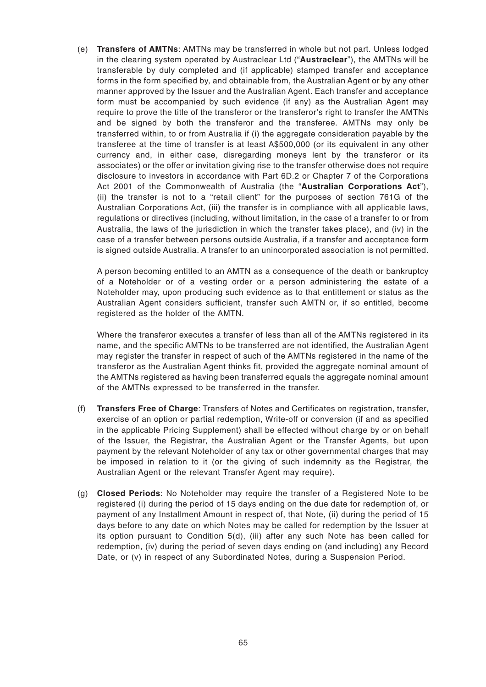(e) **Transfers of AMTNs**: AMTNs may be transferred in whole but not part. Unless lodged in the clearing system operated by Austraclear Ltd ("**Austraclear**"), the AMTNs will be transferable by duly completed and (if applicable) stamped transfer and acceptance forms in the form specified by, and obtainable from, the Australian Agent or by any other manner approved by the Issuer and the Australian Agent. Each transfer and acceptance form must be accompanied by such evidence (if any) as the Australian Agent may require to prove the title of the transferor or the transferor's right to transfer the AMTNs and be signed by both the transferor and the transferee. AMTNs may only be transferred within, to or from Australia if (i) the aggregate consideration payable by the transferee at the time of transfer is at least A\$500,000 (or its equivalent in any other currency and, in either case, disregarding moneys lent by the transferor or its associates) or the offer or invitation giving rise to the transfer otherwise does not require disclosure to investors in accordance with Part 6D.2 or Chapter 7 of the Corporations Act 2001 of the Commonwealth of Australia (the "**Australian Corporations Act**"), (ii) the transfer is not to a "retail client" for the purposes of section 761G of the Australian Corporations Act, (iii) the transfer is in compliance with all applicable laws, regulations or directives (including, without limitation, in the case of a transfer to or from Australia, the laws of the jurisdiction in which the transfer takes place), and (iv) in the case of a transfer between persons outside Australia, if a transfer and acceptance form is signed outside Australia. A transfer to an unincorporated association is not permitted.

A person becoming entitled to an AMTN as a consequence of the death or bankruptcy of a Noteholder or of a vesting order or a person administering the estate of a Noteholder may, upon producing such evidence as to that entitlement or status as the Australian Agent considers sufficient, transfer such AMTN or, if so entitled, become registered as the holder of the AMTN.

Where the transferor executes a transfer of less than all of the AMTNs registered in its name, and the specific AMTNs to be transferred are not identified, the Australian Agent may register the transfer in respect of such of the AMTNs registered in the name of the transferor as the Australian Agent thinks fit, provided the aggregate nominal amount of the AMTNs registered as having been transferred equals the aggregate nominal amount of the AMTNs expressed to be transferred in the transfer.

- (f) **Transfers Free of Charge**: Transfers of Notes and Certificates on registration, transfer, exercise of an option or partial redemption, Write-off or conversion (if and as specified in the applicable Pricing Supplement) shall be effected without charge by or on behalf of the Issuer, the Registrar, the Australian Agent or the Transfer Agents, but upon payment by the relevant Noteholder of any tax or other governmental charges that may be imposed in relation to it (or the giving of such indemnity as the Registrar, the Australian Agent or the relevant Transfer Agent may require).
- (g) **Closed Periods**: No Noteholder may require the transfer of a Registered Note to be registered (i) during the period of 15 days ending on the due date for redemption of, or payment of any Installment Amount in respect of, that Note, (ii) during the period of 15 days before to any date on which Notes may be called for redemption by the Issuer at its option pursuant to Condition 5(d), (iii) after any such Note has been called for redemption, (iv) during the period of seven days ending on (and including) any Record Date, or (v) in respect of any Subordinated Notes, during a Suspension Period.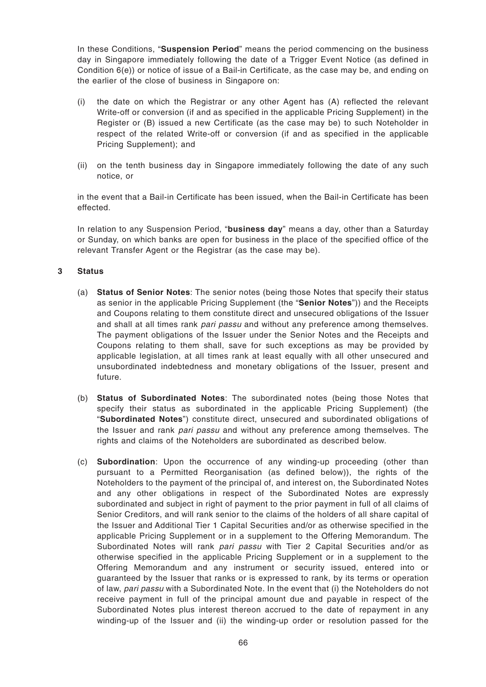In these Conditions, "**Suspension Period**" means the period commencing on the business day in Singapore immediately following the date of a Trigger Event Notice (as defined in Condition 6(e)) or notice of issue of a Bail-in Certificate, as the case may be, and ending on the earlier of the close of business in Singapore on:

- (i) the date on which the Registrar or any other Agent has (A) reflected the relevant Write-off or conversion (if and as specified in the applicable Pricing Supplement) in the Register or (B) issued a new Certificate (as the case may be) to such Noteholder in respect of the related Write-off or conversion (if and as specified in the applicable Pricing Supplement); and
- (ii) on the tenth business day in Singapore immediately following the date of any such notice, or

in the event that a Bail-in Certificate has been issued, when the Bail-in Certificate has been effected.

In relation to any Suspension Period, "**business day**" means a day, other than a Saturday or Sunday, on which banks are open for business in the place of the specified office of the relevant Transfer Agent or the Registrar (as the case may be).

### **3 Status**

- (a) **Status of Senior Notes**: The senior notes (being those Notes that specify their status as senior in the applicable Pricing Supplement (the "**Senior Notes**")) and the Receipts and Coupons relating to them constitute direct and unsecured obligations of the Issuer and shall at all times rank pari passu and without any preference among themselves. The payment obligations of the Issuer under the Senior Notes and the Receipts and Coupons relating to them shall, save for such exceptions as may be provided by applicable legislation, at all times rank at least equally with all other unsecured and unsubordinated indebtedness and monetary obligations of the Issuer, present and future.
- (b) **Status of Subordinated Notes**: The subordinated notes (being those Notes that specify their status as subordinated in the applicable Pricing Supplement) (the "**Subordinated Notes**") constitute direct, unsecured and subordinated obligations of the Issuer and rank pari passu and without any preference among themselves. The rights and claims of the Noteholders are subordinated as described below.
- (c) **Subordination**: Upon the occurrence of any winding-up proceeding (other than pursuant to a Permitted Reorganisation (as defined below)), the rights of the Noteholders to the payment of the principal of, and interest on, the Subordinated Notes and any other obligations in respect of the Subordinated Notes are expressly subordinated and subject in right of payment to the prior payment in full of all claims of Senior Creditors, and will rank senior to the claims of the holders of all share capital of the Issuer and Additional Tier 1 Capital Securities and/or as otherwise specified in the applicable Pricing Supplement or in a supplement to the Offering Memorandum. The Subordinated Notes will rank pari passu with Tier 2 Capital Securities and/or as otherwise specified in the applicable Pricing Supplement or in a supplement to the Offering Memorandum and any instrument or security issued, entered into or guaranteed by the Issuer that ranks or is expressed to rank, by its terms or operation of law, pari passu with a Subordinated Note. In the event that (i) the Noteholders do not receive payment in full of the principal amount due and payable in respect of the Subordinated Notes plus interest thereon accrued to the date of repayment in any winding-up of the Issuer and (ii) the winding-up order or resolution passed for the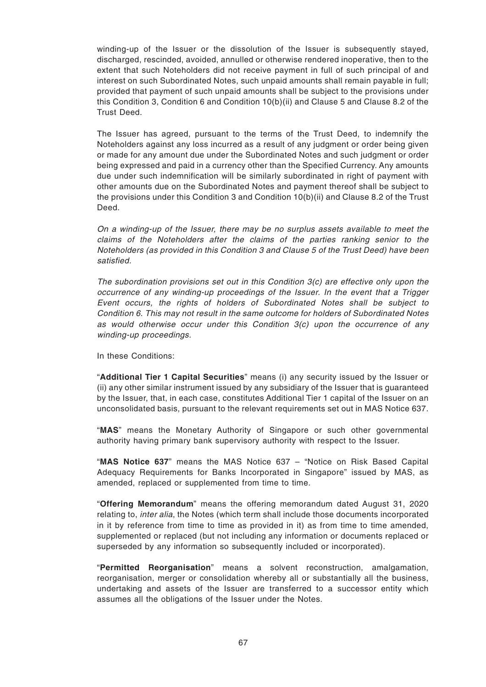winding-up of the Issuer or the dissolution of the Issuer is subsequently stayed, discharged, rescinded, avoided, annulled or otherwise rendered inoperative, then to the extent that such Noteholders did not receive payment in full of such principal of and interest on such Subordinated Notes, such unpaid amounts shall remain payable in full; provided that payment of such unpaid amounts shall be subject to the provisions under this Condition 3, Condition 6 and Condition 10(b)(ii) and Clause 5 and Clause 8.2 of the Trust Deed.

The Issuer has agreed, pursuant to the terms of the Trust Deed, to indemnify the Noteholders against any loss incurred as a result of any judgment or order being given or made for any amount due under the Subordinated Notes and such judgment or order being expressed and paid in a currency other than the Specified Currency. Any amounts due under such indemnification will be similarly subordinated in right of payment with other amounts due on the Subordinated Notes and payment thereof shall be subject to the provisions under this Condition 3 and Condition 10(b)(ii) and Clause 8.2 of the Trust Deed.

On a winding-up of the Issuer, there may be no surplus assets available to meet the claims of the Noteholders after the claims of the parties ranking senior to the Noteholders (as provided in this Condition 3 and Clause 5 of the Trust Deed) have been satisfied.

The subordination provisions set out in this Condition 3(c) are effective only upon the occurrence of any winding-up proceedings of the Issuer. In the event that a Trigger Event occurs, the rights of holders of Subordinated Notes shall be subject to Condition 6. This may not result in the same outcome for holders of Subordinated Notes as would otherwise occur under this Condition 3(c) upon the occurrence of any winding-up proceedings.

In these Conditions:

"**Additional Tier 1 Capital Securities**" means (i) any security issued by the Issuer or (ii) any other similar instrument issued by any subsidiary of the Issuer that is guaranteed by the Issuer, that, in each case, constitutes Additional Tier 1 capital of the Issuer on an unconsolidated basis, pursuant to the relevant requirements set out in MAS Notice 637.

"**MAS**" means the Monetary Authority of Singapore or such other governmental authority having primary bank supervisory authority with respect to the Issuer.

"**MAS Notice 637**" means the MAS Notice 637 – "Notice on Risk Based Capital Adequacy Requirements for Banks Incorporated in Singapore" issued by MAS, as amended, replaced or supplemented from time to time.

"**Offering Memorandum**" means the offering memorandum dated August 31, 2020 relating to, *inter alia*, the Notes (which term shall include those documents incorporated in it by reference from time to time as provided in it) as from time to time amended, supplemented or replaced (but not including any information or documents replaced or superseded by any information so subsequently included or incorporated).

"**Permitted Reorganisation**" means a solvent reconstruction, amalgamation, reorganisation, merger or consolidation whereby all or substantially all the business, undertaking and assets of the Issuer are transferred to a successor entity which assumes all the obligations of the Issuer under the Notes.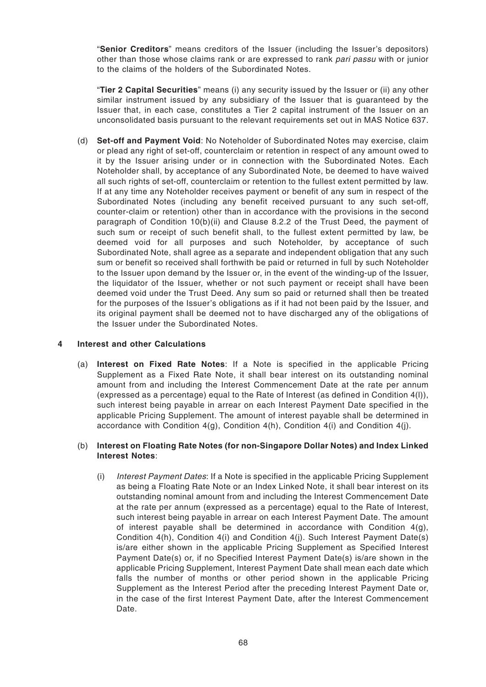"**Senior Creditors**" means creditors of the Issuer (including the Issuer's depositors) other than those whose claims rank or are expressed to rank pari passu with or junior to the claims of the holders of the Subordinated Notes.

"**Tier 2 Capital Securities**" means (i) any security issued by the Issuer or (ii) any other similar instrument issued by any subsidiary of the Issuer that is guaranteed by the Issuer that, in each case, constitutes a Tier 2 capital instrument of the Issuer on an unconsolidated basis pursuant to the relevant requirements set out in MAS Notice 637.

(d) **Set-off and Payment Void**: No Noteholder of Subordinated Notes may exercise, claim or plead any right of set-off, counterclaim or retention in respect of any amount owed to it by the Issuer arising under or in connection with the Subordinated Notes. Each Noteholder shall, by acceptance of any Subordinated Note, be deemed to have waived all such rights of set-off, counterclaim or retention to the fullest extent permitted by law. If at any time any Noteholder receives payment or benefit of any sum in respect of the Subordinated Notes (including any benefit received pursuant to any such set-off, counter-claim or retention) other than in accordance with the provisions in the second paragraph of Condition 10(b)(ii) and Clause 8.2.2 of the Trust Deed, the payment of such sum or receipt of such benefit shall, to the fullest extent permitted by law, be deemed void for all purposes and such Noteholder, by acceptance of such Subordinated Note, shall agree as a separate and independent obligation that any such sum or benefit so received shall forthwith be paid or returned in full by such Noteholder to the Issuer upon demand by the Issuer or, in the event of the winding-up of the Issuer, the liquidator of the Issuer, whether or not such payment or receipt shall have been deemed void under the Trust Deed. Any sum so paid or returned shall then be treated for the purposes of the Issuer's obligations as if it had not been paid by the Issuer, and its original payment shall be deemed not to have discharged any of the obligations of the Issuer under the Subordinated Notes.

### **4 Interest and other Calculations**

(a) **Interest on Fixed Rate Notes**: If a Note is specified in the applicable Pricing Supplement as a Fixed Rate Note, it shall bear interest on its outstanding nominal amount from and including the Interest Commencement Date at the rate per annum (expressed as a percentage) equal to the Rate of Interest (as defined in Condition 4(l)), such interest being payable in arrear on each Interest Payment Date specified in the applicable Pricing Supplement. The amount of interest payable shall be determined in accordance with Condition  $4(q)$ , Condition  $4(h)$ , Condition  $4(i)$  and Condition  $4(i)$ .

### (b) **Interest on Floating Rate Notes (for non-Singapore Dollar Notes) and Index Linked Interest Notes**:

(i) Interest Payment Dates: If a Note is specified in the applicable Pricing Supplement as being a Floating Rate Note or an Index Linked Note, it shall bear interest on its outstanding nominal amount from and including the Interest Commencement Date at the rate per annum (expressed as a percentage) equal to the Rate of Interest, such interest being payable in arrear on each Interest Payment Date. The amount of interest payable shall be determined in accordance with Condition  $4(q)$ , Condition 4(h), Condition 4(i) and Condition 4(j). Such Interest Payment Date(s) is/are either shown in the applicable Pricing Supplement as Specified Interest Payment Date(s) or, if no Specified Interest Payment Date(s) is/are shown in the applicable Pricing Supplement, Interest Payment Date shall mean each date which falls the number of months or other period shown in the applicable Pricing Supplement as the Interest Period after the preceding Interest Payment Date or, in the case of the first Interest Payment Date, after the Interest Commencement Date.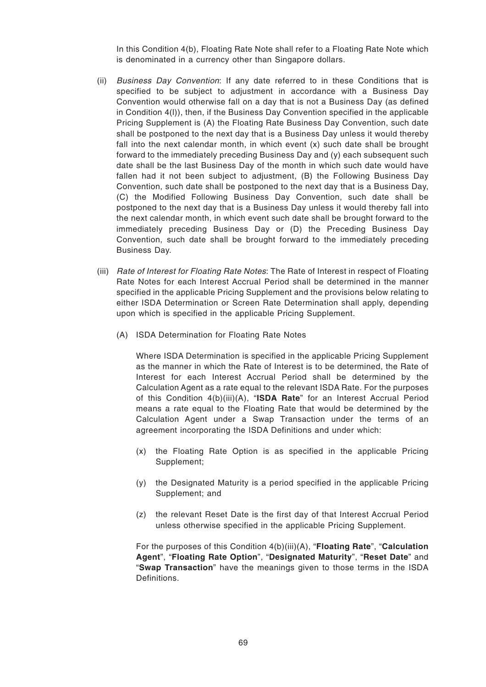In this Condition 4(b), Floating Rate Note shall refer to a Floating Rate Note which is denominated in a currency other than Singapore dollars.

- (ii) Business Day Convention: If any date referred to in these Conditions that is specified to be subject to adjustment in accordance with a Business Day Convention would otherwise fall on a day that is not a Business Day (as defined in Condition 4(l)), then, if the Business Day Convention specified in the applicable Pricing Supplement is (A) the Floating Rate Business Day Convention, such date shall be postponed to the next day that is a Business Day unless it would thereby fall into the next calendar month, in which event  $(x)$  such date shall be brought forward to the immediately preceding Business Day and (y) each subsequent such date shall be the last Business Day of the month in which such date would have fallen had it not been subject to adjustment, (B) the Following Business Day Convention, such date shall be postponed to the next day that is a Business Day, (C) the Modified Following Business Day Convention, such date shall be postponed to the next day that is a Business Day unless it would thereby fall into the next calendar month, in which event such date shall be brought forward to the immediately preceding Business Day or (D) the Preceding Business Day Convention, such date shall be brought forward to the immediately preceding Business Day.
- (iii) Rate of Interest for Floating Rate Notes: The Rate of Interest in respect of Floating Rate Notes for each Interest Accrual Period shall be determined in the manner specified in the applicable Pricing Supplement and the provisions below relating to either ISDA Determination or Screen Rate Determination shall apply, depending upon which is specified in the applicable Pricing Supplement.
	- (A) ISDA Determination for Floating Rate Notes

Where ISDA Determination is specified in the applicable Pricing Supplement as the manner in which the Rate of Interest is to be determined, the Rate of Interest for each Interest Accrual Period shall be determined by the Calculation Agent as a rate equal to the relevant ISDA Rate. For the purposes of this Condition 4(b)(iii)(A), "**ISDA Rate**" for an Interest Accrual Period means a rate equal to the Floating Rate that would be determined by the Calculation Agent under a Swap Transaction under the terms of an agreement incorporating the ISDA Definitions and under which:

- (x) the Floating Rate Option is as specified in the applicable Pricing Supplement;
- (y) the Designated Maturity is a period specified in the applicable Pricing Supplement; and
- (z) the relevant Reset Date is the first day of that Interest Accrual Period unless otherwise specified in the applicable Pricing Supplement.

For the purposes of this Condition 4(b)(iii)(A), "**Floating Rate**", "**Calculation Agent**", "**Floating Rate Option**", "**Designated Maturity**", "**Reset Date**" and "**Swap Transaction**" have the meanings given to those terms in the ISDA Definitions.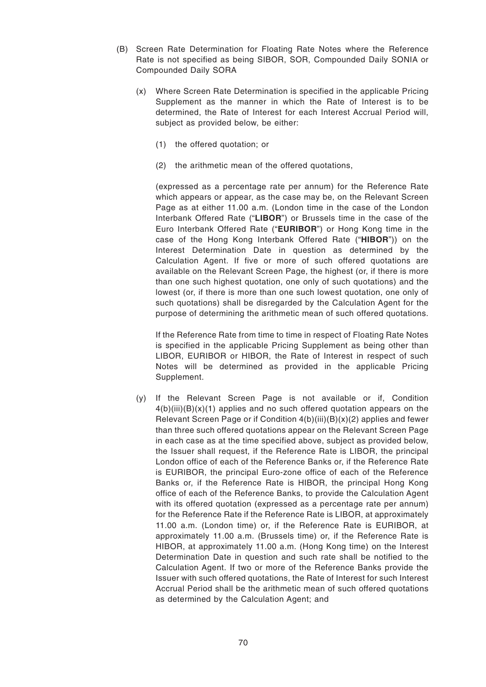- (B) Screen Rate Determination for Floating Rate Notes where the Reference Rate is not specified as being SIBOR, SOR, Compounded Daily SONIA or Compounded Daily SORA
	- (x) Where Screen Rate Determination is specified in the applicable Pricing Supplement as the manner in which the Rate of Interest is to be determined, the Rate of Interest for each Interest Accrual Period will, subject as provided below, be either:
		- (1) the offered quotation; or
		- (2) the arithmetic mean of the offered quotations,

(expressed as a percentage rate per annum) for the Reference Rate which appears or appear, as the case may be, on the Relevant Screen Page as at either 11.00 a.m. (London time in the case of the London Interbank Offered Rate ("**LIBOR**") or Brussels time in the case of the Euro Interbank Offered Rate ("**EURIBOR**") or Hong Kong time in the case of the Hong Kong Interbank Offered Rate ("**HIBOR**")) on the Interest Determination Date in question as determined by the Calculation Agent. If five or more of such offered quotations are available on the Relevant Screen Page, the highest (or, if there is more than one such highest quotation, one only of such quotations) and the lowest (or, if there is more than one such lowest quotation, one only of such quotations) shall be disregarded by the Calculation Agent for the purpose of determining the arithmetic mean of such offered quotations.

If the Reference Rate from time to time in respect of Floating Rate Notes is specified in the applicable Pricing Supplement as being other than LIBOR, EURIBOR or HIBOR, the Rate of Interest in respect of such Notes will be determined as provided in the applicable Pricing Supplement.

(y) If the Relevant Screen Page is not available or if, Condition  $4(b)(iii)(B)(x)(1)$  applies and no such offered quotation appears on the Relevant Screen Page or if Condition 4(b)(iii)(B)(x)(2) applies and fewer than three such offered quotations appear on the Relevant Screen Page in each case as at the time specified above, subject as provided below, the Issuer shall request, if the Reference Rate is LIBOR, the principal London office of each of the Reference Banks or, if the Reference Rate is EURIBOR, the principal Euro-zone office of each of the Reference Banks or, if the Reference Rate is HIBOR, the principal Hong Kong office of each of the Reference Banks, to provide the Calculation Agent with its offered quotation (expressed as a percentage rate per annum) for the Reference Rate if the Reference Rate is LIBOR, at approximately 11.00 a.m. (London time) or, if the Reference Rate is EURIBOR, at approximately 11.00 a.m. (Brussels time) or, if the Reference Rate is HIBOR, at approximately 11.00 a.m. (Hong Kong time) on the Interest Determination Date in question and such rate shall be notified to the Calculation Agent. If two or more of the Reference Banks provide the Issuer with such offered quotations, the Rate of Interest for such Interest Accrual Period shall be the arithmetic mean of such offered quotations as determined by the Calculation Agent; and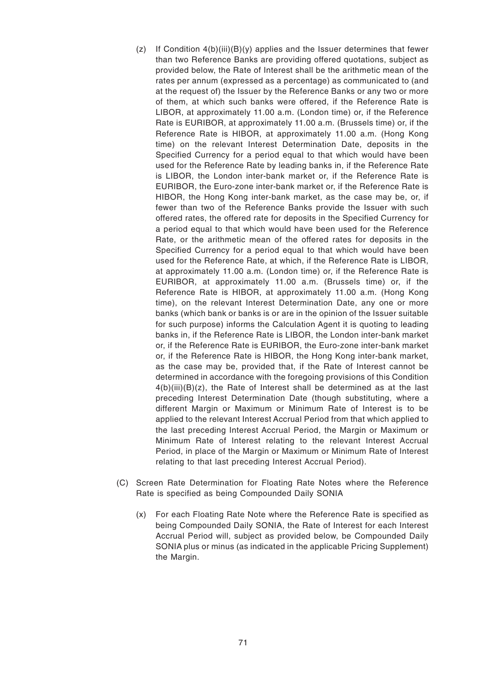- (z) If Condition 4(b)(iii)(B)(y) applies and the Issuer determines that fewer than two Reference Banks are providing offered quotations, subject as provided below, the Rate of Interest shall be the arithmetic mean of the rates per annum (expressed as a percentage) as communicated to (and at the request of) the Issuer by the Reference Banks or any two or more of them, at which such banks were offered, if the Reference Rate is LIBOR, at approximately 11.00 a.m. (London time) or, if the Reference Rate is EURIBOR, at approximately 11.00 a.m. (Brussels time) or, if the Reference Rate is HIBOR, at approximately 11.00 a.m. (Hong Kong time) on the relevant Interest Determination Date, deposits in the Specified Currency for a period equal to that which would have been used for the Reference Rate by leading banks in, if the Reference Rate is LIBOR, the London inter-bank market or, if the Reference Rate is EURIBOR, the Euro-zone inter-bank market or, if the Reference Rate is HIBOR, the Hong Kong inter-bank market, as the case may be, or, if fewer than two of the Reference Banks provide the Issuer with such offered rates, the offered rate for deposits in the Specified Currency for a period equal to that which would have been used for the Reference Rate, or the arithmetic mean of the offered rates for deposits in the Specified Currency for a period equal to that which would have been used for the Reference Rate, at which, if the Reference Rate is LIBOR, at approximately 11.00 a.m. (London time) or, if the Reference Rate is EURIBOR, at approximately 11.00 a.m. (Brussels time) or, if the Reference Rate is HIBOR, at approximately 11.00 a.m. (Hong Kong time), on the relevant Interest Determination Date, any one or more banks (which bank or banks is or are in the opinion of the Issuer suitable for such purpose) informs the Calculation Agent it is quoting to leading banks in, if the Reference Rate is LIBOR, the London inter-bank market or, if the Reference Rate is EURIBOR, the Euro-zone inter-bank market or, if the Reference Rate is HIBOR, the Hong Kong inter-bank market, as the case may be, provided that, if the Rate of Interest cannot be determined in accordance with the foregoing provisions of this Condition  $4(b)(iii)(B)(z)$ , the Rate of Interest shall be determined as at the last preceding Interest Determination Date (though substituting, where a different Margin or Maximum or Minimum Rate of Interest is to be applied to the relevant Interest Accrual Period from that which applied to the last preceding Interest Accrual Period, the Margin or Maximum or Minimum Rate of Interest relating to the relevant Interest Accrual Period, in place of the Margin or Maximum or Minimum Rate of Interest relating to that last preceding Interest Accrual Period).
- (C) Screen Rate Determination for Floating Rate Notes where the Reference Rate is specified as being Compounded Daily SONIA
	- (x) For each Floating Rate Note where the Reference Rate is specified as being Compounded Daily SONIA, the Rate of Interest for each Interest Accrual Period will, subject as provided below, be Compounded Daily SONIA plus or minus (as indicated in the applicable Pricing Supplement) the Margin.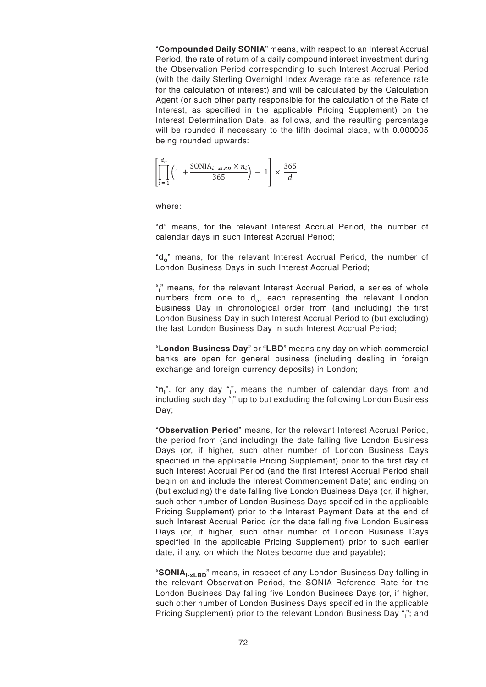"**Compounded Daily SONIA**" means, with respect to an Interest Accrual Period, the rate of return of a daily compound interest investment during the Observation Period corresponding to such Interest Accrual Period (with the daily Sterling Overnight Index Average rate as reference rate for the calculation of interest) and will be calculated by the Calculation Agent (or such other party responsible for the calculation of the Rate of Interest, as specified in the applicable Pricing Supplement) on the Interest Determination Date, as follows, and the resulting percentage will be rounded if necessary to the fifth decimal place, with 0.000005 being rounded upwards:

$$
\left[\prod_{i=1}^{d_o} \left(1 + \frac{\text{SONIA}_{i-\text{xLBD}} \times n_i}{365}\right) - 1\right] \times \frac{365}{d}
$$

where:

"**d**" means, for the relevant Interest Accrual Period, the number of calendar days in such Interest Accrual Period;

"**d<sup>o</sup>** " means, for the relevant Interest Accrual Period, the number of London Business Days in such Interest Accrual Period;

"**i** " means, for the relevant Interest Accrual Period, a series of whole numbers from one to  $\mathsf{d_o},$  each representing the relevant London Business Day in chronological order from (and including) the first London Business Day in such Interest Accrual Period to (but excluding) the last London Business Day in such Interest Accrual Period;

"**London Business Day**" or "**LBD**" means any day on which commercial banks are open for general business (including dealing in foreign exchange and foreign currency deposits) in London;

"**n**<sub>i</sub>", for any day "<sub>i</sub>", means the number of calendar days from and including such day " $\mathring{\,}$  up to but excluding the following London Business Day;

"**Observation Period**" means, for the relevant Interest Accrual Period, the period from (and including) the date falling five London Business Days (or, if higher, such other number of London Business Days specified in the applicable Pricing Supplement) prior to the first day of such Interest Accrual Period (and the first Interest Accrual Period shall begin on and include the Interest Commencement Date) and ending on (but excluding) the date falling five London Business Days (or, if higher, such other number of London Business Days specified in the applicable Pricing Supplement) prior to the Interest Payment Date at the end of such Interest Accrual Period (or the date falling five London Business Days (or, if higher, such other number of London Business Days specified in the applicable Pricing Supplement) prior to such earlier date, if any, on which the Notes become due and payable);

"**SONIAi-xLBD**" means, in respect of any London Business Day falling in the relevant Observation Period, the SONIA Reference Rate for the London Business Day falling five London Business Days (or, if higher, such other number of London Business Days specified in the applicable Pricing Supplement) prior to the relevant London Business Day "i"; and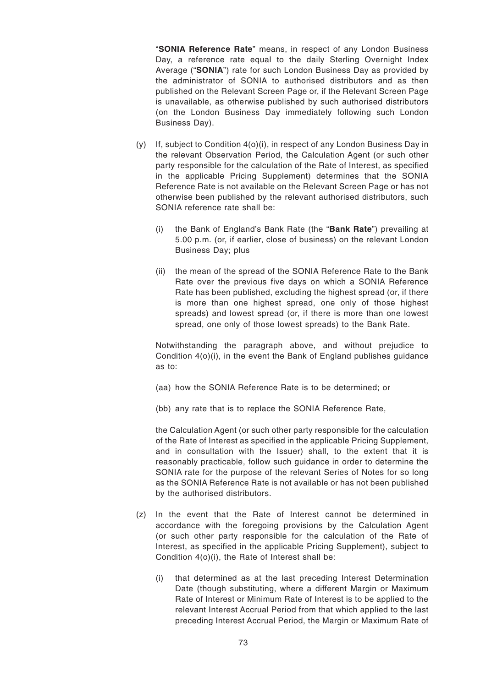"**SONIA Reference Rate**" means, in respect of any London Business Day, a reference rate equal to the daily Sterling Overnight Index Average ("**SONIA**") rate for such London Business Day as provided by the administrator of SONIA to authorised distributors and as then published on the Relevant Screen Page or, if the Relevant Screen Page is unavailable, as otherwise published by such authorised distributors (on the London Business Day immediately following such London Business Day).

- $(y)$  If, subject to Condition  $4(0)(i)$ , in respect of any London Business Day in the relevant Observation Period, the Calculation Agent (or such other party responsible for the calculation of the Rate of Interest, as specified in the applicable Pricing Supplement) determines that the SONIA Reference Rate is not available on the Relevant Screen Page or has not otherwise been published by the relevant authorised distributors, such SONIA reference rate shall be:
	- (i) the Bank of England's Bank Rate (the "**Bank Rate**") prevailing at 5.00 p.m. (or, if earlier, close of business) on the relevant London Business Day; plus
	- (ii) the mean of the spread of the SONIA Reference Rate to the Bank Rate over the previous five days on which a SONIA Reference Rate has been published, excluding the highest spread (or, if there is more than one highest spread, one only of those highest spreads) and lowest spread (or, if there is more than one lowest spread, one only of those lowest spreads) to the Bank Rate.

Notwithstanding the paragraph above, and without prejudice to Condition 4(o)(i), in the event the Bank of England publishes guidance as to:

- (aa) how the SONIA Reference Rate is to be determined; or
- (bb) any rate that is to replace the SONIA Reference Rate,

the Calculation Agent (or such other party responsible for the calculation of the Rate of Interest as specified in the applicable Pricing Supplement, and in consultation with the Issuer) shall, to the extent that it is reasonably practicable, follow such guidance in order to determine the SONIA rate for the purpose of the relevant Series of Notes for so long as the SONIA Reference Rate is not available or has not been published by the authorised distributors.

- (z) In the event that the Rate of Interest cannot be determined in accordance with the foregoing provisions by the Calculation Agent (or such other party responsible for the calculation of the Rate of Interest, as specified in the applicable Pricing Supplement), subject to Condition 4(o)(i), the Rate of Interest shall be:
	- (i) that determined as at the last preceding Interest Determination Date (though substituting, where a different Margin or Maximum Rate of Interest or Minimum Rate of Interest is to be applied to the relevant Interest Accrual Period from that which applied to the last preceding Interest Accrual Period, the Margin or Maximum Rate of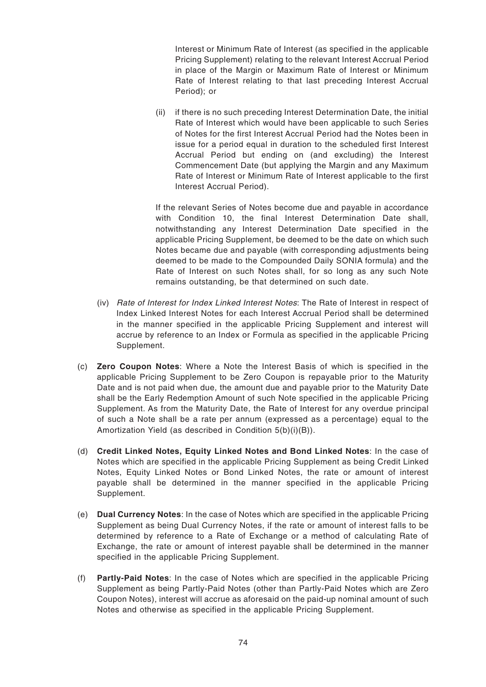Interest or Minimum Rate of Interest (as specified in the applicable Pricing Supplement) relating to the relevant Interest Accrual Period in place of the Margin or Maximum Rate of Interest or Minimum Rate of Interest relating to that last preceding Interest Accrual Period); or

(ii) if there is no such preceding Interest Determination Date, the initial Rate of Interest which would have been applicable to such Series of Notes for the first Interest Accrual Period had the Notes been in issue for a period equal in duration to the scheduled first Interest Accrual Period but ending on (and excluding) the Interest Commencement Date (but applying the Margin and any Maximum Rate of Interest or Minimum Rate of Interest applicable to the first Interest Accrual Period).

If the relevant Series of Notes become due and payable in accordance with Condition 10, the final Interest Determination Date shall, notwithstanding any Interest Determination Date specified in the applicable Pricing Supplement, be deemed to be the date on which such Notes became due and payable (with corresponding adjustments being deemed to be made to the Compounded Daily SONIA formula) and the Rate of Interest on such Notes shall, for so long as any such Note remains outstanding, be that determined on such date.

- (iv) Rate of Interest for Index Linked Interest Notes: The Rate of Interest in respect of Index Linked Interest Notes for each Interest Accrual Period shall be determined in the manner specified in the applicable Pricing Supplement and interest will accrue by reference to an Index or Formula as specified in the applicable Pricing Supplement.
- (c) **Zero Coupon Notes**: Where a Note the Interest Basis of which is specified in the applicable Pricing Supplement to be Zero Coupon is repayable prior to the Maturity Date and is not paid when due, the amount due and payable prior to the Maturity Date shall be the Early Redemption Amount of such Note specified in the applicable Pricing Supplement. As from the Maturity Date, the Rate of Interest for any overdue principal of such a Note shall be a rate per annum (expressed as a percentage) equal to the Amortization Yield (as described in Condition 5(b)(i)(B)).
- (d) **Credit Linked Notes, Equity Linked Notes and Bond Linked Notes**: In the case of Notes which are specified in the applicable Pricing Supplement as being Credit Linked Notes, Equity Linked Notes or Bond Linked Notes, the rate or amount of interest payable shall be determined in the manner specified in the applicable Pricing Supplement.
- (e) **Dual Currency Notes**: In the case of Notes which are specified in the applicable Pricing Supplement as being Dual Currency Notes, if the rate or amount of interest falls to be determined by reference to a Rate of Exchange or a method of calculating Rate of Exchange, the rate or amount of interest payable shall be determined in the manner specified in the applicable Pricing Supplement.
- (f) **Partly-Paid Notes**: In the case of Notes which are specified in the applicable Pricing Supplement as being Partly-Paid Notes (other than Partly-Paid Notes which are Zero Coupon Notes), interest will accrue as aforesaid on the paid-up nominal amount of such Notes and otherwise as specified in the applicable Pricing Supplement.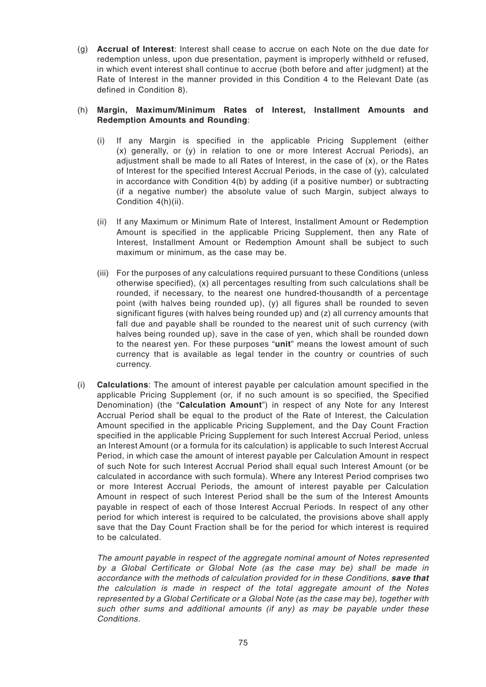(g) **Accrual of Interest**: Interest shall cease to accrue on each Note on the due date for redemption unless, upon due presentation, payment is improperly withheld or refused, in which event interest shall continue to accrue (both before and after judgment) at the Rate of Interest in the manner provided in this Condition 4 to the Relevant Date (as defined in Condition 8).

## (h) **Margin, Maximum/Minimum Rates of Interest, Installment Amounts and Redemption Amounts and Rounding**:

- (i) If any Margin is specified in the applicable Pricing Supplement (either (x) generally, or (y) in relation to one or more Interest Accrual Periods), an adjustment shall be made to all Rates of Interest, in the case of (x), or the Rates of Interest for the specified Interest Accrual Periods, in the case of (y), calculated in accordance with Condition 4(b) by adding (if a positive number) or subtracting (if a negative number) the absolute value of such Margin, subject always to Condition 4(h)(ii).
- (ii) If any Maximum or Minimum Rate of Interest, Installment Amount or Redemption Amount is specified in the applicable Pricing Supplement, then any Rate of Interest, Installment Amount or Redemption Amount shall be subject to such maximum or minimum, as the case may be.
- (iii) For the purposes of any calculations required pursuant to these Conditions (unless otherwise specified), (x) all percentages resulting from such calculations shall be rounded, if necessary, to the nearest one hundred-thousandth of a percentage point (with halves being rounded up), (y) all figures shall be rounded to seven significant figures (with halves being rounded up) and (z) all currency amounts that fall due and payable shall be rounded to the nearest unit of such currency (with halves being rounded up), save in the case of yen, which shall be rounded down to the nearest yen. For these purposes "**unit**" means the lowest amount of such currency that is available as legal tender in the country or countries of such currency.
- (i) **Calculations**: The amount of interest payable per calculation amount specified in the applicable Pricing Supplement (or, if no such amount is so specified, the Specified Denomination) (the "**Calculation Amount**") in respect of any Note for any Interest Accrual Period shall be equal to the product of the Rate of Interest, the Calculation Amount specified in the applicable Pricing Supplement, and the Day Count Fraction specified in the applicable Pricing Supplement for such Interest Accrual Period, unless an Interest Amount (or a formula for its calculation) is applicable to such Interest Accrual Period, in which case the amount of interest payable per Calculation Amount in respect of such Note for such Interest Accrual Period shall equal such Interest Amount (or be calculated in accordance with such formula). Where any Interest Period comprises two or more Interest Accrual Periods, the amount of interest payable per Calculation Amount in respect of such Interest Period shall be the sum of the Interest Amounts payable in respect of each of those Interest Accrual Periods. In respect of any other period for which interest is required to be calculated, the provisions above shall apply save that the Day Count Fraction shall be for the period for which interest is required to be calculated.

The amount payable in respect of the aggregate nominal amount of Notes represented by a Global Certificate or Global Note (as the case may be) shall be made in accordance with the methods of calculation provided for in these Conditions, **save that** the calculation is made in respect of the total aggregate amount of the Notes represented by a Global Certificate or a Global Note (as the case may be), together with such other sums and additional amounts (if any) as may be payable under these Conditions.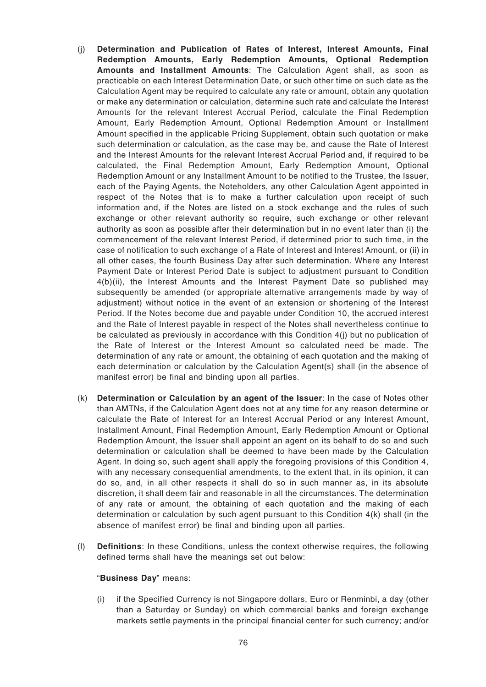- (j) **Determination and Publication of Rates of Interest, Interest Amounts, Final Redemption Amounts, Early Redemption Amounts, Optional Redemption Amounts and Installment Amounts**: The Calculation Agent shall, as soon as practicable on each Interest Determination Date, or such other time on such date as the Calculation Agent may be required to calculate any rate or amount, obtain any quotation or make any determination or calculation, determine such rate and calculate the Interest Amounts for the relevant Interest Accrual Period, calculate the Final Redemption Amount, Early Redemption Amount, Optional Redemption Amount or Installment Amount specified in the applicable Pricing Supplement, obtain such quotation or make such determination or calculation, as the case may be, and cause the Rate of Interest and the Interest Amounts for the relevant Interest Accrual Period and, if required to be calculated, the Final Redemption Amount, Early Redemption Amount, Optional Redemption Amount or any Installment Amount to be notified to the Trustee, the Issuer, each of the Paying Agents, the Noteholders, any other Calculation Agent appointed in respect of the Notes that is to make a further calculation upon receipt of such information and, if the Notes are listed on a stock exchange and the rules of such exchange or other relevant authority so require, such exchange or other relevant authority as soon as possible after their determination but in no event later than (i) the commencement of the relevant Interest Period, if determined prior to such time, in the case of notification to such exchange of a Rate of Interest and Interest Amount, or (ii) in all other cases, the fourth Business Day after such determination. Where any Interest Payment Date or Interest Period Date is subject to adjustment pursuant to Condition 4(b)(ii), the Interest Amounts and the Interest Payment Date so published may subsequently be amended (or appropriate alternative arrangements made by way of adjustment) without notice in the event of an extension or shortening of the Interest Period. If the Notes become due and payable under Condition 10, the accrued interest and the Rate of Interest payable in respect of the Notes shall nevertheless continue to be calculated as previously in accordance with this Condition 4(j) but no publication of the Rate of Interest or the Interest Amount so calculated need be made. The determination of any rate or amount, the obtaining of each quotation and the making of each determination or calculation by the Calculation Agent(s) shall (in the absence of manifest error) be final and binding upon all parties.
- (k) **Determination or Calculation by an agent of the Issuer**: In the case of Notes other than AMTNs, if the Calculation Agent does not at any time for any reason determine or calculate the Rate of Interest for an Interest Accrual Period or any Interest Amount, Installment Amount, Final Redemption Amount, Early Redemption Amount or Optional Redemption Amount, the Issuer shall appoint an agent on its behalf to do so and such determination or calculation shall be deemed to have been made by the Calculation Agent. In doing so, such agent shall apply the foregoing provisions of this Condition 4, with any necessary consequential amendments, to the extent that, in its opinion, it can do so, and, in all other respects it shall do so in such manner as, in its absolute discretion, it shall deem fair and reasonable in all the circumstances. The determination of any rate or amount, the obtaining of each quotation and the making of each determination or calculation by such agent pursuant to this Condition 4(k) shall (in the absence of manifest error) be final and binding upon all parties.
- (l) **Definitions**: In these Conditions, unless the context otherwise requires, the following defined terms shall have the meanings set out below:

#### "**Business Day**" means:

(i) if the Specified Currency is not Singapore dollars, Euro or Renminbi, a day (other than a Saturday or Sunday) on which commercial banks and foreign exchange markets settle payments in the principal financial center for such currency; and/or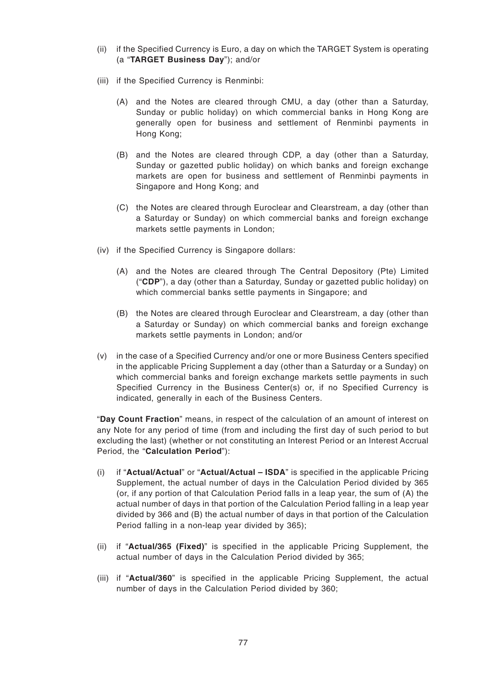- (ii) if the Specified Currency is Euro, a day on which the TARGET System is operating (a "**TARGET Business Day**"); and/or
- (iii) if the Specified Currency is Renminbi:
	- (A) and the Notes are cleared through CMU, a day (other than a Saturday, Sunday or public holiday) on which commercial banks in Hong Kong are generally open for business and settlement of Renminbi payments in Hong Kong;
	- (B) and the Notes are cleared through CDP, a day (other than a Saturday, Sunday or gazetted public holiday) on which banks and foreign exchange markets are open for business and settlement of Renminbi payments in Singapore and Hong Kong; and
	- (C) the Notes are cleared through Euroclear and Clearstream, a day (other than a Saturday or Sunday) on which commercial banks and foreign exchange markets settle payments in London;
- (iv) if the Specified Currency is Singapore dollars:
	- (A) and the Notes are cleared through The Central Depository (Pte) Limited ("**CDP**"), a day (other than a Saturday, Sunday or gazetted public holiday) on which commercial banks settle payments in Singapore; and
	- (B) the Notes are cleared through Euroclear and Clearstream, a day (other than a Saturday or Sunday) on which commercial banks and foreign exchange markets settle payments in London; and/or
- (v) in the case of a Specified Currency and/or one or more Business Centers specified in the applicable Pricing Supplement a day (other than a Saturday or a Sunday) on which commercial banks and foreign exchange markets settle payments in such Specified Currency in the Business Center(s) or, if no Specified Currency is indicated, generally in each of the Business Centers.

"**Day Count Fraction**" means, in respect of the calculation of an amount of interest on any Note for any period of time (from and including the first day of such period to but excluding the last) (whether or not constituting an Interest Period or an Interest Accrual Period, the "**Calculation Period**"):

- (i) if "**Actual/Actual**" or "**Actual/Actual ISDA**" is specified in the applicable Pricing Supplement, the actual number of days in the Calculation Period divided by 365 (or, if any portion of that Calculation Period falls in a leap year, the sum of (A) the actual number of days in that portion of the Calculation Period falling in a leap year divided by 366 and (B) the actual number of days in that portion of the Calculation Period falling in a non-leap year divided by 365);
- (ii) if "**Actual/365 (Fixed)**" is specified in the applicable Pricing Supplement, the actual number of days in the Calculation Period divided by 365;
- (iii) if "**Actual/360**" is specified in the applicable Pricing Supplement, the actual number of days in the Calculation Period divided by 360;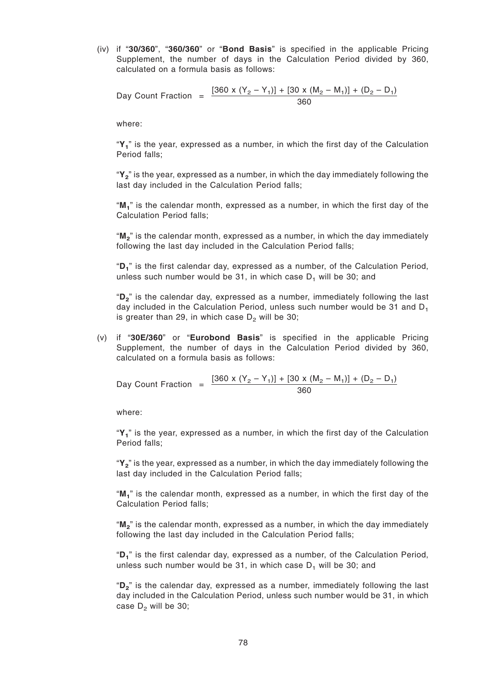(iv) if "**30/360**", "**360/360**" or "**Bond Basis**" is specified in the applicable Pricing Supplement, the number of days in the Calculation Period divided by 360, calculated on a formula basis as follows:

Day Count Fraction = 
$$
\frac{[360 \times (Y_2 - Y_1)] + [30 \times (M_2 - M_1)] + (D_2 - D_1)}{360}
$$

where:

"**Y<sup>1</sup>** " is the year, expressed as a number, in which the first day of the Calculation Period falls;

"**Y<sup>2</sup>** " is the year, expressed as a number, in which the day immediately following the last day included in the Calculation Period falls;

"**M<sup>1</sup>** " is the calendar month, expressed as a number, in which the first day of the Calculation Period falls;

"**M<sup>2</sup>** " is the calendar month, expressed as a number, in which the day immediately following the last day included in the Calculation Period falls;

"**D<sup>1</sup>** " is the first calendar day, expressed as a number, of the Calculation Period, unless such number would be 31, in which case  $D_1$  will be 30; and

"**D<sup>2</sup>** " is the calendar day, expressed as a number, immediately following the last day included in the Calculation Period, unless such number would be 31 and  $D_1$ is greater than 29, in which case  $D_2$  will be 30;

(v) if "**30E/360**" or "**Eurobond Basis**" is specified in the applicable Pricing Supplement, the number of days in the Calculation Period divided by 360, calculated on a formula basis as follows:

Day Count Fraction = 
$$
\frac{[360 \times (Y_2 - Y_1)] + [30 \times (M_2 - M_1)] + (D_2 - D_1)}{360}
$$

where:

"**Y<sup>1</sup>** " is the year, expressed as a number, in which the first day of the Calculation Period falls;

"**Y<sup>2</sup>** " is the year, expressed as a number, in which the day immediately following the last day included in the Calculation Period falls;

"**M<sup>1</sup>** " is the calendar month, expressed as a number, in which the first day of the Calculation Period falls;

"**M<sup>2</sup>** " is the calendar month, expressed as a number, in which the day immediately following the last day included in the Calculation Period falls;

"**D<sup>1</sup>** " is the first calendar day, expressed as a number, of the Calculation Period, unless such number would be 31, in which case  $D_1$  will be 30; and

"**D<sup>2</sup>** " is the calendar day, expressed as a number, immediately following the last day included in the Calculation Period, unless such number would be 31, in which case  $D_2$  will be 30;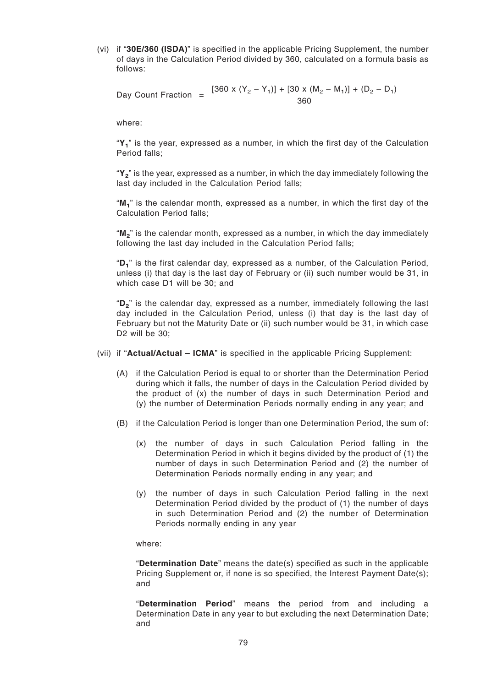(vi) if "**30E/360 (ISDA)**" is specified in the applicable Pricing Supplement, the number of days in the Calculation Period divided by 360, calculated on a formula basis as follows:

Day Count Fraction =  $\frac{[360 \times (Y_2 - Y_1)] + [30 \times (M_2 - M_1)] + (D_2 - D_1)}{200}$ 360

where:

"**Y<sup>1</sup>** " is the year, expressed as a number, in which the first day of the Calculation Period falls;

"**Y<sup>2</sup>** " is the year, expressed as a number, in which the day immediately following the last day included in the Calculation Period falls;

"**M<sup>1</sup>** " is the calendar month, expressed as a number, in which the first day of the Calculation Period falls;

"**M<sup>2</sup>** " is the calendar month, expressed as a number, in which the day immediately following the last day included in the Calculation Period falls;

"**D<sup>1</sup>** " is the first calendar day, expressed as a number, of the Calculation Period, unless (i) that day is the last day of February or (ii) such number would be 31, in which case D1 will be 30; and

"**D<sup>2</sup>** " is the calendar day, expressed as a number, immediately following the last day included in the Calculation Period, unless (i) that day is the last day of February but not the Maturity Date or (ii) such number would be 31, in which case D<sub>2</sub> will be 30:

- (vii) if "**Actual/Actual ICMA**" is specified in the applicable Pricing Supplement:
	- (A) if the Calculation Period is equal to or shorter than the Determination Period during which it falls, the number of days in the Calculation Period divided by the product of (x) the number of days in such Determination Period and (y) the number of Determination Periods normally ending in any year; and
	- (B) if the Calculation Period is longer than one Determination Period, the sum of:
		- (x) the number of days in such Calculation Period falling in the Determination Period in which it begins divided by the product of (1) the number of days in such Determination Period and (2) the number of Determination Periods normally ending in any year; and
		- (y) the number of days in such Calculation Period falling in the next Determination Period divided by the product of (1) the number of days in such Determination Period and (2) the number of Determination Periods normally ending in any year

where:

"**Determination Date**" means the date(s) specified as such in the applicable Pricing Supplement or, if none is so specified, the Interest Payment Date(s); and

"**Determination Period**" means the period from and including a Determination Date in any year to but excluding the next Determination Date; and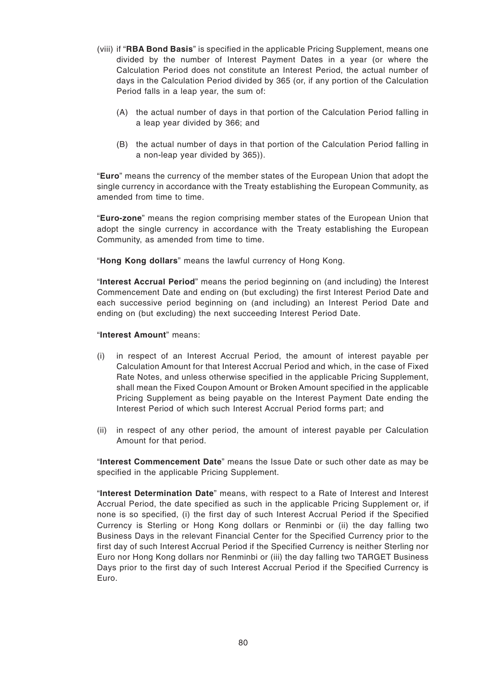- (viii) if "**RBA Bond Basis**" is specified in the applicable Pricing Supplement, means one divided by the number of Interest Payment Dates in a year (or where the Calculation Period does not constitute an Interest Period, the actual number of days in the Calculation Period divided by 365 (or, if any portion of the Calculation Period falls in a leap year, the sum of:
	- (A) the actual number of days in that portion of the Calculation Period falling in a leap year divided by 366; and
	- (B) the actual number of days in that portion of the Calculation Period falling in a non-leap year divided by 365)).

"**Euro**" means the currency of the member states of the European Union that adopt the single currency in accordance with the Treaty establishing the European Community, as amended from time to time.

"**Euro-zone**" means the region comprising member states of the European Union that adopt the single currency in accordance with the Treaty establishing the European Community, as amended from time to time.

"**Hong Kong dollars**" means the lawful currency of Hong Kong.

"**Interest Accrual Period**" means the period beginning on (and including) the Interest Commencement Date and ending on (but excluding) the first Interest Period Date and each successive period beginning on (and including) an Interest Period Date and ending on (but excluding) the next succeeding Interest Period Date.

#### "**Interest Amount**" means:

- (i) in respect of an Interest Accrual Period, the amount of interest payable per Calculation Amount for that Interest Accrual Period and which, in the case of Fixed Rate Notes, and unless otherwise specified in the applicable Pricing Supplement, shall mean the Fixed Coupon Amount or Broken Amount specified in the applicable Pricing Supplement as being payable on the Interest Payment Date ending the Interest Period of which such Interest Accrual Period forms part; and
- (ii) in respect of any other period, the amount of interest payable per Calculation Amount for that period.

"**Interest Commencement Date**" means the Issue Date or such other date as may be specified in the applicable Pricing Supplement.

"**Interest Determination Date**" means, with respect to a Rate of Interest and Interest Accrual Period, the date specified as such in the applicable Pricing Supplement or, if none is so specified, (i) the first day of such Interest Accrual Period if the Specified Currency is Sterling or Hong Kong dollars or Renminbi or (ii) the day falling two Business Days in the relevant Financial Center for the Specified Currency prior to the first day of such Interest Accrual Period if the Specified Currency is neither Sterling nor Euro nor Hong Kong dollars nor Renminbi or (iii) the day falling two TARGET Business Days prior to the first day of such Interest Accrual Period if the Specified Currency is Euro.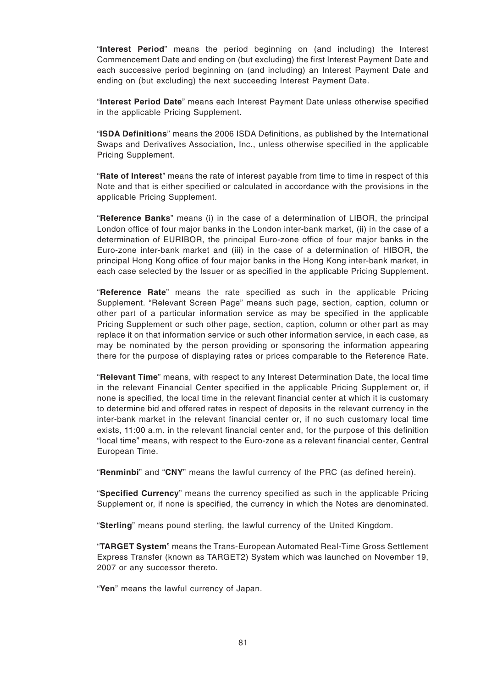"**Interest Period**" means the period beginning on (and including) the Interest Commencement Date and ending on (but excluding) the first Interest Payment Date and each successive period beginning on (and including) an Interest Payment Date and ending on (but excluding) the next succeeding Interest Payment Date.

"**Interest Period Date**" means each Interest Payment Date unless otherwise specified in the applicable Pricing Supplement.

"**ISDA Definitions**" means the 2006 ISDA Definitions, as published by the International Swaps and Derivatives Association, Inc., unless otherwise specified in the applicable Pricing Supplement.

"**Rate of Interest**" means the rate of interest payable from time to time in respect of this Note and that is either specified or calculated in accordance with the provisions in the applicable Pricing Supplement.

"**Reference Banks**" means (i) in the case of a determination of LIBOR, the principal London office of four major banks in the London inter-bank market, (ii) in the case of a determination of EURIBOR, the principal Euro-zone office of four major banks in the Euro-zone inter-bank market and (iii) in the case of a determination of HIBOR, the principal Hong Kong office of four major banks in the Hong Kong inter-bank market, in each case selected by the Issuer or as specified in the applicable Pricing Supplement.

"**Reference Rate**" means the rate specified as such in the applicable Pricing Supplement. "Relevant Screen Page" means such page, section, caption, column or other part of a particular information service as may be specified in the applicable Pricing Supplement or such other page, section, caption, column or other part as may replace it on that information service or such other information service, in each case, as may be nominated by the person providing or sponsoring the information appearing there for the purpose of displaying rates or prices comparable to the Reference Rate.

"**Relevant Time**" means, with respect to any Interest Determination Date, the local time in the relevant Financial Center specified in the applicable Pricing Supplement or, if none is specified, the local time in the relevant financial center at which it is customary to determine bid and offered rates in respect of deposits in the relevant currency in the inter-bank market in the relevant financial center or, if no such customary local time exists, 11:00 a.m. in the relevant financial center and, for the purpose of this definition "local time" means, with respect to the Euro-zone as a relevant financial center, Central European Time.

"**Renminbi**" and "**CNY**" means the lawful currency of the PRC (as defined herein).

"**Specified Currency**" means the currency specified as such in the applicable Pricing Supplement or, if none is specified, the currency in which the Notes are denominated.

"**Sterling**" means pound sterling, the lawful currency of the United Kingdom.

"**TARGET System**" means the Trans-European Automated Real-Time Gross Settlement Express Transfer (known as TARGET2) System which was launched on November 19, 2007 or any successor thereto.

"**Yen**" means the lawful currency of Japan.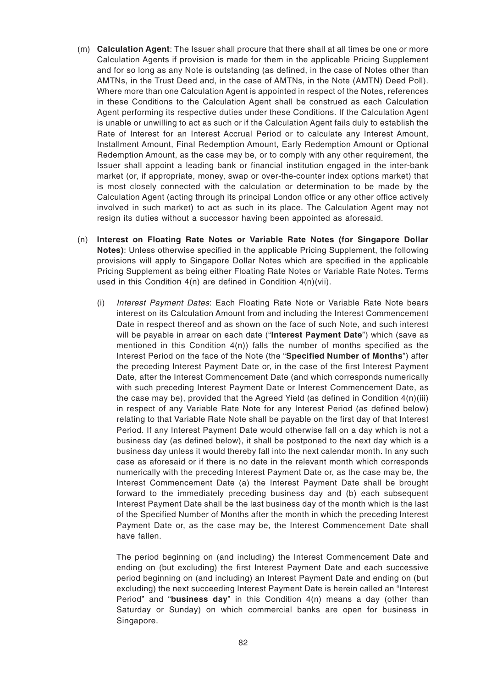- (m) **Calculation Agent**: The Issuer shall procure that there shall at all times be one or more Calculation Agents if provision is made for them in the applicable Pricing Supplement and for so long as any Note is outstanding (as defined, in the case of Notes other than AMTNs, in the Trust Deed and, in the case of AMTNs, in the Note (AMTN) Deed Poll). Where more than one Calculation Agent is appointed in respect of the Notes, references in these Conditions to the Calculation Agent shall be construed as each Calculation Agent performing its respective duties under these Conditions. If the Calculation Agent is unable or unwilling to act as such or if the Calculation Agent fails duly to establish the Rate of Interest for an Interest Accrual Period or to calculate any Interest Amount, Installment Amount, Final Redemption Amount, Early Redemption Amount or Optional Redemption Amount, as the case may be, or to comply with any other requirement, the Issuer shall appoint a leading bank or financial institution engaged in the inter-bank market (or, if appropriate, money, swap or over-the-counter index options market) that is most closely connected with the calculation or determination to be made by the Calculation Agent (acting through its principal London office or any other office actively involved in such market) to act as such in its place. The Calculation Agent may not resign its duties without a successor having been appointed as aforesaid.
- (n) **Interest on Floating Rate Notes or Variable Rate Notes (for Singapore Dollar Notes)**: Unless otherwise specified in the applicable Pricing Supplement, the following provisions will apply to Singapore Dollar Notes which are specified in the applicable Pricing Supplement as being either Floating Rate Notes or Variable Rate Notes. Terms used in this Condition 4(n) are defined in Condition 4(n)(vii).
	- (i) Interest Payment Dates: Each Floating Rate Note or Variable Rate Note bears interest on its Calculation Amount from and including the Interest Commencement Date in respect thereof and as shown on the face of such Note, and such interest will be payable in arrear on each date ("**Interest Payment Date**") which (save as mentioned in this Condition  $4(n)$  falls the number of months specified as the Interest Period on the face of the Note (the "**Specified Number of Months**") after the preceding Interest Payment Date or, in the case of the first Interest Payment Date, after the Interest Commencement Date (and which corresponds numerically with such preceding Interest Payment Date or Interest Commencement Date, as the case may be), provided that the Agreed Yield (as defined in Condition  $4(n)(iii)$ in respect of any Variable Rate Note for any Interest Period (as defined below) relating to that Variable Rate Note shall be payable on the first day of that Interest Period. If any Interest Payment Date would otherwise fall on a day which is not a business day (as defined below), it shall be postponed to the next day which is a business day unless it would thereby fall into the next calendar month. In any such case as aforesaid or if there is no date in the relevant month which corresponds numerically with the preceding Interest Payment Date or, as the case may be, the Interest Commencement Date (a) the Interest Payment Date shall be brought forward to the immediately preceding business day and (b) each subsequent Interest Payment Date shall be the last business day of the month which is the last of the Specified Number of Months after the month in which the preceding Interest Payment Date or, as the case may be, the Interest Commencement Date shall have fallen.

The period beginning on (and including) the Interest Commencement Date and ending on (but excluding) the first Interest Payment Date and each successive period beginning on (and including) an Interest Payment Date and ending on (but excluding) the next succeeding Interest Payment Date is herein called an "Interest Period" and "**business day**" in this Condition 4(n) means a day (other than Saturday or Sunday) on which commercial banks are open for business in Singapore.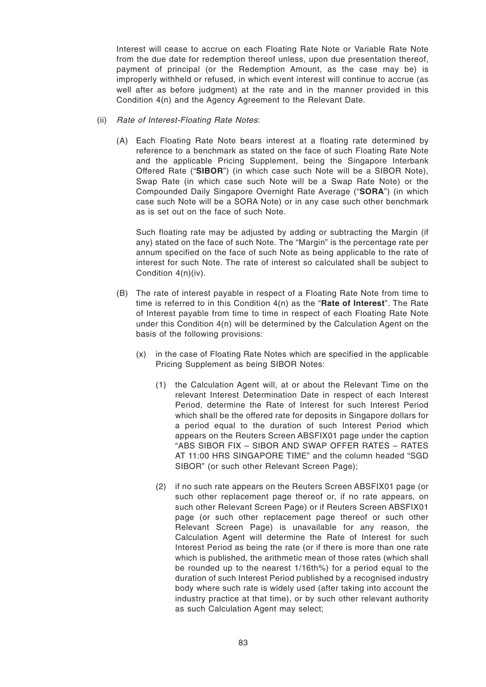Interest will cease to accrue on each Floating Rate Note or Variable Rate Note from the due date for redemption thereof unless, upon due presentation thereof, payment of principal (or the Redemption Amount, as the case may be) is improperly withheld or refused, in which event interest will continue to accrue (as well after as before judgment) at the rate and in the manner provided in this Condition 4(n) and the Agency Agreement to the Relevant Date.

- (ii) Rate of Interest-Floating Rate Notes:
	- (A) Each Floating Rate Note bears interest at a floating rate determined by reference to a benchmark as stated on the face of such Floating Rate Note and the applicable Pricing Supplement, being the Singapore Interbank Offered Rate ("**SIBOR**") (in which case such Note will be a SIBOR Note), Swap Rate (in which case such Note will be a Swap Rate Note) or the Compounded Daily Singapore Overnight Rate Average ("**SORA**") (in which case such Note will be a SORA Note) or in any case such other benchmark as is set out on the face of such Note.

Such floating rate may be adjusted by adding or subtracting the Margin (if any) stated on the face of such Note. The "Margin" is the percentage rate per annum specified on the face of such Note as being applicable to the rate of interest for such Note. The rate of interest so calculated shall be subject to Condition 4(n)(iv).

- (B) The rate of interest payable in respect of a Floating Rate Note from time to time is referred to in this Condition 4(n) as the "**Rate of Interest**". The Rate of Interest payable from time to time in respect of each Floating Rate Note under this Condition 4(n) will be determined by the Calculation Agent on the basis of the following provisions:
	- (x) in the case of Floating Rate Notes which are specified in the applicable Pricing Supplement as being SIBOR Notes:
		- (1) the Calculation Agent will, at or about the Relevant Time on the relevant Interest Determination Date in respect of each Interest Period, determine the Rate of Interest for such Interest Period which shall be the offered rate for deposits in Singapore dollars for a period equal to the duration of such Interest Period which appears on the Reuters Screen ABSFIX01 page under the caption "ABS SIBOR FIX – SIBOR AND SWAP OFFER RATES – RATES AT 11:00 HRS SINGAPORE TIME" and the column headed "SGD SIBOR" (or such other Relevant Screen Page);
		- (2) if no such rate appears on the Reuters Screen ABSFIX01 page (or such other replacement page thereof or, if no rate appears, on such other Relevant Screen Page) or if Reuters Screen ABSFIX01 page (or such other replacement page thereof or such other Relevant Screen Page) is unavailable for any reason, the Calculation Agent will determine the Rate of Interest for such Interest Period as being the rate (or if there is more than one rate which is published, the arithmetic mean of those rates (which shall be rounded up to the nearest 1/16th%) for a period equal to the duration of such Interest Period published by a recognised industry body where such rate is widely used (after taking into account the industry practice at that time), or by such other relevant authority as such Calculation Agent may select;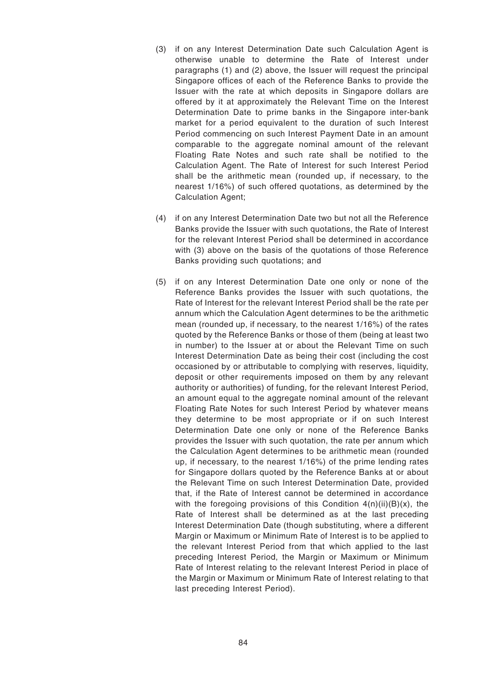- (3) if on any Interest Determination Date such Calculation Agent is otherwise unable to determine the Rate of Interest under paragraphs (1) and (2) above, the Issuer will request the principal Singapore offices of each of the Reference Banks to provide the Issuer with the rate at which deposits in Singapore dollars are offered by it at approximately the Relevant Time on the Interest Determination Date to prime banks in the Singapore inter-bank market for a period equivalent to the duration of such Interest Period commencing on such Interest Payment Date in an amount comparable to the aggregate nominal amount of the relevant Floating Rate Notes and such rate shall be notified to the Calculation Agent. The Rate of Interest for such Interest Period shall be the arithmetic mean (rounded up, if necessary, to the nearest 1/16%) of such offered quotations, as determined by the Calculation Agent;
- (4) if on any Interest Determination Date two but not all the Reference Banks provide the Issuer with such quotations, the Rate of Interest for the relevant Interest Period shall be determined in accordance with (3) above on the basis of the quotations of those Reference Banks providing such quotations; and
- (5) if on any Interest Determination Date one only or none of the Reference Banks provides the Issuer with such quotations, the Rate of Interest for the relevant Interest Period shall be the rate per annum which the Calculation Agent determines to be the arithmetic mean (rounded up, if necessary, to the nearest 1/16%) of the rates quoted by the Reference Banks or those of them (being at least two in number) to the Issuer at or about the Relevant Time on such Interest Determination Date as being their cost (including the cost occasioned by or attributable to complying with reserves, liquidity, deposit or other requirements imposed on them by any relevant authority or authorities) of funding, for the relevant Interest Period, an amount equal to the aggregate nominal amount of the relevant Floating Rate Notes for such Interest Period by whatever means they determine to be most appropriate or if on such Interest Determination Date one only or none of the Reference Banks provides the Issuer with such quotation, the rate per annum which the Calculation Agent determines to be arithmetic mean (rounded up, if necessary, to the nearest 1/16%) of the prime lending rates for Singapore dollars quoted by the Reference Banks at or about the Relevant Time on such Interest Determination Date, provided that, if the Rate of Interest cannot be determined in accordance with the foregoing provisions of this Condition  $4(n)(ii)(B)(x)$ , the Rate of Interest shall be determined as at the last preceding Interest Determination Date (though substituting, where a different Margin or Maximum or Minimum Rate of Interest is to be applied to the relevant Interest Period from that which applied to the last preceding Interest Period, the Margin or Maximum or Minimum Rate of Interest relating to the relevant Interest Period in place of the Margin or Maximum or Minimum Rate of Interest relating to that last preceding Interest Period).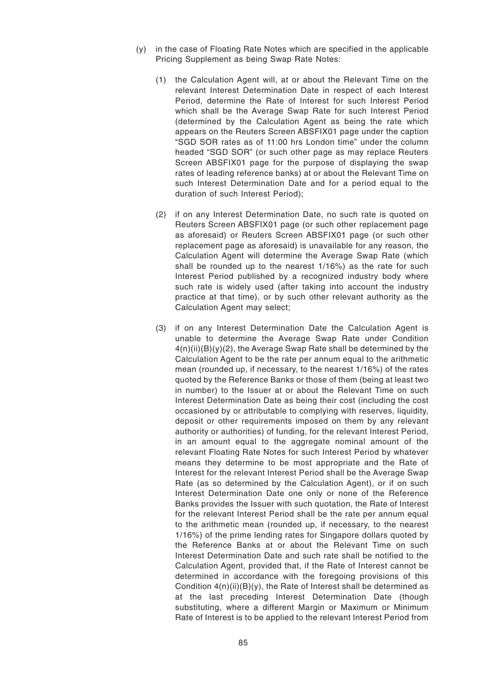- (y) in the case of Floating Rate Notes which are specified in the applicable Pricing Supplement as being Swap Rate Notes:
	- (1) the Calculation Agent will, at or about the Relevant Time on the relevant Interest Determination Date in respect of each Interest Period, determine the Rate of Interest for such Interest Period which shall be the Average Swap Rate for such Interest Period (determined by the Calculation Agent as being the rate which appears on the Reuters Screen ABSFIX01 page under the caption "SGD SOR rates as of 11:00 hrs London time" under the column headed "SGD SOR" (or such other page as may replace Reuters Screen ABSFIX01 page for the purpose of displaying the swap rates of leading reference banks) at or about the Relevant Time on such Interest Determination Date and for a period equal to the duration of such Interest Period);
	- (2) if on any Interest Determination Date, no such rate is quoted on Reuters Screen ABSFIX01 page (or such other replacement page as aforesaid) or Reuters Screen ABSFIX01 page (or such other replacement page as aforesaid) is unavailable for any reason, the Calculation Agent will determine the Average Swap Rate (which shall be rounded up to the nearest 1/16%) as the rate for such Interest Period published by a recognized industry body where such rate is widely used (after taking into account the industry practice at that time), or by such other relevant authority as the Calculation Agent may select;
	- (3) if on any Interest Determination Date the Calculation Agent is unable to determine the Average Swap Rate under Condition  $4(n)(ii)(B)(y)(2)$ , the Average Swap Rate shall be determined by the Calculation Agent to be the rate per annum equal to the arithmetic mean (rounded up, if necessary, to the nearest 1/16%) of the rates quoted by the Reference Banks or those of them (being at least two in number) to the Issuer at or about the Relevant Time on such Interest Determination Date as being their cost (including the cost occasioned by or attributable to complying with reserves, liquidity, deposit or other requirements imposed on them by any relevant authority or authorities) of funding, for the relevant Interest Period, in an amount equal to the aggregate nominal amount of the relevant Floating Rate Notes for such Interest Period by whatever means they determine to be most appropriate and the Rate of Interest for the relevant Interest Period shall be the Average Swap Rate (as so determined by the Calculation Agent), or if on such Interest Determination Date one only or none of the Reference Banks provides the Issuer with such quotation, the Rate of Interest for the relevant Interest Period shall be the rate per annum equal to the arithmetic mean (rounded up, if necessary, to the nearest 1/16%) of the prime lending rates for Singapore dollars quoted by the Reference Banks at or about the Relevant Time on such Interest Determination Date and such rate shall be notified to the Calculation Agent, provided that, if the Rate of Interest cannot be determined in accordance with the foregoing provisions of this Condition 4(n)(ii)(B)(y), the Rate of Interest shall be determined as at the last preceding Interest Determination Date (though substituting, where a different Margin or Maximum or Minimum Rate of Interest is to be applied to the relevant Interest Period from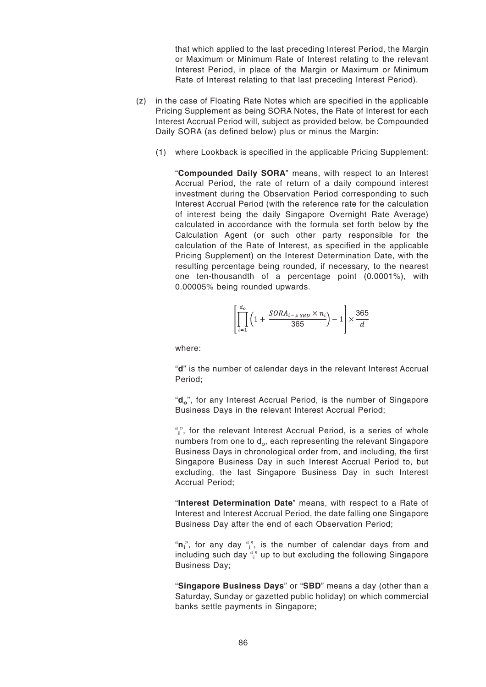that which applied to the last preceding Interest Period, the Margin or Maximum or Minimum Rate of Interest relating to the relevant Interest Period, in place of the Margin or Maximum or Minimum Rate of Interest relating to that last preceding Interest Period).

- (z) in the case of Floating Rate Notes which are specified in the applicable Pricing Supplement as being SORA Notes, the Rate of Interest for each Interest Accrual Period will, subject as provided below, be Compounded Daily SORA (as defined below) plus or minus the Margin:
	- (1) where Lookback is specified in the applicable Pricing Supplement:

"**Compounded Daily SORA**" means, with respect to an Interest Accrual Period, the rate of return of a daily compound interest investment during the Observation Period corresponding to such Interest Accrual Period (with the reference rate for the calculation of interest being the daily Singapore Overnight Rate Average) calculated in accordance with the formula set forth below by the Calculation Agent (or such other party responsible for the calculation of the Rate of Interest, as specified in the applicable Pricing Supplement) on the Interest Determination Date, with the resulting percentage being rounded, if necessary, to the nearest one ten-thousandth of a percentage point (0.0001%), with 0.00005% being rounded upwards.

$$
\left[\prod_{i=1}^{d_o} \left(1 + \frac{SORA_{i-xSBD} \times n_i}{365}\right) - 1\right] \times \frac{365}{d}
$$

where:

"**d**" is the number of calendar days in the relevant Interest Accrual Period;

"**d<sup>o</sup>** ", for any Interest Accrual Period, is the number of Singapore Business Days in the relevant Interest Accrual Period;

"**i** ", for the relevant Interest Accrual Period, is a series of whole numbers from one to d $_{\rm o}$ , each representing the relevant Singapore Business Days in chronological order from, and including, the first Singapore Business Day in such Interest Accrual Period to, but excluding, the last Singapore Business Day in such Interest Accrual Period;

"**Interest Determination Date**" means, with respect to a Rate of Interest and Interest Accrual Period, the date falling one Singapore Business Day after the end of each Observation Period;

"**n**<sub>i</sub>", for any day "<sub>i</sub>", is the number of calendar days from and including such day " $\mathring{\,}$  up to but excluding the following Singapore Business Day;

"**Singapore Business Days**" or "**SBD**" means a day (other than a Saturday, Sunday or gazetted public holiday) on which commercial banks settle payments in Singapore;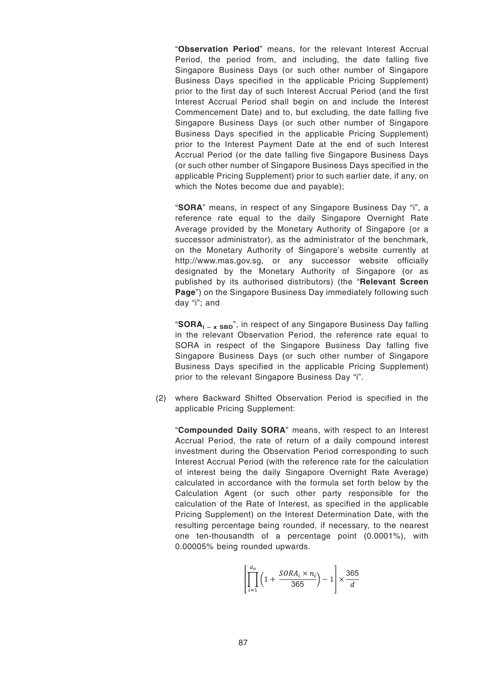"**Observation Period**" means, for the relevant Interest Accrual Period, the period from, and including, the date falling five Singapore Business Days (or such other number of Singapore Business Days specified in the applicable Pricing Supplement) prior to the first day of such Interest Accrual Period (and the first Interest Accrual Period shall begin on and include the Interest Commencement Date) and to, but excluding, the date falling five Singapore Business Days (or such other number of Singapore Business Days specified in the applicable Pricing Supplement) prior to the Interest Payment Date at the end of such Interest Accrual Period (or the date falling five Singapore Business Days (or such other number of Singapore Business Days specified in the applicable Pricing Supplement) prior to such earlier date, if any, on which the Notes become due and payable);

"**SORA**" means, in respect of any Singapore Business Day "i", a reference rate equal to the daily Singapore Overnight Rate Average provided by the Monetary Authority of Singapore (or a successor administrator), as the administrator of the benchmark, on the Monetary Authority of Singapore's website currently at http://www.mas.gov.sg, or any successor website officially designated by the Monetary Authority of Singapore (or as published by its authorised distributors) (the "**Relevant Screen Page**") on the Singapore Business Day immediately following such day "i"; and

"**SORA**<sub>i – x SBD</sub>", in respect of any Singapore Business Day falling in the relevant Observation Period, the reference rate equal to SORA in respect of the Singapore Business Day falling five Singapore Business Days (or such other number of Singapore Business Days specified in the applicable Pricing Supplement) prior to the relevant Singapore Business Day "i".

(2) where Backward Shifted Observation Period is specified in the applicable Pricing Supplement:

"**Compounded Daily SORA**" means, with respect to an Interest Accrual Period, the rate of return of a daily compound interest investment during the Observation Period corresponding to such Interest Accrual Period (with the reference rate for the calculation of interest being the daily Singapore Overnight Rate Average) calculated in accordance with the formula set forth below by the Calculation Agent (or such other party responsible for the calculation of the Rate of Interest, as specified in the applicable Pricing Supplement) on the Interest Determination Date, with the resulting percentage being rounded, if necessary, to the nearest one ten-thousandth of a percentage point (0.0001%), with 0.00005% being rounded upwards.

$$
\left[\prod_{i=1}^{d_o} \left(1 + \frac{SORA_i \times n_i}{365}\right) - 1\right] \times \frac{365}{d}
$$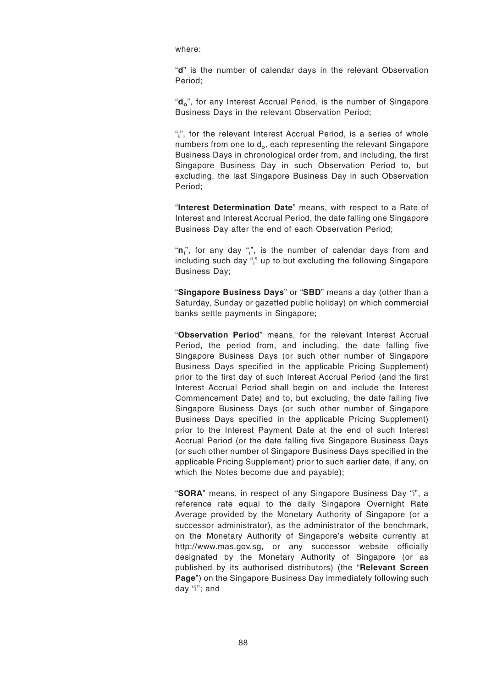where:

"**d**" is the number of calendar days in the relevant Observation Period;

"**d<sup>o</sup>** ", for any Interest Accrual Period, is the number of Singapore Business Days in the relevant Observation Period;

"**i** ", for the relevant Interest Accrual Period, is a series of whole numbers from one to d $_{\rm o}$ , each representing the relevant Singapore Business Days in chronological order from, and including, the first Singapore Business Day in such Observation Period to, but excluding, the last Singapore Business Day in such Observation Period;

"**Interest Determination Date**" means, with respect to a Rate of Interest and Interest Accrual Period, the date falling one Singapore Business Day after the end of each Observation Period;

"**n**<sub>i</sub>", for any day "<sub>i</sub>", is the number of calendar days from and including such day " $\mathring{\,}$  up to but excluding the following Singapore Business Day;

"**Singapore Business Days**" or "**SBD**" means a day (other than a Saturday, Sunday or gazetted public holiday) on which commercial banks settle payments in Singapore;

"**Observation Period**" means, for the relevant Interest Accrual Period, the period from, and including, the date falling five Singapore Business Days (or such other number of Singapore Business Days specified in the applicable Pricing Supplement) prior to the first day of such Interest Accrual Period (and the first Interest Accrual Period shall begin on and include the Interest Commencement Date) and to, but excluding, the date falling five Singapore Business Days (or such other number of Singapore Business Days specified in the applicable Pricing Supplement) prior to the Interest Payment Date at the end of such Interest Accrual Period (or the date falling five Singapore Business Days (or such other number of Singapore Business Days specified in the applicable Pricing Supplement) prior to such earlier date, if any, on which the Notes become due and payable);

"**SORA**" means, in respect of any Singapore Business Day "i", a reference rate equal to the daily Singapore Overnight Rate Average provided by the Monetary Authority of Singapore (or a successor administrator), as the administrator of the benchmark, on the Monetary Authority of Singapore's website currently at http://www.mas.gov.sg, or any successor website officially designated by the Monetary Authority of Singapore (or as published by its authorised distributors) (the "**Relevant Screen Page**") on the Singapore Business Day immediately following such day "i"; and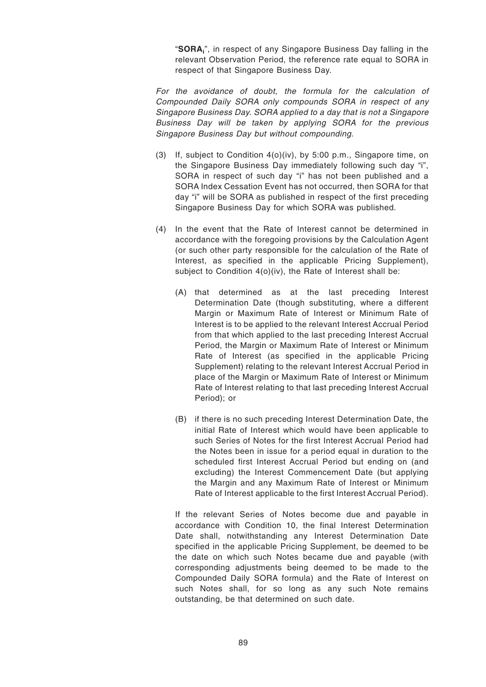"**SORA<sup>i</sup>** ", in respect of any Singapore Business Day falling in the relevant Observation Period, the reference rate equal to SORA in respect of that Singapore Business Day.

For the avoidance of doubt, the formula for the calculation of Compounded Daily SORA only compounds SORA in respect of any Singapore Business Day. SORA applied to a day that is not a Singapore Business Day will be taken by applying SORA for the previous Singapore Business Day but without compounding.

- (3) If, subject to Condition 4(o)(iv), by 5:00 p.m., Singapore time, on the Singapore Business Day immediately following such day "i", SORA in respect of such day "i" has not been published and a SORA Index Cessation Event has not occurred, then SORA for that day "i" will be SORA as published in respect of the first preceding Singapore Business Day for which SORA was published.
- (4) In the event that the Rate of Interest cannot be determined in accordance with the foregoing provisions by the Calculation Agent (or such other party responsible for the calculation of the Rate of Interest, as specified in the applicable Pricing Supplement), subject to Condition 4(o)(iv), the Rate of Interest shall be:
	- (A) that determined as at the last preceding Interest Determination Date (though substituting, where a different Margin or Maximum Rate of Interest or Minimum Rate of Interest is to be applied to the relevant Interest Accrual Period from that which applied to the last preceding Interest Accrual Period, the Margin or Maximum Rate of Interest or Minimum Rate of Interest (as specified in the applicable Pricing Supplement) relating to the relevant Interest Accrual Period in place of the Margin or Maximum Rate of Interest or Minimum Rate of Interest relating to that last preceding Interest Accrual Period); or
	- (B) if there is no such preceding Interest Determination Date, the initial Rate of Interest which would have been applicable to such Series of Notes for the first Interest Accrual Period had the Notes been in issue for a period equal in duration to the scheduled first Interest Accrual Period but ending on (and excluding) the Interest Commencement Date (but applying the Margin and any Maximum Rate of Interest or Minimum Rate of Interest applicable to the first Interest Accrual Period).

If the relevant Series of Notes become due and payable in accordance with Condition 10, the final Interest Determination Date shall, notwithstanding any Interest Determination Date specified in the applicable Pricing Supplement, be deemed to be the date on which such Notes became due and payable (with corresponding adjustments being deemed to be made to the Compounded Daily SORA formula) and the Rate of Interest on such Notes shall, for so long as any such Note remains outstanding, be that determined on such date.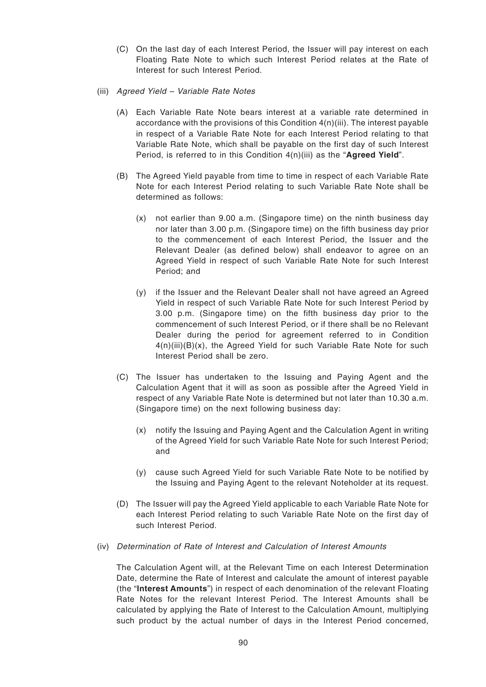- (C) On the last day of each Interest Period, the Issuer will pay interest on each Floating Rate Note to which such Interest Period relates at the Rate of Interest for such Interest Period.
- (iii) Agreed Yield Variable Rate Notes
	- (A) Each Variable Rate Note bears interest at a variable rate determined in accordance with the provisions of this Condition  $4(n)(iii)$ . The interest payable in respect of a Variable Rate Note for each Interest Period relating to that Variable Rate Note, which shall be payable on the first day of such Interest Period, is referred to in this Condition 4(n)(iii) as the "**Agreed Yield**".
	- (B) The Agreed Yield payable from time to time in respect of each Variable Rate Note for each Interest Period relating to such Variable Rate Note shall be determined as follows:
		- (x) not earlier than 9.00 a.m. (Singapore time) on the ninth business day nor later than 3.00 p.m. (Singapore time) on the fifth business day prior to the commencement of each Interest Period, the Issuer and the Relevant Dealer (as defined below) shall endeavor to agree on an Agreed Yield in respect of such Variable Rate Note for such Interest Period; and
		- (y) if the Issuer and the Relevant Dealer shall not have agreed an Agreed Yield in respect of such Variable Rate Note for such Interest Period by 3.00 p.m. (Singapore time) on the fifth business day prior to the commencement of such Interest Period, or if there shall be no Relevant Dealer during the period for agreement referred to in Condition  $4(n)(iii)(B)(x)$ , the Agreed Yield for such Variable Rate Note for such Interest Period shall be zero.
	- (C) The Issuer has undertaken to the Issuing and Paying Agent and the Calculation Agent that it will as soon as possible after the Agreed Yield in respect of any Variable Rate Note is determined but not later than 10.30 a.m. (Singapore time) on the next following business day:
		- (x) notify the Issuing and Paying Agent and the Calculation Agent in writing of the Agreed Yield for such Variable Rate Note for such Interest Period; and
		- (y) cause such Agreed Yield for such Variable Rate Note to be notified by the Issuing and Paying Agent to the relevant Noteholder at its request.
	- (D) The Issuer will pay the Agreed Yield applicable to each Variable Rate Note for each Interest Period relating to such Variable Rate Note on the first day of such Interest Period.
- (iv) Determination of Rate of Interest and Calculation of Interest Amounts

The Calculation Agent will, at the Relevant Time on each Interest Determination Date, determine the Rate of Interest and calculate the amount of interest payable (the "**Interest Amounts**") in respect of each denomination of the relevant Floating Rate Notes for the relevant Interest Period. The Interest Amounts shall be calculated by applying the Rate of Interest to the Calculation Amount, multiplying such product by the actual number of days in the Interest Period concerned,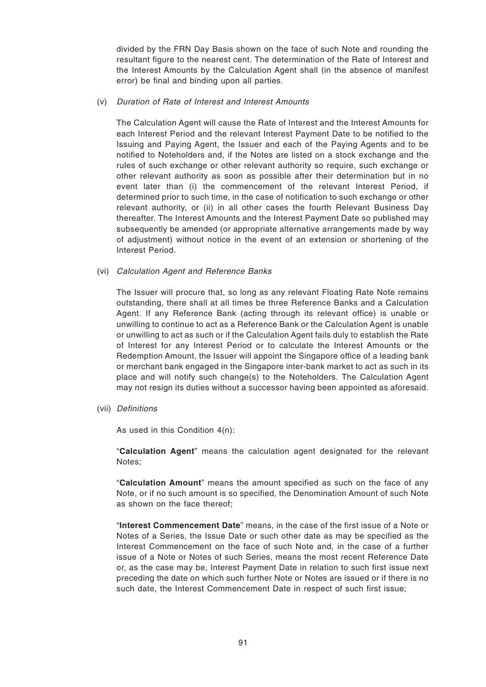divided by the FRN Day Basis shown on the face of such Note and rounding the resultant figure to the nearest cent. The determination of the Rate of Interest and the Interest Amounts by the Calculation Agent shall (in the absence of manifest error) be final and binding upon all parties.

### (v) Duration of Rate of Interest and Interest Amounts

The Calculation Agent will cause the Rate of Interest and the Interest Amounts for each Interest Period and the relevant Interest Payment Date to be notified to the Issuing and Paying Agent, the Issuer and each of the Paying Agents and to be notified to Noteholders and, if the Notes are listed on a stock exchange and the rules of such exchange or other relevant authority so require, such exchange or other relevant authority as soon as possible after their determination but in no event later than (i) the commencement of the relevant Interest Period, if determined prior to such time, in the case of notification to such exchange or other relevant authority, or (ii) in all other cases the fourth Relevant Business Day thereafter. The Interest Amounts and the Interest Payment Date so published may subsequently be amended (or appropriate alternative arrangements made by way of adjustment) without notice in the event of an extension or shortening of the Interest Period.

### (vi) Calculation Agent and Reference Banks

The Issuer will procure that, so long as any relevant Floating Rate Note remains outstanding, there shall at all times be three Reference Banks and a Calculation Agent. If any Reference Bank (acting through its relevant office) is unable or unwilling to continue to act as a Reference Bank or the Calculation Agent is unable or unwilling to act as such or if the Calculation Agent fails duly to establish the Rate of Interest for any Interest Period or to calculate the Interest Amounts or the Redemption Amount, the Issuer will appoint the Singapore office of a leading bank or merchant bank engaged in the Singapore inter-bank market to act as such in its place and will notify such change(s) to the Noteholders. The Calculation Agent may not resign its duties without a successor having been appointed as aforesaid.

(vii) Definitions

As used in this Condition 4(n):

"**Calculation Agent**" means the calculation agent designated for the relevant Notes;

"**Calculation Amount**" means the amount specified as such on the face of any Note, or if no such amount is so specified, the Denomination Amount of such Note as shown on the face thereof;

"**Interest Commencement Date**" means, in the case of the first issue of a Note or Notes of a Series, the Issue Date or such other date as may be specified as the Interest Commencement on the face of such Note and, in the case of a further issue of a Note or Notes of such Series, means the most recent Reference Date or, as the case may be, Interest Payment Date in relation to such first issue next preceding the date on which such further Note or Notes are issued or if there is no such date, the Interest Commencement Date in respect of such first issue;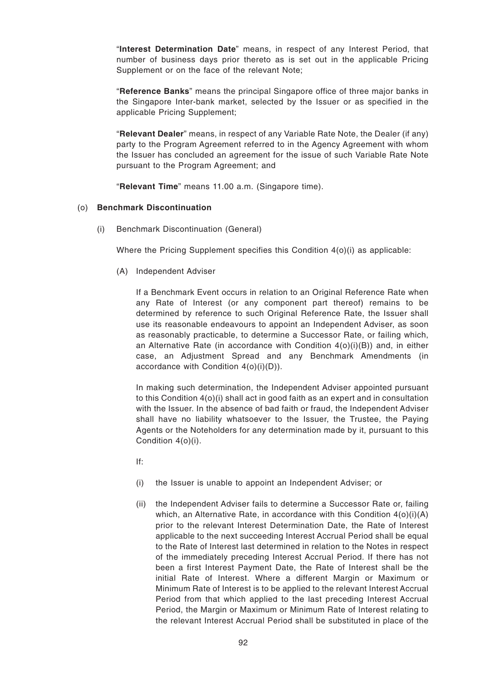"**Interest Determination Date**" means, in respect of any Interest Period, that number of business days prior thereto as is set out in the applicable Pricing Supplement or on the face of the relevant Note;

"**Reference Banks**" means the principal Singapore office of three major banks in the Singapore Inter-bank market, selected by the Issuer or as specified in the applicable Pricing Supplement;

"**Relevant Dealer**" means, in respect of any Variable Rate Note, the Dealer (if any) party to the Program Agreement referred to in the Agency Agreement with whom the Issuer has concluded an agreement for the issue of such Variable Rate Note pursuant to the Program Agreement; and

"**Relevant Time**" means 11.00 a.m. (Singapore time).

### (o) **Benchmark Discontinuation**

(i) Benchmark Discontinuation (General)

Where the Pricing Supplement specifies this Condition 4(o)(i) as applicable:

(A) Independent Adviser

If a Benchmark Event occurs in relation to an Original Reference Rate when any Rate of Interest (or any component part thereof) remains to be determined by reference to such Original Reference Rate, the Issuer shall use its reasonable endeavours to appoint an Independent Adviser, as soon as reasonably practicable, to determine a Successor Rate, or failing which, an Alternative Rate (in accordance with Condition  $4(o)(i)(B)$ ) and, in either case, an Adjustment Spread and any Benchmark Amendments (in accordance with Condition 4(o)(i)(D)).

In making such determination, the Independent Adviser appointed pursuant to this Condition 4(o)(i) shall act in good faith as an expert and in consultation with the Issuer. In the absence of bad faith or fraud, the Independent Adviser shall have no liability whatsoever to the Issuer, the Trustee, the Paying Agents or the Noteholders for any determination made by it, pursuant to this Condition 4(o)(i).

If:

- (i) the Issuer is unable to appoint an Independent Adviser; or
- (ii) the Independent Adviser fails to determine a Successor Rate or, failing which, an Alternative Rate, in accordance with this Condition  $4(0)(i)(A)$ prior to the relevant Interest Determination Date, the Rate of Interest applicable to the next succeeding Interest Accrual Period shall be equal to the Rate of Interest last determined in relation to the Notes in respect of the immediately preceding Interest Accrual Period. If there has not been a first Interest Payment Date, the Rate of Interest shall be the initial Rate of Interest. Where a different Margin or Maximum or Minimum Rate of Interest is to be applied to the relevant Interest Accrual Period from that which applied to the last preceding Interest Accrual Period, the Margin or Maximum or Minimum Rate of Interest relating to the relevant Interest Accrual Period shall be substituted in place of the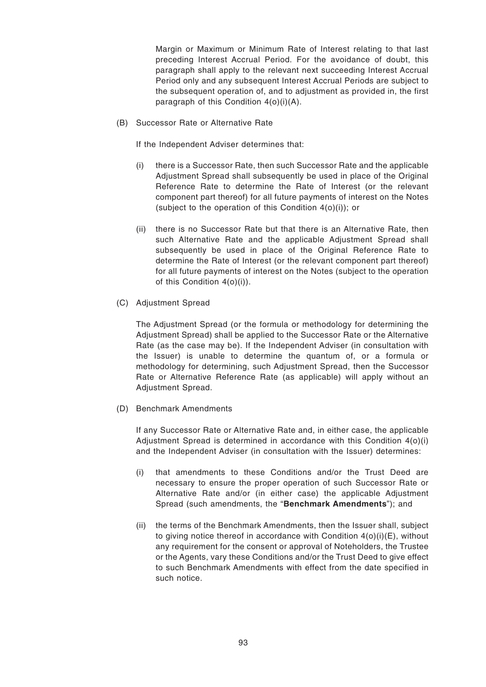Margin or Maximum or Minimum Rate of Interest relating to that last preceding Interest Accrual Period. For the avoidance of doubt, this paragraph shall apply to the relevant next succeeding Interest Accrual Period only and any subsequent Interest Accrual Periods are subject to the subsequent operation of, and to adjustment as provided in, the first paragraph of this Condition 4(o)(i)(A).

(B) Successor Rate or Alternative Rate

If the Independent Adviser determines that:

- (i) there is a Successor Rate, then such Successor Rate and the applicable Adjustment Spread shall subsequently be used in place of the Original Reference Rate to determine the Rate of Interest (or the relevant component part thereof) for all future payments of interest on the Notes (subject to the operation of this Condition 4(o)(i)); or
- (ii) there is no Successor Rate but that there is an Alternative Rate, then such Alternative Rate and the applicable Adjustment Spread shall subsequently be used in place of the Original Reference Rate to determine the Rate of Interest (or the relevant component part thereof) for all future payments of interest on the Notes (subject to the operation of this Condition 4(o)(i)).
- (C) Adjustment Spread

The Adjustment Spread (or the formula or methodology for determining the Adjustment Spread) shall be applied to the Successor Rate or the Alternative Rate (as the case may be). If the Independent Adviser (in consultation with the Issuer) is unable to determine the quantum of, or a formula or methodology for determining, such Adjustment Spread, then the Successor Rate or Alternative Reference Rate (as applicable) will apply without an Adjustment Spread.

(D) Benchmark Amendments

If any Successor Rate or Alternative Rate and, in either case, the applicable Adjustment Spread is determined in accordance with this Condition 4(o)(i) and the Independent Adviser (in consultation with the Issuer) determines:

- (i) that amendments to these Conditions and/or the Trust Deed are necessary to ensure the proper operation of such Successor Rate or Alternative Rate and/or (in either case) the applicable Adjustment Spread (such amendments, the "**Benchmark Amendments**"); and
- (ii) the terms of the Benchmark Amendments, then the Issuer shall, subject to giving notice thereof in accordance with Condition  $4(0)(i)(E)$ , without any requirement for the consent or approval of Noteholders, the Trustee or the Agents, vary these Conditions and/or the Trust Deed to give effect to such Benchmark Amendments with effect from the date specified in such notice.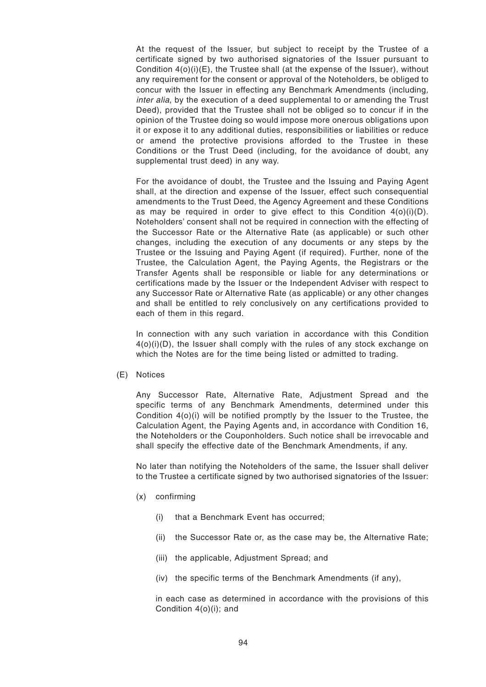At the request of the Issuer, but subject to receipt by the Trustee of a certificate signed by two authorised signatories of the Issuer pursuant to Condition 4(o)(i)(E), the Trustee shall (at the expense of the Issuer), without any requirement for the consent or approval of the Noteholders, be obliged to concur with the Issuer in effecting any Benchmark Amendments (including, inter alia, by the execution of a deed supplemental to or amending the Trust Deed), provided that the Trustee shall not be obliged so to concur if in the opinion of the Trustee doing so would impose more onerous obligations upon it or expose it to any additional duties, responsibilities or liabilities or reduce or amend the protective provisions afforded to the Trustee in these Conditions or the Trust Deed (including, for the avoidance of doubt, any supplemental trust deed) in any way.

For the avoidance of doubt, the Trustee and the Issuing and Paying Agent shall, at the direction and expense of the Issuer, effect such consequential amendments to the Trust Deed, the Agency Agreement and these Conditions as may be required in order to give effect to this Condition  $4(0)(i)(D)$ . Noteholders' consent shall not be required in connection with the effecting of the Successor Rate or the Alternative Rate (as applicable) or such other changes, including the execution of any documents or any steps by the Trustee or the Issuing and Paying Agent (if required). Further, none of the Trustee, the Calculation Agent, the Paying Agents, the Registrars or the Transfer Agents shall be responsible or liable for any determinations or certifications made by the Issuer or the Independent Adviser with respect to any Successor Rate or Alternative Rate (as applicable) or any other changes and shall be entitled to rely conclusively on any certifications provided to each of them in this regard.

In connection with any such variation in accordance with this Condition  $4(0)(i)(D)$ , the Issuer shall comply with the rules of any stock exchange on which the Notes are for the time being listed or admitted to trading.

(E) Notices

Any Successor Rate, Alternative Rate, Adjustment Spread and the specific terms of any Benchmark Amendments, determined under this Condition 4(o)(i) will be notified promptly by the Issuer to the Trustee, the Calculation Agent, the Paying Agents and, in accordance with Condition 16, the Noteholders or the Couponholders. Such notice shall be irrevocable and shall specify the effective date of the Benchmark Amendments, if any.

No later than notifying the Noteholders of the same, the Issuer shall deliver to the Trustee a certificate signed by two authorised signatories of the Issuer:

- (x) confirming
	- (i) that a Benchmark Event has occurred;
	- (ii) the Successor Rate or, as the case may be, the Alternative Rate;
	- (iii) the applicable, Adjustment Spread; and
	- (iv) the specific terms of the Benchmark Amendments (if any),

in each case as determined in accordance with the provisions of this Condition 4(o)(i); and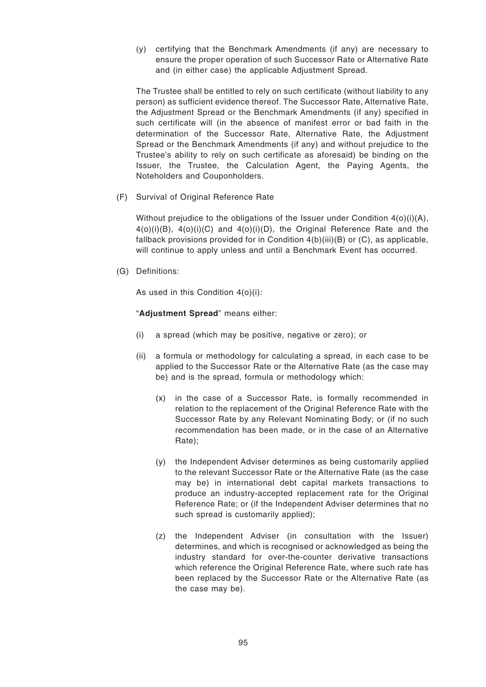(y) certifying that the Benchmark Amendments (if any) are necessary to ensure the proper operation of such Successor Rate or Alternative Rate and (in either case) the applicable Adjustment Spread.

The Trustee shall be entitled to rely on such certificate (without liability to any person) as sufficient evidence thereof. The Successor Rate, Alternative Rate, the Adjustment Spread or the Benchmark Amendments (if any) specified in such certificate will (in the absence of manifest error or bad faith in the determination of the Successor Rate, Alternative Rate, the Adjustment Spread or the Benchmark Amendments (if any) and without prejudice to the Trustee's ability to rely on such certificate as aforesaid) be binding on the Issuer, the Trustee, the Calculation Agent, the Paying Agents, the Noteholders and Couponholders.

(F) Survival of Original Reference Rate

Without prejudice to the obligations of the Issuer under Condition 4(o)(i)(A),  $4(0)(i)(B)$ ,  $4(0)(i)(C)$  and  $4(0)(i)(D)$ , the Original Reference Rate and the fallback provisions provided for in Condition  $4(b)(iii)(B)$  or  $(C)$ , as applicable, will continue to apply unless and until a Benchmark Event has occurred.

(G) Definitions:

As used in this Condition 4(o)(i):

"**Adjustment Spread**" means either:

- (i) a spread (which may be positive, negative or zero); or
- (ii) a formula or methodology for calculating a spread, in each case to be applied to the Successor Rate or the Alternative Rate (as the case may be) and is the spread, formula or methodology which:
	- (x) in the case of a Successor Rate, is formally recommended in relation to the replacement of the Original Reference Rate with the Successor Rate by any Relevant Nominating Body; or (if no such recommendation has been made, or in the case of an Alternative Rate);
	- (y) the Independent Adviser determines as being customarily applied to the relevant Successor Rate or the Alternative Rate (as the case may be) in international debt capital markets transactions to produce an industry-accepted replacement rate for the Original Reference Rate; or (if the Independent Adviser determines that no such spread is customarily applied);
	- (z) the Independent Adviser (in consultation with the Issuer) determines, and which is recognised or acknowledged as being the industry standard for over-the-counter derivative transactions which reference the Original Reference Rate, where such rate has been replaced by the Successor Rate or the Alternative Rate (as the case may be).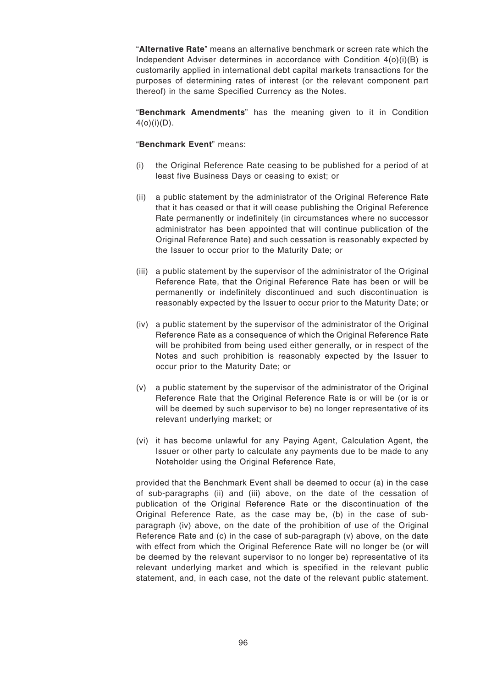"**Alternative Rate**" means an alternative benchmark or screen rate which the Independent Adviser determines in accordance with Condition  $4(0)(i)(B)$  is customarily applied in international debt capital markets transactions for the purposes of determining rates of interest (or the relevant component part thereof) in the same Specified Currency as the Notes.

"**Benchmark Amendments**" has the meaning given to it in Condition  $4(o)(i)(D)$ .

"**Benchmark Event**" means:

- (i) the Original Reference Rate ceasing to be published for a period of at least five Business Days or ceasing to exist; or
- (ii) a public statement by the administrator of the Original Reference Rate that it has ceased or that it will cease publishing the Original Reference Rate permanently or indefinitely (in circumstances where no successor administrator has been appointed that will continue publication of the Original Reference Rate) and such cessation is reasonably expected by the Issuer to occur prior to the Maturity Date; or
- (iii) a public statement by the supervisor of the administrator of the Original Reference Rate, that the Original Reference Rate has been or will be permanently or indefinitely discontinued and such discontinuation is reasonably expected by the Issuer to occur prior to the Maturity Date; or
- (iv) a public statement by the supervisor of the administrator of the Original Reference Rate as a consequence of which the Original Reference Rate will be prohibited from being used either generally, or in respect of the Notes and such prohibition is reasonably expected by the Issuer to occur prior to the Maturity Date; or
- (v) a public statement by the supervisor of the administrator of the Original Reference Rate that the Original Reference Rate is or will be (or is or will be deemed by such supervisor to be) no longer representative of its relevant underlying market; or
- (vi) it has become unlawful for any Paying Agent, Calculation Agent, the Issuer or other party to calculate any payments due to be made to any Noteholder using the Original Reference Rate,

provided that the Benchmark Event shall be deemed to occur (a) in the case of sub-paragraphs (ii) and (iii) above, on the date of the cessation of publication of the Original Reference Rate or the discontinuation of the Original Reference Rate, as the case may be, (b) in the case of subparagraph (iv) above, on the date of the prohibition of use of the Original Reference Rate and (c) in the case of sub-paragraph (v) above, on the date with effect from which the Original Reference Rate will no longer be (or will be deemed by the relevant supervisor to no longer be) representative of its relevant underlying market and which is specified in the relevant public statement, and, in each case, not the date of the relevant public statement.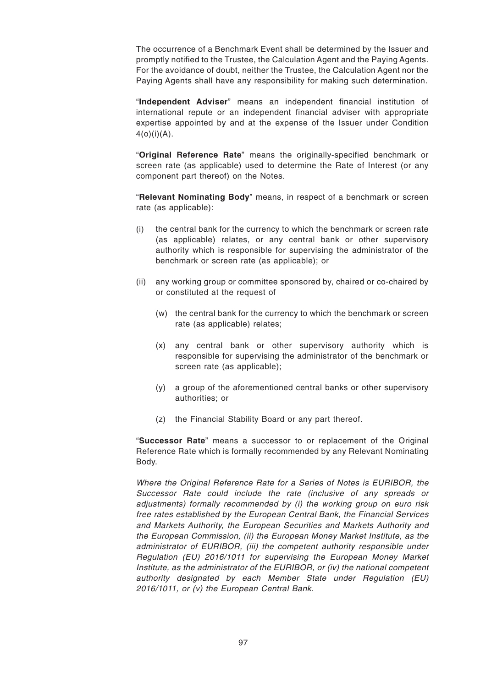The occurrence of a Benchmark Event shall be determined by the Issuer and promptly notified to the Trustee, the Calculation Agent and the Paying Agents. For the avoidance of doubt, neither the Trustee, the Calculation Agent nor the Paying Agents shall have any responsibility for making such determination.

"**Independent Adviser**" means an independent financial institution of international repute or an independent financial adviser with appropriate expertise appointed by and at the expense of the Issuer under Condition  $4(o)(i)(A)$ .

"**Original Reference Rate**" means the originally-specified benchmark or screen rate (as applicable) used to determine the Rate of Interest (or any component part thereof) on the Notes.

"**Relevant Nominating Body**" means, in respect of a benchmark or screen rate (as applicable):

- (i) the central bank for the currency to which the benchmark or screen rate (as applicable) relates, or any central bank or other supervisory authority which is responsible for supervising the administrator of the benchmark or screen rate (as applicable); or
- (ii) any working group or committee sponsored by, chaired or co-chaired by or constituted at the request of
	- (w) the central bank for the currency to which the benchmark or screen rate (as applicable) relates;
	- (x) any central bank or other supervisory authority which is responsible for supervising the administrator of the benchmark or screen rate (as applicable);
	- (y) a group of the aforementioned central banks or other supervisory authorities; or
	- (z) the Financial Stability Board or any part thereof.

"**Successor Rate**" means a successor to or replacement of the Original Reference Rate which is formally recommended by any Relevant Nominating Body.

Where the Original Reference Rate for a Series of Notes is EURIBOR, the Successor Rate could include the rate (inclusive of any spreads or adjustments) formally recommended by (i) the working group on euro risk free rates established by the European Central Bank, the Financial Services and Markets Authority, the European Securities and Markets Authority and the European Commission, (ii) the European Money Market Institute, as the administrator of EURIBOR, (iii) the competent authority responsible under Regulation (EU) 2016/1011 for supervising the European Money Market Institute, as the administrator of the EURIBOR, or (iv) the national competent authority designated by each Member State under Regulation (EU) 2016/1011, or (v) the European Central Bank.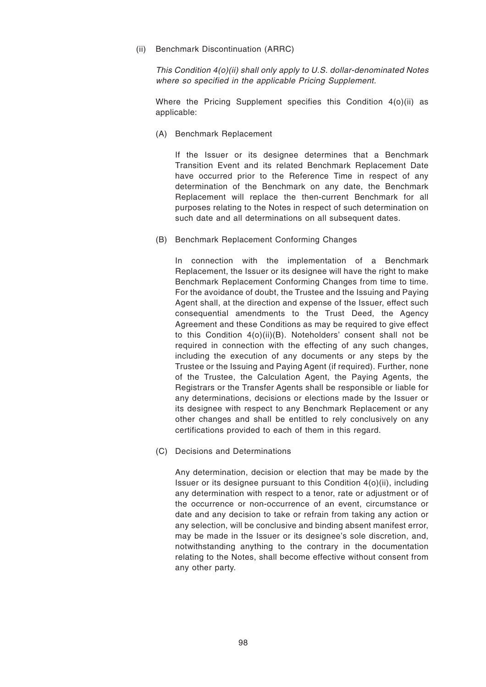(ii) Benchmark Discontinuation (ARRC)

This Condition 4(o)(ii) shall only apply to U.S. dollar-denominated Notes where so specified in the applicable Pricing Supplement.

Where the Pricing Supplement specifies this Condition 4(o)(ii) as applicable:

(A) Benchmark Replacement

If the Issuer or its designee determines that a Benchmark Transition Event and its related Benchmark Replacement Date have occurred prior to the Reference Time in respect of any determination of the Benchmark on any date, the Benchmark Replacement will replace the then-current Benchmark for all purposes relating to the Notes in respect of such determination on such date and all determinations on all subsequent dates.

(B) Benchmark Replacement Conforming Changes

In connection with the implementation of a Benchmark Replacement, the Issuer or its designee will have the right to make Benchmark Replacement Conforming Changes from time to time. For the avoidance of doubt, the Trustee and the Issuing and Paying Agent shall, at the direction and expense of the Issuer, effect such consequential amendments to the Trust Deed, the Agency Agreement and these Conditions as may be required to give effect to this Condition 4(o)(ii)(B). Noteholders' consent shall not be required in connection with the effecting of any such changes, including the execution of any documents or any steps by the Trustee or the Issuing and Paying Agent (if required). Further, none of the Trustee, the Calculation Agent, the Paying Agents, the Registrars or the Transfer Agents shall be responsible or liable for any determinations, decisions or elections made by the Issuer or its designee with respect to any Benchmark Replacement or any other changes and shall be entitled to rely conclusively on any certifications provided to each of them in this regard.

(C) Decisions and Determinations

Any determination, decision or election that may be made by the Issuer or its designee pursuant to this Condition 4(o)(ii), including any determination with respect to a tenor, rate or adjustment or of the occurrence or non-occurrence of an event, circumstance or date and any decision to take or refrain from taking any action or any selection, will be conclusive and binding absent manifest error, may be made in the Issuer or its designee's sole discretion, and, notwithstanding anything to the contrary in the documentation relating to the Notes, shall become effective without consent from any other party.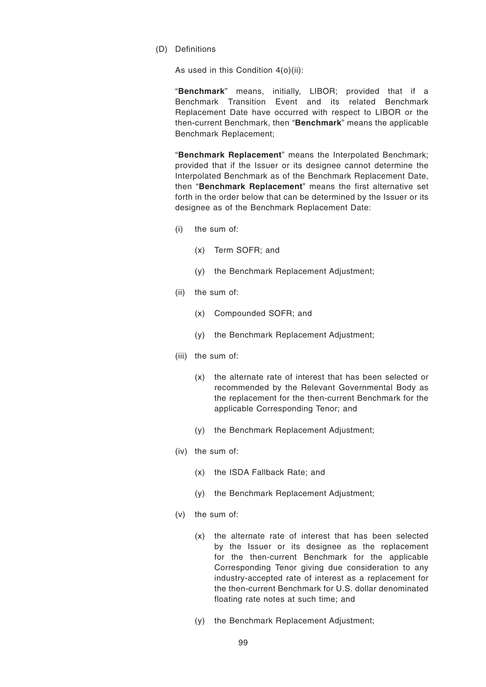(D) Definitions

As used in this Condition 4(o)(ii):

"**Benchmark**" means, initially, LIBOR; provided that if a Benchmark Transition Event and its related Benchmark Replacement Date have occurred with respect to LIBOR or the then-current Benchmark, then "**Benchmark**" means the applicable Benchmark Replacement;

"**Benchmark Replacement**" means the Interpolated Benchmark; provided that if the Issuer or its designee cannot determine the Interpolated Benchmark as of the Benchmark Replacement Date, then "**Benchmark Replacement**" means the first alternative set forth in the order below that can be determined by the Issuer or its designee as of the Benchmark Replacement Date:

- (i) the sum of:
	- (x) Term SOFR; and
	- (y) the Benchmark Replacement Adjustment;
- (ii) the sum of:
	- (x) Compounded SOFR; and
	- (y) the Benchmark Replacement Adjustment;
- (iii) the sum of:
	- (x) the alternate rate of interest that has been selected or recommended by the Relevant Governmental Body as the replacement for the then-current Benchmark for the applicable Corresponding Tenor; and
	- (y) the Benchmark Replacement Adjustment;
- (iv) the sum of:
	- (x) the ISDA Fallback Rate; and
	- (y) the Benchmark Replacement Adjustment;
- (v) the sum of:
	- (x) the alternate rate of interest that has been selected by the Issuer or its designee as the replacement for the then-current Benchmark for the applicable Corresponding Tenor giving due consideration to any industry-accepted rate of interest as a replacement for the then-current Benchmark for U.S. dollar denominated floating rate notes at such time; and
	- (y) the Benchmark Replacement Adjustment;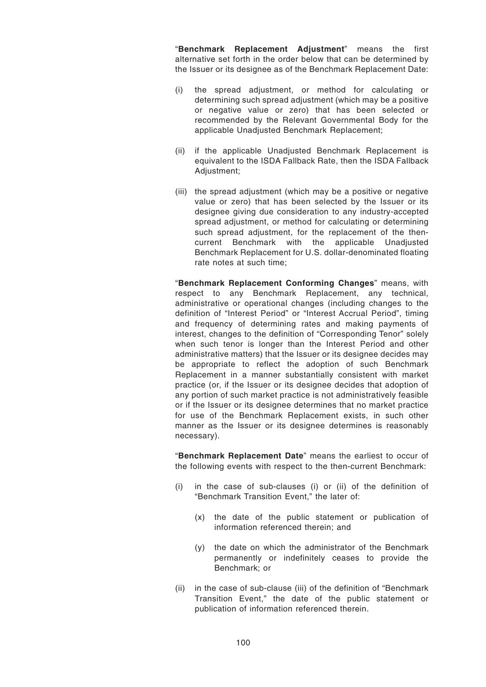"**Benchmark Replacement Adjustment**" means the first alternative set forth in the order below that can be determined by the Issuer or its designee as of the Benchmark Replacement Date:

- (i) the spread adjustment, or method for calculating or determining such spread adjustment (which may be a positive or negative value or zero) that has been selected or recommended by the Relevant Governmental Body for the applicable Unadjusted Benchmark Replacement;
- (ii) if the applicable Unadjusted Benchmark Replacement is equivalent to the ISDA Fallback Rate, then the ISDA Fallback Adjustment;
- (iii) the spread adjustment (which may be a positive or negative value or zero) that has been selected by the Issuer or its designee giving due consideration to any industry-accepted spread adjustment, or method for calculating or determining such spread adjustment, for the replacement of the thencurrent Benchmark with the applicable Unadjusted Benchmark Replacement for U.S. dollar-denominated floating rate notes at such time;

"**Benchmark Replacement Conforming Changes**" means, with respect to any Benchmark Replacement, any technical, administrative or operational changes (including changes to the definition of "Interest Period" or "Interest Accrual Period", timing and frequency of determining rates and making payments of interest, changes to the definition of "Corresponding Tenor" solely when such tenor is longer than the Interest Period and other administrative matters) that the Issuer or its designee decides may be appropriate to reflect the adoption of such Benchmark Replacement in a manner substantially consistent with market practice (or, if the Issuer or its designee decides that adoption of any portion of such market practice is not administratively feasible or if the Issuer or its designee determines that no market practice for use of the Benchmark Replacement exists, in such other manner as the Issuer or its designee determines is reasonably necessary).

"**Benchmark Replacement Date**" means the earliest to occur of the following events with respect to the then-current Benchmark:

- (i) in the case of sub-clauses (i) or (ii) of the definition of "Benchmark Transition Event," the later of:
	- (x) the date of the public statement or publication of information referenced therein; and
	- (y) the date on which the administrator of the Benchmark permanently or indefinitely ceases to provide the Benchmark; or
- (ii) in the case of sub-clause (iii) of the definition of "Benchmark Transition Event," the date of the public statement or publication of information referenced therein.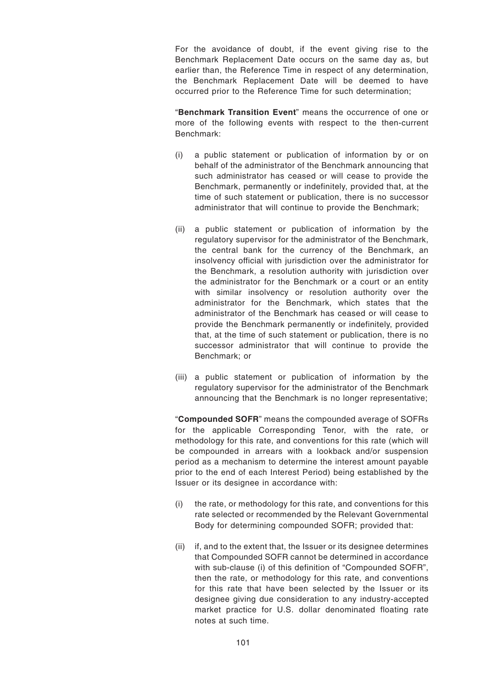For the avoidance of doubt, if the event giving rise to the Benchmark Replacement Date occurs on the same day as, but earlier than, the Reference Time in respect of any determination, the Benchmark Replacement Date will be deemed to have occurred prior to the Reference Time for such determination;

"**Benchmark Transition Event**" means the occurrence of one or more of the following events with respect to the then-current Benchmark:

- (i) a public statement or publication of information by or on behalf of the administrator of the Benchmark announcing that such administrator has ceased or will cease to provide the Benchmark, permanently or indefinitely, provided that, at the time of such statement or publication, there is no successor administrator that will continue to provide the Benchmark;
- (ii) a public statement or publication of information by the regulatory supervisor for the administrator of the Benchmark, the central bank for the currency of the Benchmark, an insolvency official with jurisdiction over the administrator for the Benchmark, a resolution authority with jurisdiction over the administrator for the Benchmark or a court or an entity with similar insolvency or resolution authority over the administrator for the Benchmark, which states that the administrator of the Benchmark has ceased or will cease to provide the Benchmark permanently or indefinitely, provided that, at the time of such statement or publication, there is no successor administrator that will continue to provide the Benchmark; or
- (iii) a public statement or publication of information by the regulatory supervisor for the administrator of the Benchmark announcing that the Benchmark is no longer representative;

"**Compounded SOFR**" means the compounded average of SOFRs for the applicable Corresponding Tenor, with the rate, or methodology for this rate, and conventions for this rate (which will be compounded in arrears with a lookback and/or suspension period as a mechanism to determine the interest amount payable prior to the end of each Interest Period) being established by the Issuer or its designee in accordance with:

- (i) the rate, or methodology for this rate, and conventions for this rate selected or recommended by the Relevant Governmental Body for determining compounded SOFR; provided that:
- (ii) if, and to the extent that, the Issuer or its designee determines that Compounded SOFR cannot be determined in accordance with sub-clause (i) of this definition of "Compounded SOFR", then the rate, or methodology for this rate, and conventions for this rate that have been selected by the Issuer or its designee giving due consideration to any industry-accepted market practice for U.S. dollar denominated floating rate notes at such time.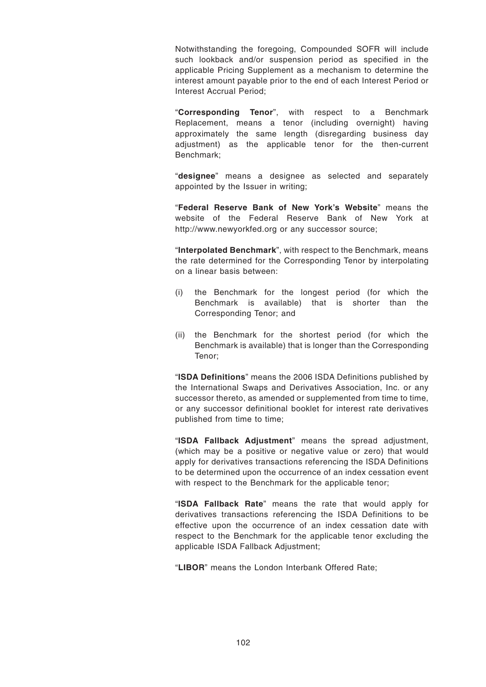Notwithstanding the foregoing, Compounded SOFR will include such lookback and/or suspension period as specified in the applicable Pricing Supplement as a mechanism to determine the interest amount payable prior to the end of each Interest Period or Interest Accrual Period;

"**Corresponding Tenor**", with respect to a Benchmark Replacement, means a tenor (including overnight) having approximately the same length (disregarding business day adjustment) as the applicable tenor for the then-current Benchmark;

"**designee**" means a designee as selected and separately appointed by the Issuer in writing;

"**Federal Reserve Bank of New York's Website**" means the website of the Federal Reserve Bank of New York at http://www.newyorkfed.org or any successor source;

"**Interpolated Benchmark**", with respect to the Benchmark, means the rate determined for the Corresponding Tenor by interpolating on a linear basis between:

- (i) the Benchmark for the longest period (for which the Benchmark is available) that is shorter than the Corresponding Tenor; and
- (ii) the Benchmark for the shortest period (for which the Benchmark is available) that is longer than the Corresponding Tenor;

"**ISDA Definitions**" means the 2006 ISDA Definitions published by the International Swaps and Derivatives Association, Inc. or any successor thereto, as amended or supplemented from time to time. or any successor definitional booklet for interest rate derivatives published from time to time;

"**ISDA Fallback Adjustment**" means the spread adjustment, (which may be a positive or negative value or zero) that would apply for derivatives transactions referencing the ISDA Definitions to be determined upon the occurrence of an index cessation event with respect to the Benchmark for the applicable tenor;

"**ISDA Fallback Rate**" means the rate that would apply for derivatives transactions referencing the ISDA Definitions to be effective upon the occurrence of an index cessation date with respect to the Benchmark for the applicable tenor excluding the applicable ISDA Fallback Adjustment;

"**LIBOR**" means the London Interbank Offered Rate;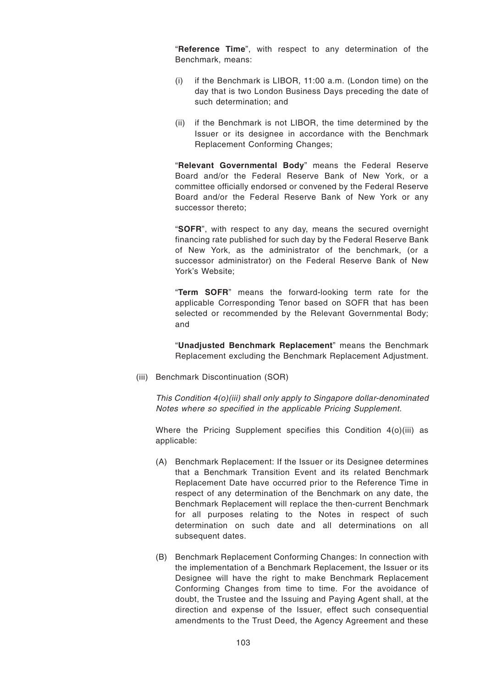"**Reference Time**", with respect to any determination of the Benchmark, means:

- (i) if the Benchmark is LIBOR, 11:00 a.m. (London time) on the day that is two London Business Days preceding the date of such determination; and
- (ii) if the Benchmark is not LIBOR, the time determined by the Issuer or its designee in accordance with the Benchmark Replacement Conforming Changes;

"**Relevant Governmental Body**" means the Federal Reserve Board and/or the Federal Reserve Bank of New York, or a committee officially endorsed or convened by the Federal Reserve Board and/or the Federal Reserve Bank of New York or any successor thereto;

"**SOFR**", with respect to any day, means the secured overnight financing rate published for such day by the Federal Reserve Bank of New York, as the administrator of the benchmark, (or a successor administrator) on the Federal Reserve Bank of New York's Website;

"**Term SOFR**" means the forward-looking term rate for the applicable Corresponding Tenor based on SOFR that has been selected or recommended by the Relevant Governmental Body; and

"**Unadjusted Benchmark Replacement**" means the Benchmark Replacement excluding the Benchmark Replacement Adjustment.

(iii) Benchmark Discontinuation (SOR)

This Condition 4(o)(iii) shall only apply to Singapore dollar-denominated Notes where so specified in the applicable Pricing Supplement.

Where the Pricing Supplement specifies this Condition 4(o)(iii) as applicable:

- (A) Benchmark Replacement: If the Issuer or its Designee determines that a Benchmark Transition Event and its related Benchmark Replacement Date have occurred prior to the Reference Time in respect of any determination of the Benchmark on any date, the Benchmark Replacement will replace the then-current Benchmark for all purposes relating to the Notes in respect of such determination on such date and all determinations on all subsequent dates.
- (B) Benchmark Replacement Conforming Changes: In connection with the implementation of a Benchmark Replacement, the Issuer or its Designee will have the right to make Benchmark Replacement Conforming Changes from time to time. For the avoidance of doubt, the Trustee and the Issuing and Paying Agent shall, at the direction and expense of the Issuer, effect such consequential amendments to the Trust Deed, the Agency Agreement and these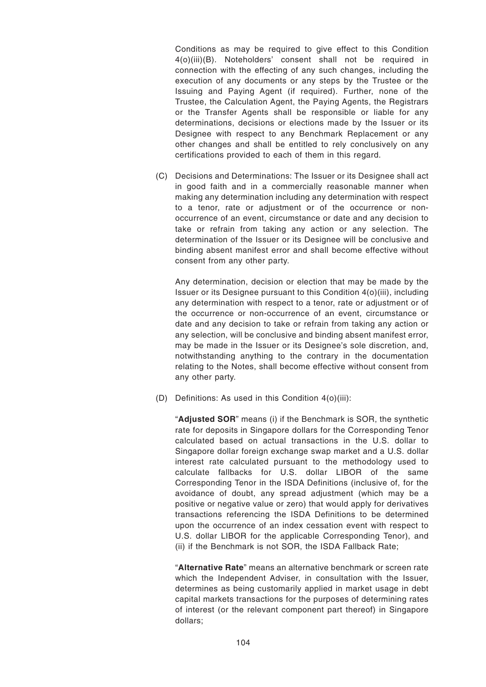Conditions as may be required to give effect to this Condition 4(o)(iii)(B). Noteholders' consent shall not be required in connection with the effecting of any such changes, including the execution of any documents or any steps by the Trustee or the Issuing and Paying Agent (if required). Further, none of the Trustee, the Calculation Agent, the Paying Agents, the Registrars or the Transfer Agents shall be responsible or liable for any determinations, decisions or elections made by the Issuer or its Designee with respect to any Benchmark Replacement or any other changes and shall be entitled to rely conclusively on any certifications provided to each of them in this regard.

(C) Decisions and Determinations: The Issuer or its Designee shall act in good faith and in a commercially reasonable manner when making any determination including any determination with respect to a tenor, rate or adjustment or of the occurrence or nonoccurrence of an event, circumstance or date and any decision to take or refrain from taking any action or any selection. The determination of the Issuer or its Designee will be conclusive and binding absent manifest error and shall become effective without consent from any other party.

Any determination, decision or election that may be made by the Issuer or its Designee pursuant to this Condition 4(o)(iii), including any determination with respect to a tenor, rate or adjustment or of the occurrence or non-occurrence of an event, circumstance or date and any decision to take or refrain from taking any action or any selection, will be conclusive and binding absent manifest error, may be made in the Issuer or its Designee's sole discretion, and, notwithstanding anything to the contrary in the documentation relating to the Notes, shall become effective without consent from any other party.

(D) Definitions: As used in this Condition 4(o)(iii):

"**Adjusted SOR**" means (i) if the Benchmark is SOR, the synthetic rate for deposits in Singapore dollars for the Corresponding Tenor calculated based on actual transactions in the U.S. dollar to Singapore dollar foreign exchange swap market and a U.S. dollar interest rate calculated pursuant to the methodology used to calculate fallbacks for U.S. dollar LIBOR of the same Corresponding Tenor in the ISDA Definitions (inclusive of, for the avoidance of doubt, any spread adjustment (which may be a positive or negative value or zero) that would apply for derivatives transactions referencing the ISDA Definitions to be determined upon the occurrence of an index cessation event with respect to U.S. dollar LIBOR for the applicable Corresponding Tenor), and (ii) if the Benchmark is not SOR, the ISDA Fallback Rate;

"**Alternative Rate**" means an alternative benchmark or screen rate which the Independent Adviser, in consultation with the Issuer, determines as being customarily applied in market usage in debt capital markets transactions for the purposes of determining rates of interest (or the relevant component part thereof) in Singapore dollars;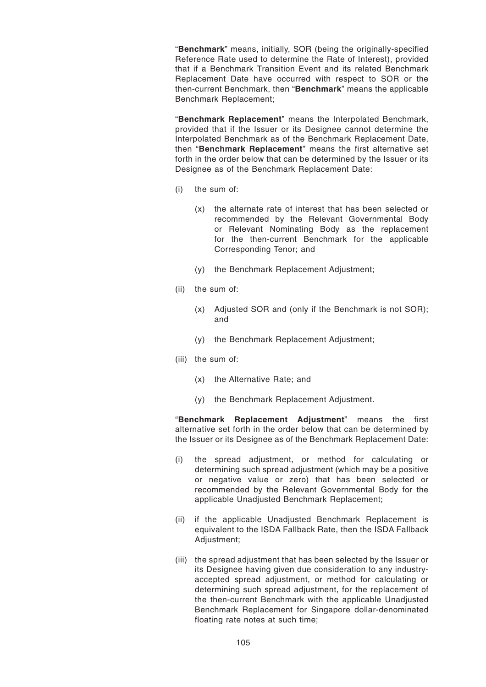"**Benchmark**" means, initially, SOR (being the originally-specified Reference Rate used to determine the Rate of Interest), provided that if a Benchmark Transition Event and its related Benchmark Replacement Date have occurred with respect to SOR or the then-current Benchmark, then "**Benchmark**" means the applicable Benchmark Replacement;

"**Benchmark Replacement**" means the Interpolated Benchmark, provided that if the Issuer or its Designee cannot determine the Interpolated Benchmark as of the Benchmark Replacement Date, then "**Benchmark Replacement**" means the first alternative set forth in the order below that can be determined by the Issuer or its Designee as of the Benchmark Replacement Date:

- (i) the sum of:
	- (x) the alternate rate of interest that has been selected or recommended by the Relevant Governmental Body or Relevant Nominating Body as the replacement for the then-current Benchmark for the applicable Corresponding Tenor; and
	- (y) the Benchmark Replacement Adjustment;
- (ii) the sum of:
	- (x) Adjusted SOR and (only if the Benchmark is not SOR); and
	- (y) the Benchmark Replacement Adjustment;
- (iii) the sum of:
	- (x) the Alternative Rate; and
	- (y) the Benchmark Replacement Adjustment.

"**Benchmark Replacement Adjustment**" means the first alternative set forth in the order below that can be determined by the Issuer or its Designee as of the Benchmark Replacement Date:

- (i) the spread adjustment, or method for calculating or determining such spread adjustment (which may be a positive or negative value or zero) that has been selected or recommended by the Relevant Governmental Body for the applicable Unadjusted Benchmark Replacement;
- (ii) if the applicable Unadjusted Benchmark Replacement is equivalent to the ISDA Fallback Rate, then the ISDA Fallback Adjustment;
- (iii) the spread adjustment that has been selected by the Issuer or its Designee having given due consideration to any industryaccepted spread adjustment, or method for calculating or determining such spread adjustment, for the replacement of the then-current Benchmark with the applicable Unadjusted Benchmark Replacement for Singapore dollar-denominated floating rate notes at such time;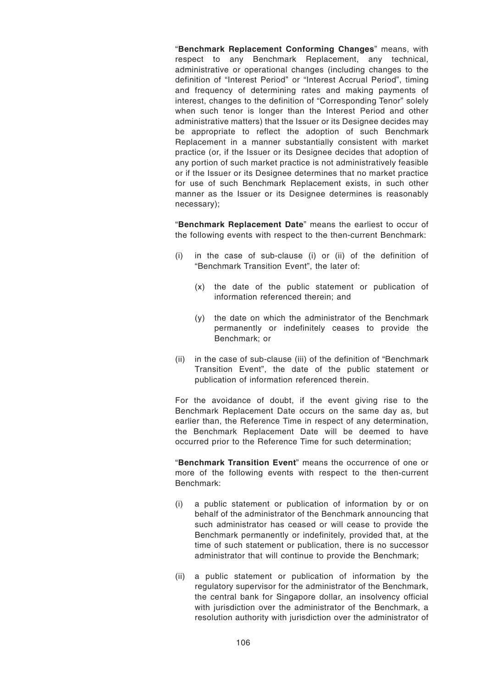"**Benchmark Replacement Conforming Changes**" means, with respect to any Benchmark Replacement, any technical, administrative or operational changes (including changes to the definition of "Interest Period" or "Interest Accrual Period", timing and frequency of determining rates and making payments of interest, changes to the definition of "Corresponding Tenor" solely when such tenor is longer than the Interest Period and other administrative matters) that the Issuer or its Designee decides may be appropriate to reflect the adoption of such Benchmark Replacement in a manner substantially consistent with market practice (or, if the Issuer or its Designee decides that adoption of any portion of such market practice is not administratively feasible or if the Issuer or its Designee determines that no market practice for use of such Benchmark Replacement exists, in such other manner as the Issuer or its Designee determines is reasonably necessary);

"**Benchmark Replacement Date**" means the earliest to occur of the following events with respect to the then-current Benchmark:

- (i) in the case of sub-clause (i) or (ii) of the definition of "Benchmark Transition Event", the later of:
	- (x) the date of the public statement or publication of information referenced therein; and
	- (y) the date on which the administrator of the Benchmark permanently or indefinitely ceases to provide the Benchmark; or
- (ii) in the case of sub-clause (iii) of the definition of "Benchmark Transition Event", the date of the public statement or publication of information referenced therein.

For the avoidance of doubt, if the event giving rise to the Benchmark Replacement Date occurs on the same day as, but earlier than, the Reference Time in respect of any determination, the Benchmark Replacement Date will be deemed to have occurred prior to the Reference Time for such determination;

"**Benchmark Transition Event**" means the occurrence of one or more of the following events with respect to the then-current Benchmark:

- (i) a public statement or publication of information by or on behalf of the administrator of the Benchmark announcing that such administrator has ceased or will cease to provide the Benchmark permanently or indefinitely, provided that, at the time of such statement or publication, there is no successor administrator that will continue to provide the Benchmark;
- (ii) a public statement or publication of information by the regulatory supervisor for the administrator of the Benchmark, the central bank for Singapore dollar, an insolvency official with jurisdiction over the administrator of the Benchmark, a resolution authority with jurisdiction over the administrator of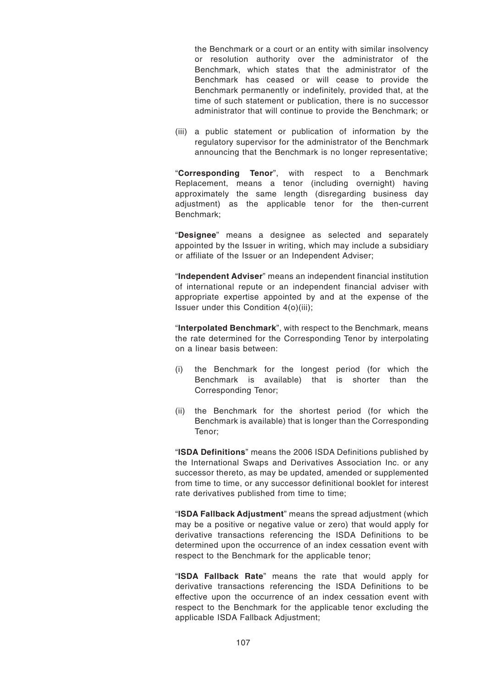the Benchmark or a court or an entity with similar insolvency or resolution authority over the administrator of the Benchmark, which states that the administrator of the Benchmark has ceased or will cease to provide the Benchmark permanently or indefinitely, provided that, at the time of such statement or publication, there is no successor administrator that will continue to provide the Benchmark; or

(iii) a public statement or publication of information by the regulatory supervisor for the administrator of the Benchmark announcing that the Benchmark is no longer representative;

"**Corresponding Tenor**", with respect to a Benchmark Replacement, means a tenor (including overnight) having approximately the same length (disregarding business day adjustment) as the applicable tenor for the then-current Benchmark;

"**Designee**" means a designee as selected and separately appointed by the Issuer in writing, which may include a subsidiary or affiliate of the Issuer or an Independent Adviser;

"**Independent Adviser**" means an independent financial institution of international repute or an independent financial adviser with appropriate expertise appointed by and at the expense of the Issuer under this Condition 4(o)(iii);

"**Interpolated Benchmark**", with respect to the Benchmark, means the rate determined for the Corresponding Tenor by interpolating on a linear basis between:

- (i) the Benchmark for the longest period (for which the Benchmark is available) that is shorter than the Corresponding Tenor;
- (ii) the Benchmark for the shortest period (for which the Benchmark is available) that is longer than the Corresponding Tenor;

"**ISDA Definitions**" means the 2006 ISDA Definitions published by the International Swaps and Derivatives Association Inc. or any successor thereto, as may be updated, amended or supplemented from time to time, or any successor definitional booklet for interest rate derivatives published from time to time;

"**ISDA Fallback Adjustment**" means the spread adjustment (which may be a positive or negative value or zero) that would apply for derivative transactions referencing the ISDA Definitions to be determined upon the occurrence of an index cessation event with respect to the Benchmark for the applicable tenor;

"**ISDA Fallback Rate**" means the rate that would apply for derivative transactions referencing the ISDA Definitions to be effective upon the occurrence of an index cessation event with respect to the Benchmark for the applicable tenor excluding the applicable ISDA Fallback Adjustment;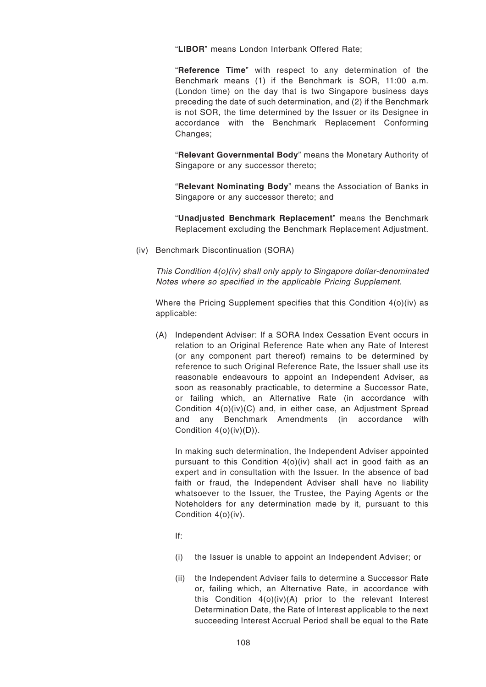"**LIBOR**" means London Interbank Offered Rate;

"**Reference Time**" with respect to any determination of the Benchmark means (1) if the Benchmark is SOR, 11:00 a.m. (London time) on the day that is two Singapore business days preceding the date of such determination, and (2) if the Benchmark is not SOR, the time determined by the Issuer or its Designee in accordance with the Benchmark Replacement Conforming Changes;

"**Relevant Governmental Body**" means the Monetary Authority of Singapore or any successor thereto;

"**Relevant Nominating Body**" means the Association of Banks in Singapore or any successor thereto; and

"**Unadjusted Benchmark Replacement**" means the Benchmark Replacement excluding the Benchmark Replacement Adjustment.

(iv) Benchmark Discontinuation (SORA)

This Condition 4(o)(iv) shall only apply to Singapore dollar-denominated Notes where so specified in the applicable Pricing Supplement.

Where the Pricing Supplement specifies that this Condition 4(o)(iv) as applicable:

(A) Independent Adviser: If a SORA Index Cessation Event occurs in relation to an Original Reference Rate when any Rate of Interest (or any component part thereof) remains to be determined by reference to such Original Reference Rate, the Issuer shall use its reasonable endeavours to appoint an Independent Adviser, as soon as reasonably practicable, to determine a Successor Rate, or failing which, an Alternative Rate (in accordance with Condition 4(o)(iv)(C) and, in either case, an Adjustment Spread and any Benchmark Amendments (in accordance with Condition 4(o)(iv)(D)).

In making such determination, the Independent Adviser appointed pursuant to this Condition 4(o)(iv) shall act in good faith as an expert and in consultation with the Issuer. In the absence of bad faith or fraud, the Independent Adviser shall have no liability whatsoever to the Issuer, the Trustee, the Paying Agents or the Noteholders for any determination made by it, pursuant to this Condition 4(o)(iv).

- If:
- (i) the Issuer is unable to appoint an Independent Adviser; or
- (ii) the Independent Adviser fails to determine a Successor Rate or, failing which, an Alternative Rate, in accordance with this Condition 4(o)(iv)(A) prior to the relevant Interest Determination Date, the Rate of Interest applicable to the next succeeding Interest Accrual Period shall be equal to the Rate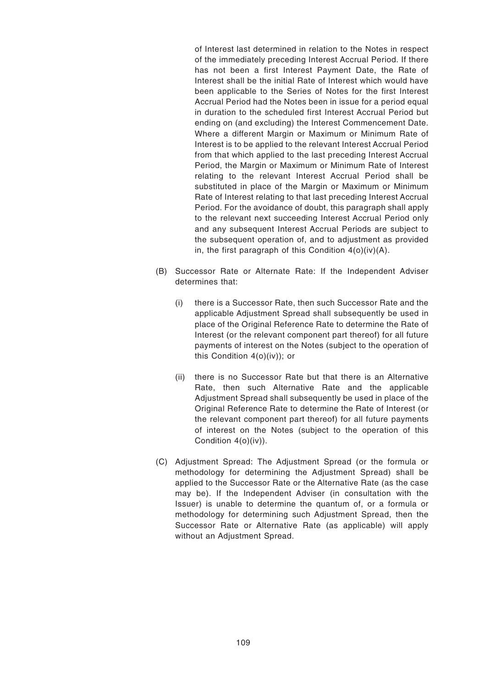of Interest last determined in relation to the Notes in respect of the immediately preceding Interest Accrual Period. If there has not been a first Interest Payment Date, the Rate of Interest shall be the initial Rate of Interest which would have been applicable to the Series of Notes for the first Interest Accrual Period had the Notes been in issue for a period equal in duration to the scheduled first Interest Accrual Period but ending on (and excluding) the Interest Commencement Date. Where a different Margin or Maximum or Minimum Rate of Interest is to be applied to the relevant Interest Accrual Period from that which applied to the last preceding Interest Accrual Period, the Margin or Maximum or Minimum Rate of Interest relating to the relevant Interest Accrual Period shall be substituted in place of the Margin or Maximum or Minimum Rate of Interest relating to that last preceding Interest Accrual Period. For the avoidance of doubt, this paragraph shall apply to the relevant next succeeding Interest Accrual Period only and any subsequent Interest Accrual Periods are subject to the subsequent operation of, and to adjustment as provided in, the first paragraph of this Condition  $4(0)(iv)(A)$ .

- (B) Successor Rate or Alternate Rate: If the Independent Adviser determines that:
	- (i) there is a Successor Rate, then such Successor Rate and the applicable Adjustment Spread shall subsequently be used in place of the Original Reference Rate to determine the Rate of Interest (or the relevant component part thereof) for all future payments of interest on the Notes (subject to the operation of this Condition 4(o)(iv)); or
	- (ii) there is no Successor Rate but that there is an Alternative Rate, then such Alternative Rate and the applicable Adjustment Spread shall subsequently be used in place of the Original Reference Rate to determine the Rate of Interest (or the relevant component part thereof) for all future payments of interest on the Notes (subject to the operation of this Condition 4(o)(iv)).
- (C) Adjustment Spread: The Adjustment Spread (or the formula or methodology for determining the Adjustment Spread) shall be applied to the Successor Rate or the Alternative Rate (as the case may be). If the Independent Adviser (in consultation with the Issuer) is unable to determine the quantum of, or a formula or methodology for determining such Adjustment Spread, then the Successor Rate or Alternative Rate (as applicable) will apply without an Adjustment Spread.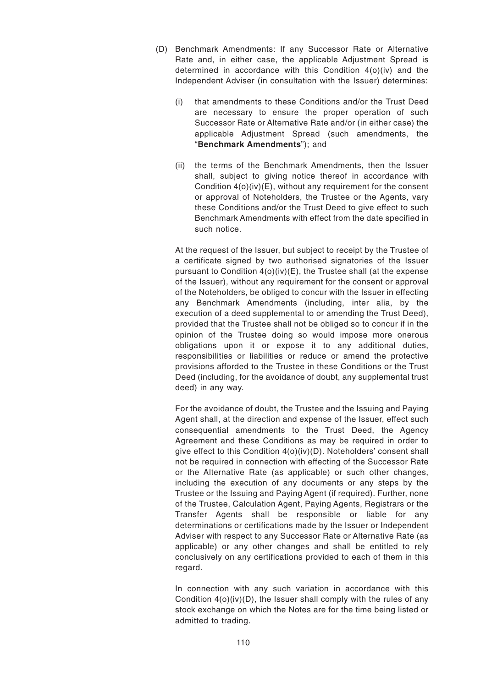- (D) Benchmark Amendments: If any Successor Rate or Alternative Rate and, in either case, the applicable Adjustment Spread is determined in accordance with this Condition 4(o)(iv) and the Independent Adviser (in consultation with the Issuer) determines:
	- (i) that amendments to these Conditions and/or the Trust Deed are necessary to ensure the proper operation of such Successor Rate or Alternative Rate and/or (in either case) the applicable Adjustment Spread (such amendments, the "**Benchmark Amendments**"); and
	- (ii) the terms of the Benchmark Amendments, then the Issuer shall, subject to giving notice thereof in accordance with Condition 4(o)(iv)(E), without any requirement for the consent or approval of Noteholders, the Trustee or the Agents, vary these Conditions and/or the Trust Deed to give effect to such Benchmark Amendments with effect from the date specified in such notice.

At the request of the Issuer, but subject to receipt by the Trustee of a certificate signed by two authorised signatories of the Issuer pursuant to Condition 4(o)(iv)(E), the Trustee shall (at the expense of the Issuer), without any requirement for the consent or approval of the Noteholders, be obliged to concur with the Issuer in effecting any Benchmark Amendments (including, inter alia, by the execution of a deed supplemental to or amending the Trust Deed), provided that the Trustee shall not be obliged so to concur if in the opinion of the Trustee doing so would impose more onerous obligations upon it or expose it to any additional duties, responsibilities or liabilities or reduce or amend the protective provisions afforded to the Trustee in these Conditions or the Trust Deed (including, for the avoidance of doubt, any supplemental trust deed) in any way.

For the avoidance of doubt, the Trustee and the Issuing and Paying Agent shall, at the direction and expense of the Issuer, effect such consequential amendments to the Trust Deed, the Agency Agreement and these Conditions as may be required in order to give effect to this Condition 4(o)(iv)(D). Noteholders' consent shall not be required in connection with effecting of the Successor Rate or the Alternative Rate (as applicable) or such other changes, including the execution of any documents or any steps by the Trustee or the Issuing and Paying Agent (if required). Further, none of the Trustee, Calculation Agent, Paying Agents, Registrars or the Transfer Agents shall be responsible or liable for any determinations or certifications made by the Issuer or Independent Adviser with respect to any Successor Rate or Alternative Rate (as applicable) or any other changes and shall be entitled to rely conclusively on any certifications provided to each of them in this regard.

In connection with any such variation in accordance with this Condition 4(o)(iv)(D), the Issuer shall comply with the rules of any stock exchange on which the Notes are for the time being listed or admitted to trading.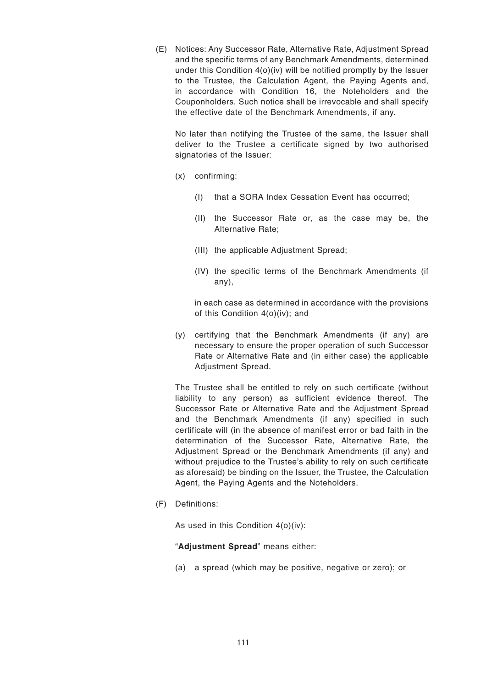(E) Notices: Any Successor Rate, Alternative Rate, Adjustment Spread and the specific terms of any Benchmark Amendments, determined under this Condition 4(o)(iv) will be notified promptly by the Issuer to the Trustee, the Calculation Agent, the Paying Agents and, in accordance with Condition 16, the Noteholders and the Couponholders. Such notice shall be irrevocable and shall specify the effective date of the Benchmark Amendments, if any.

No later than notifying the Trustee of the same, the Issuer shall deliver to the Trustee a certificate signed by two authorised signatories of the Issuer:

- (x) confirming:
	- (I) that a SORA Index Cessation Event has occurred;
	- (II) the Successor Rate or, as the case may be, the Alternative Rate;
	- (III) the applicable Adjustment Spread;
	- (IV) the specific terms of the Benchmark Amendments (if any),

in each case as determined in accordance with the provisions of this Condition 4(o)(iv); and

(y) certifying that the Benchmark Amendments (if any) are necessary to ensure the proper operation of such Successor Rate or Alternative Rate and (in either case) the applicable Adjustment Spread.

The Trustee shall be entitled to rely on such certificate (without liability to any person) as sufficient evidence thereof. The Successor Rate or Alternative Rate and the Adjustment Spread and the Benchmark Amendments (if any) specified in such certificate will (in the absence of manifest error or bad faith in the determination of the Successor Rate, Alternative Rate, the Adjustment Spread or the Benchmark Amendments (if any) and without prejudice to the Trustee's ability to rely on such certificate as aforesaid) be binding on the Issuer, the Trustee, the Calculation Agent, the Paying Agents and the Noteholders.

(F) Definitions:

As used in this Condition 4(o)(iv):

"**Adjustment Spread**" means either:

(a) a spread (which may be positive, negative or zero); or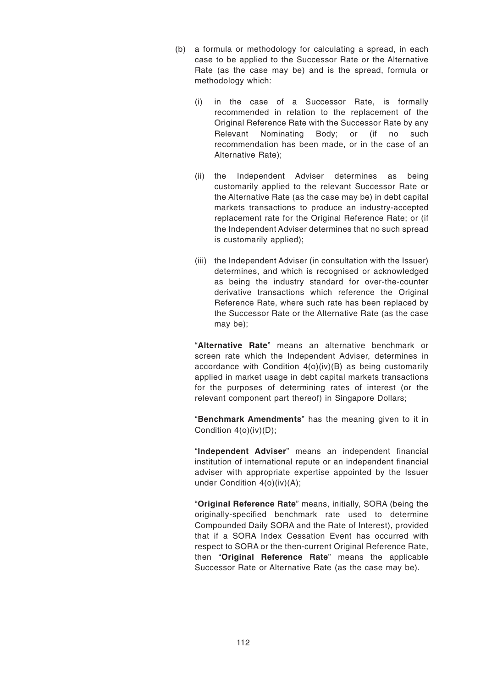- (b) a formula or methodology for calculating a spread, in each case to be applied to the Successor Rate or the Alternative Rate (as the case may be) and is the spread, formula or methodology which:
	- (i) in the case of a Successor Rate, is formally recommended in relation to the replacement of the Original Reference Rate with the Successor Rate by any Relevant Nominating Body; or (if no such recommendation has been made, or in the case of an Alternative Rate);
	- (ii) the Independent Adviser determines as being customarily applied to the relevant Successor Rate or the Alternative Rate (as the case may be) in debt capital markets transactions to produce an industry-accepted replacement rate for the Original Reference Rate; or (if the Independent Adviser determines that no such spread is customarily applied);
	- (iii) the Independent Adviser (in consultation with the Issuer) determines, and which is recognised or acknowledged as being the industry standard for over-the-counter derivative transactions which reference the Original Reference Rate, where such rate has been replaced by the Successor Rate or the Alternative Rate (as the case may be);

"**Alternative Rate**" means an alternative benchmark or screen rate which the Independent Adviser, determines in accordance with Condition 4(o)(iv)(B) as being customarily applied in market usage in debt capital markets transactions for the purposes of determining rates of interest (or the relevant component part thereof) in Singapore Dollars;

"**Benchmark Amendments**" has the meaning given to it in Condition 4(o)(iv)(D);

"**Independent Adviser**" means an independent financial institution of international repute or an independent financial adviser with appropriate expertise appointed by the Issuer under Condition 4(o)(iv)(A);

"**Original Reference Rate**" means, initially, SORA (being the originally-specified benchmark rate used to determine Compounded Daily SORA and the Rate of Interest), provided that if a SORA Index Cessation Event has occurred with respect to SORA or the then-current Original Reference Rate, then "**Original Reference Rate**" means the applicable Successor Rate or Alternative Rate (as the case may be).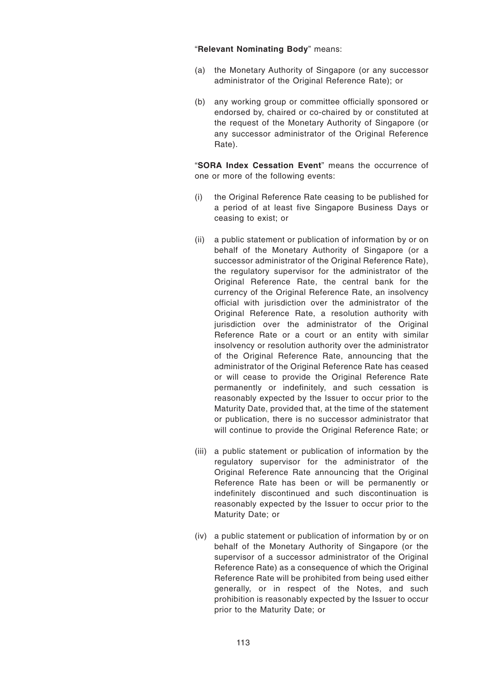### "**Relevant Nominating Body**" means:

- (a) the Monetary Authority of Singapore (or any successor administrator of the Original Reference Rate); or
- (b) any working group or committee officially sponsored or endorsed by, chaired or co-chaired by or constituted at the request of the Monetary Authority of Singapore (or any successor administrator of the Original Reference Rate).

"**SORA Index Cessation Event**" means the occurrence of one or more of the following events:

- (i) the Original Reference Rate ceasing to be published for a period of at least five Singapore Business Days or ceasing to exist; or
- (ii) a public statement or publication of information by or on behalf of the Monetary Authority of Singapore (or a successor administrator of the Original Reference Rate), the regulatory supervisor for the administrator of the Original Reference Rate, the central bank for the currency of the Original Reference Rate, an insolvency official with jurisdiction over the administrator of the Original Reference Rate, a resolution authority with jurisdiction over the administrator of the Original Reference Rate or a court or an entity with similar insolvency or resolution authority over the administrator of the Original Reference Rate, announcing that the administrator of the Original Reference Rate has ceased or will cease to provide the Original Reference Rate permanently or indefinitely, and such cessation is reasonably expected by the Issuer to occur prior to the Maturity Date, provided that, at the time of the statement or publication, there is no successor administrator that will continue to provide the Original Reference Rate; or
- (iii) a public statement or publication of information by the regulatory supervisor for the administrator of the Original Reference Rate announcing that the Original Reference Rate has been or will be permanently or indefinitely discontinued and such discontinuation is reasonably expected by the Issuer to occur prior to the Maturity Date; or
- (iv) a public statement or publication of information by or on behalf of the Monetary Authority of Singapore (or the supervisor of a successor administrator of the Original Reference Rate) as a consequence of which the Original Reference Rate will be prohibited from being used either generally, or in respect of the Notes, and such prohibition is reasonably expected by the Issuer to occur prior to the Maturity Date; or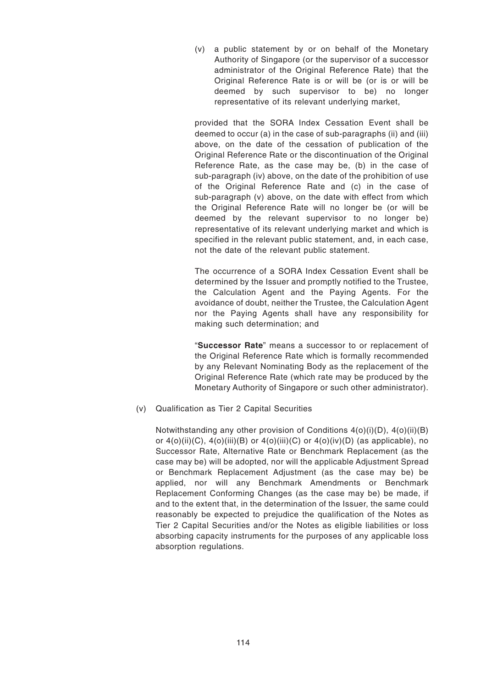(v) a public statement by or on behalf of the Monetary Authority of Singapore (or the supervisor of a successor administrator of the Original Reference Rate) that the Original Reference Rate is or will be (or is or will be deemed by such supervisor to be) no longer representative of its relevant underlying market,

provided that the SORA Index Cessation Event shall be deemed to occur (a) in the case of sub-paragraphs (ii) and (iii) above, on the date of the cessation of publication of the Original Reference Rate or the discontinuation of the Original Reference Rate, as the case may be, (b) in the case of sub-paragraph (iv) above, on the date of the prohibition of use of the Original Reference Rate and (c) in the case of sub-paragraph (v) above, on the date with effect from which the Original Reference Rate will no longer be (or will be deemed by the relevant supervisor to no longer be) representative of its relevant underlying market and which is specified in the relevant public statement, and, in each case, not the date of the relevant public statement.

The occurrence of a SORA Index Cessation Event shall be determined by the Issuer and promptly notified to the Trustee, the Calculation Agent and the Paying Agents. For the avoidance of doubt, neither the Trustee, the Calculation Agent nor the Paying Agents shall have any responsibility for making such determination; and

"**Successor Rate**" means a successor to or replacement of the Original Reference Rate which is formally recommended by any Relevant Nominating Body as the replacement of the Original Reference Rate (which rate may be produced by the Monetary Authority of Singapore or such other administrator).

(v) Qualification as Tier 2 Capital Securities

Notwithstanding any other provision of Conditions 4(o)(i)(D), 4(o)(ii)(B) or  $4$ (o)(ii)(C),  $4$ (o)(iii)(B) or  $4$ (o)(iii)(C) or  $4$ (o)(iv)(D) (as applicable), no Successor Rate, Alternative Rate or Benchmark Replacement (as the case may be) will be adopted, nor will the applicable Adjustment Spread or Benchmark Replacement Adjustment (as the case may be) be applied, nor will any Benchmark Amendments or Benchmark Replacement Conforming Changes (as the case may be) be made, if and to the extent that, in the determination of the Issuer, the same could reasonably be expected to prejudice the qualification of the Notes as Tier 2 Capital Securities and/or the Notes as eligible liabilities or loss absorbing capacity instruments for the purposes of any applicable loss absorption regulations.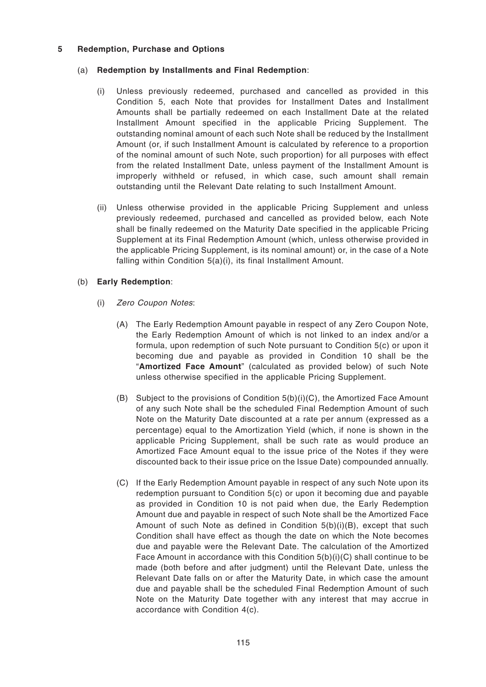## **5 Redemption, Purchase and Options**

# (a) **Redemption by Installments and Final Redemption**:

- (i) Unless previously redeemed, purchased and cancelled as provided in this Condition 5, each Note that provides for Installment Dates and Installment Amounts shall be partially redeemed on each Installment Date at the related Installment Amount specified in the applicable Pricing Supplement. The outstanding nominal amount of each such Note shall be reduced by the Installment Amount (or, if such Installment Amount is calculated by reference to a proportion of the nominal amount of such Note, such proportion) for all purposes with effect from the related Installment Date, unless payment of the Installment Amount is improperly withheld or refused, in which case, such amount shall remain outstanding until the Relevant Date relating to such Installment Amount.
- (ii) Unless otherwise provided in the applicable Pricing Supplement and unless previously redeemed, purchased and cancelled as provided below, each Note shall be finally redeemed on the Maturity Date specified in the applicable Pricing Supplement at its Final Redemption Amount (which, unless otherwise provided in the applicable Pricing Supplement, is its nominal amount) or, in the case of a Note falling within Condition 5(a)(i), its final Installment Amount.

# (b) **Early Redemption**:

- (i) Zero Coupon Notes:
	- (A) The Early Redemption Amount payable in respect of any Zero Coupon Note, the Early Redemption Amount of which is not linked to an index and/or a formula, upon redemption of such Note pursuant to Condition 5(c) or upon it becoming due and payable as provided in Condition 10 shall be the "**Amortized Face Amount**" (calculated as provided below) of such Note unless otherwise specified in the applicable Pricing Supplement.
	- (B) Subject to the provisions of Condition  $5(b)(i)(C)$ , the Amortized Face Amount of any such Note shall be the scheduled Final Redemption Amount of such Note on the Maturity Date discounted at a rate per annum (expressed as a percentage) equal to the Amortization Yield (which, if none is shown in the applicable Pricing Supplement, shall be such rate as would produce an Amortized Face Amount equal to the issue price of the Notes if they were discounted back to their issue price on the Issue Date) compounded annually.
	- (C) If the Early Redemption Amount payable in respect of any such Note upon its redemption pursuant to Condition 5(c) or upon it becoming due and payable as provided in Condition 10 is not paid when due, the Early Redemption Amount due and payable in respect of such Note shall be the Amortized Face Amount of such Note as defined in Condition 5(b)(i)(B), except that such Condition shall have effect as though the date on which the Note becomes due and payable were the Relevant Date. The calculation of the Amortized Face Amount in accordance with this Condition 5(b)(i)(C) shall continue to be made (both before and after judgment) until the Relevant Date, unless the Relevant Date falls on or after the Maturity Date, in which case the amount due and payable shall be the scheduled Final Redemption Amount of such Note on the Maturity Date together with any interest that may accrue in accordance with Condition 4(c).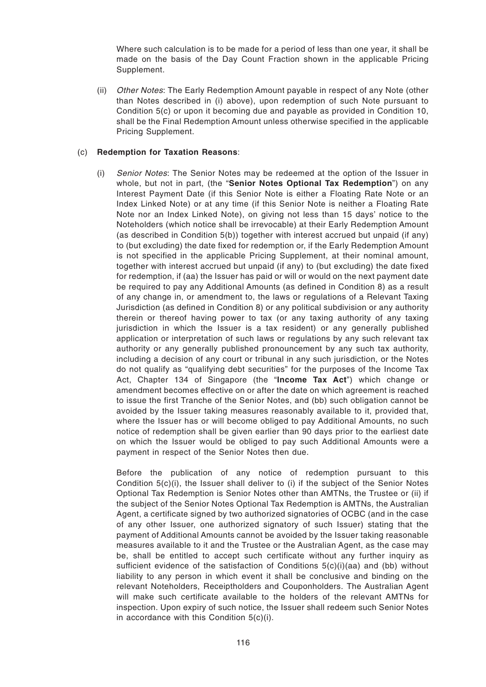Where such calculation is to be made for a period of less than one year, it shall be made on the basis of the Day Count Fraction shown in the applicable Pricing Supplement.

(ii) Other Notes: The Early Redemption Amount payable in respect of any Note (other than Notes described in (i) above), upon redemption of such Note pursuant to Condition 5(c) or upon it becoming due and payable as provided in Condition 10, shall be the Final Redemption Amount unless otherwise specified in the applicable Pricing Supplement.

## (c) **Redemption for Taxation Reasons**:

(i) Senior Notes: The Senior Notes may be redeemed at the option of the Issuer in whole, but not in part, (the "**Senior Notes Optional Tax Redemption**") on any Interest Payment Date (if this Senior Note is either a Floating Rate Note or an Index Linked Note) or at any time (if this Senior Note is neither a Floating Rate Note nor an Index Linked Note), on giving not less than 15 days' notice to the Noteholders (which notice shall be irrevocable) at their Early Redemption Amount (as described in Condition 5(b)) together with interest accrued but unpaid (if any) to (but excluding) the date fixed for redemption or, if the Early Redemption Amount is not specified in the applicable Pricing Supplement, at their nominal amount, together with interest accrued but unpaid (if any) to (but excluding) the date fixed for redemption, if (aa) the Issuer has paid or will or would on the next payment date be required to pay any Additional Amounts (as defined in Condition 8) as a result of any change in, or amendment to, the laws or regulations of a Relevant Taxing Jurisdiction (as defined in Condition 8) or any political subdivision or any authority therein or thereof having power to tax (or any taxing authority of any taxing jurisdiction in which the Issuer is a tax resident) or any generally published application or interpretation of such laws or regulations by any such relevant tax authority or any generally published pronouncement by any such tax authority, including a decision of any court or tribunal in any such jurisdiction, or the Notes do not qualify as "qualifying debt securities" for the purposes of the Income Tax Act, Chapter 134 of Singapore (the "**Income Tax Act**") which change or amendment becomes effective on or after the date on which agreement is reached to issue the first Tranche of the Senior Notes, and (bb) such obligation cannot be avoided by the Issuer taking measures reasonably available to it, provided that, where the Issuer has or will become obliged to pay Additional Amounts, no such notice of redemption shall be given earlier than 90 days prior to the earliest date on which the Issuer would be obliged to pay such Additional Amounts were a payment in respect of the Senior Notes then due.

Before the publication of any notice of redemption pursuant to this Condition 5(c)(i), the Issuer shall deliver to (i) if the subject of the Senior Notes Optional Tax Redemption is Senior Notes other than AMTNs, the Trustee or (ii) if the subject of the Senior Notes Optional Tax Redemption is AMTNs, the Australian Agent, a certificate signed by two authorized signatories of OCBC (and in the case of any other Issuer, one authorized signatory of such Issuer) stating that the payment of Additional Amounts cannot be avoided by the Issuer taking reasonable measures available to it and the Trustee or the Australian Agent, as the case may be, shall be entitled to accept such certificate without any further inquiry as sufficient evidence of the satisfaction of Conditions  $5(c)(i)(aa)$  and (bb) without liability to any person in which event it shall be conclusive and binding on the relevant Noteholders, Receiptholders and Couponholders. The Australian Agent will make such certificate available to the holders of the relevant AMTNs for inspection. Upon expiry of such notice, the Issuer shall redeem such Senior Notes in accordance with this Condition 5(c)(i).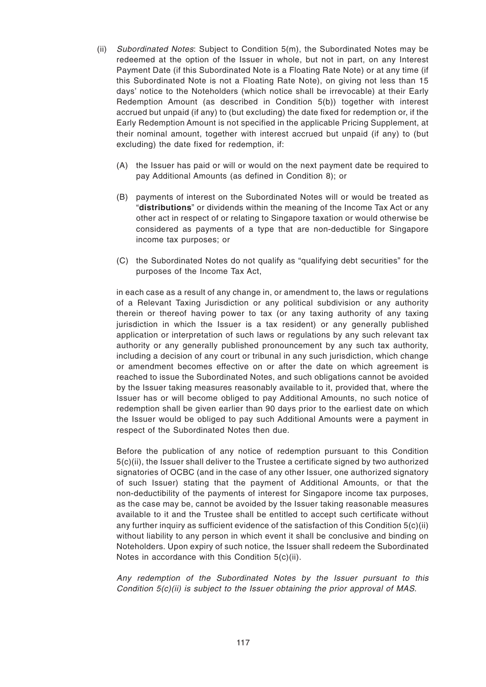- (ii) Subordinated Notes: Subject to Condition 5(m), the Subordinated Notes may be redeemed at the option of the Issuer in whole, but not in part, on any Interest Payment Date (if this Subordinated Note is a Floating Rate Note) or at any time (if this Subordinated Note is not a Floating Rate Note), on giving not less than 15 days' notice to the Noteholders (which notice shall be irrevocable) at their Early Redemption Amount (as described in Condition 5(b)) together with interest accrued but unpaid (if any) to (but excluding) the date fixed for redemption or, if the Early Redemption Amount is not specified in the applicable Pricing Supplement, at their nominal amount, together with interest accrued but unpaid (if any) to (but excluding) the date fixed for redemption, if:
	- (A) the Issuer has paid or will or would on the next payment date be required to pay Additional Amounts (as defined in Condition 8); or
	- (B) payments of interest on the Subordinated Notes will or would be treated as "**distributions**" or dividends within the meaning of the Income Tax Act or any other act in respect of or relating to Singapore taxation or would otherwise be considered as payments of a type that are non-deductible for Singapore income tax purposes; or
	- (C) the Subordinated Notes do not qualify as "qualifying debt securities" for the purposes of the Income Tax Act,

in each case as a result of any change in, or amendment to, the laws or regulations of a Relevant Taxing Jurisdiction or any political subdivision or any authority therein or thereof having power to tax (or any taxing authority of any taxing jurisdiction in which the Issuer is a tax resident) or any generally published application or interpretation of such laws or regulations by any such relevant tax authority or any generally published pronouncement by any such tax authority, including a decision of any court or tribunal in any such jurisdiction, which change or amendment becomes effective on or after the date on which agreement is reached to issue the Subordinated Notes, and such obligations cannot be avoided by the Issuer taking measures reasonably available to it, provided that, where the Issuer has or will become obliged to pay Additional Amounts, no such notice of redemption shall be given earlier than 90 days prior to the earliest date on which the Issuer would be obliged to pay such Additional Amounts were a payment in respect of the Subordinated Notes then due.

Before the publication of any notice of redemption pursuant to this Condition 5(c)(ii), the Issuer shall deliver to the Trustee a certificate signed by two authorized signatories of OCBC (and in the case of any other Issuer, one authorized signatory of such Issuer) stating that the payment of Additional Amounts, or that the non-deductibility of the payments of interest for Singapore income tax purposes, as the case may be, cannot be avoided by the Issuer taking reasonable measures available to it and the Trustee shall be entitled to accept such certificate without any further inquiry as sufficient evidence of the satisfaction of this Condition  $5(c)(ii)$ without liability to any person in which event it shall be conclusive and binding on Noteholders. Upon expiry of such notice, the Issuer shall redeem the Subordinated Notes in accordance with this Condition 5(c)(ii).

Any redemption of the Subordinated Notes by the Issuer pursuant to this Condition  $5(c)(ii)$  is subject to the Issuer obtaining the prior approval of MAS.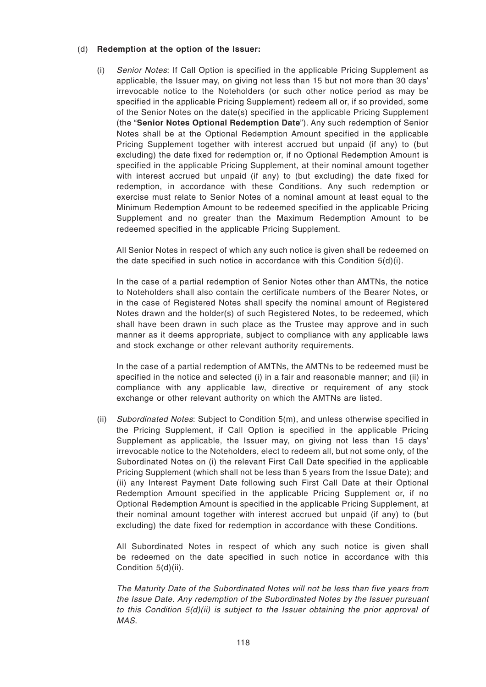### (d) **Redemption at the option of the Issuer:**

(i) Senior Notes: If Call Option is specified in the applicable Pricing Supplement as applicable, the Issuer may, on giving not less than 15 but not more than 30 days' irrevocable notice to the Noteholders (or such other notice period as may be specified in the applicable Pricing Supplement) redeem all or, if so provided, some of the Senior Notes on the date(s) specified in the applicable Pricing Supplement (the "**Senior Notes Optional Redemption Date**"). Any such redemption of Senior Notes shall be at the Optional Redemption Amount specified in the applicable Pricing Supplement together with interest accrued but unpaid (if any) to (but excluding) the date fixed for redemption or, if no Optional Redemption Amount is specified in the applicable Pricing Supplement, at their nominal amount together with interest accrued but unpaid (if any) to (but excluding) the date fixed for redemption, in accordance with these Conditions. Any such redemption or exercise must relate to Senior Notes of a nominal amount at least equal to the Minimum Redemption Amount to be redeemed specified in the applicable Pricing Supplement and no greater than the Maximum Redemption Amount to be redeemed specified in the applicable Pricing Supplement.

All Senior Notes in respect of which any such notice is given shall be redeemed on the date specified in such notice in accordance with this Condition  $5(d)(i)$ .

In the case of a partial redemption of Senior Notes other than AMTNs, the notice to Noteholders shall also contain the certificate numbers of the Bearer Notes, or in the case of Registered Notes shall specify the nominal amount of Registered Notes drawn and the holder(s) of such Registered Notes, to be redeemed, which shall have been drawn in such place as the Trustee may approve and in such manner as it deems appropriate, subject to compliance with any applicable laws and stock exchange or other relevant authority requirements.

In the case of a partial redemption of AMTNs, the AMTNs to be redeemed must be specified in the notice and selected (i) in a fair and reasonable manner; and (ii) in compliance with any applicable law, directive or requirement of any stock exchange or other relevant authority on which the AMTNs are listed.

(ii) Subordinated Notes: Subject to Condition 5(m), and unless otherwise specified in the Pricing Supplement, if Call Option is specified in the applicable Pricing Supplement as applicable, the Issuer may, on giving not less than 15 days' irrevocable notice to the Noteholders, elect to redeem all, but not some only, of the Subordinated Notes on (i) the relevant First Call Date specified in the applicable Pricing Supplement (which shall not be less than 5 years from the Issue Date); and (ii) any Interest Payment Date following such First Call Date at their Optional Redemption Amount specified in the applicable Pricing Supplement or, if no Optional Redemption Amount is specified in the applicable Pricing Supplement, at their nominal amount together with interest accrued but unpaid (if any) to (but excluding) the date fixed for redemption in accordance with these Conditions.

All Subordinated Notes in respect of which any such notice is given shall be redeemed on the date specified in such notice in accordance with this Condition 5(d)(ii).

The Maturity Date of the Subordinated Notes will not be less than five years from the Issue Date. Any redemption of the Subordinated Notes by the Issuer pursuant to this Condition  $5(d)(ii)$  is subject to the Issuer obtaining the prior approval of MAS.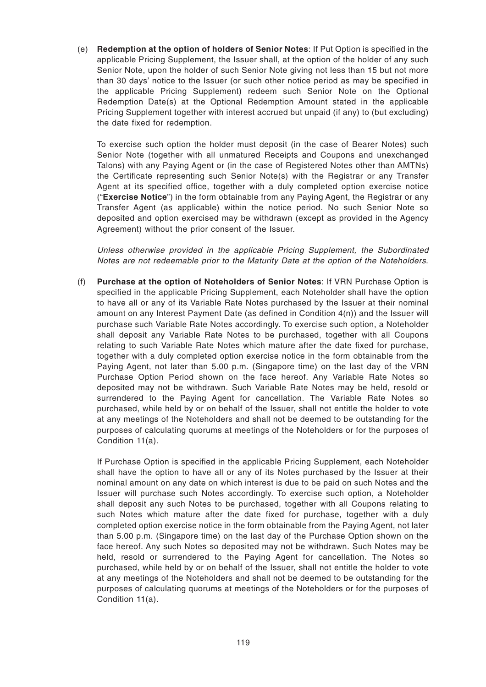(e) **Redemption at the option of holders of Senior Notes**: If Put Option is specified in the applicable Pricing Supplement, the Issuer shall, at the option of the holder of any such Senior Note, upon the holder of such Senior Note giving not less than 15 but not more than 30 days' notice to the Issuer (or such other notice period as may be specified in the applicable Pricing Supplement) redeem such Senior Note on the Optional Redemption Date(s) at the Optional Redemption Amount stated in the applicable Pricing Supplement together with interest accrued but unpaid (if any) to (but excluding) the date fixed for redemption.

To exercise such option the holder must deposit (in the case of Bearer Notes) such Senior Note (together with all unmatured Receipts and Coupons and unexchanged Talons) with any Paying Agent or (in the case of Registered Notes other than AMTNs) the Certificate representing such Senior Note(s) with the Registrar or any Transfer Agent at its specified office, together with a duly completed option exercise notice ("**Exercise Notice**") in the form obtainable from any Paying Agent, the Registrar or any Transfer Agent (as applicable) within the notice period. No such Senior Note so deposited and option exercised may be withdrawn (except as provided in the Agency Agreement) without the prior consent of the Issuer.

Unless otherwise provided in the applicable Pricing Supplement, the Subordinated Notes are not redeemable prior to the Maturity Date at the option of the Noteholders.

(f) **Purchase at the option of Noteholders of Senior Notes**: If VRN Purchase Option is specified in the applicable Pricing Supplement, each Noteholder shall have the option to have all or any of its Variable Rate Notes purchased by the Issuer at their nominal amount on any Interest Payment Date (as defined in Condition 4(n)) and the Issuer will purchase such Variable Rate Notes accordingly. To exercise such option, a Noteholder shall deposit any Variable Rate Notes to be purchased, together with all Coupons relating to such Variable Rate Notes which mature after the date fixed for purchase, together with a duly completed option exercise notice in the form obtainable from the Paying Agent, not later than 5.00 p.m. (Singapore time) on the last day of the VRN Purchase Option Period shown on the face hereof. Any Variable Rate Notes so deposited may not be withdrawn. Such Variable Rate Notes may be held, resold or surrendered to the Paying Agent for cancellation. The Variable Rate Notes so purchased, while held by or on behalf of the Issuer, shall not entitle the holder to vote at any meetings of the Noteholders and shall not be deemed to be outstanding for the purposes of calculating quorums at meetings of the Noteholders or for the purposes of Condition 11(a).

If Purchase Option is specified in the applicable Pricing Supplement, each Noteholder shall have the option to have all or any of its Notes purchased by the Issuer at their nominal amount on any date on which interest is due to be paid on such Notes and the Issuer will purchase such Notes accordingly. To exercise such option, a Noteholder shall deposit any such Notes to be purchased, together with all Coupons relating to such Notes which mature after the date fixed for purchase, together with a duly completed option exercise notice in the form obtainable from the Paying Agent, not later than 5.00 p.m. (Singapore time) on the last day of the Purchase Option shown on the face hereof. Any such Notes so deposited may not be withdrawn. Such Notes may be held, resold or surrendered to the Paying Agent for cancellation. The Notes so purchased, while held by or on behalf of the Issuer, shall not entitle the holder to vote at any meetings of the Noteholders and shall not be deemed to be outstanding for the purposes of calculating quorums at meetings of the Noteholders or for the purposes of Condition 11(a).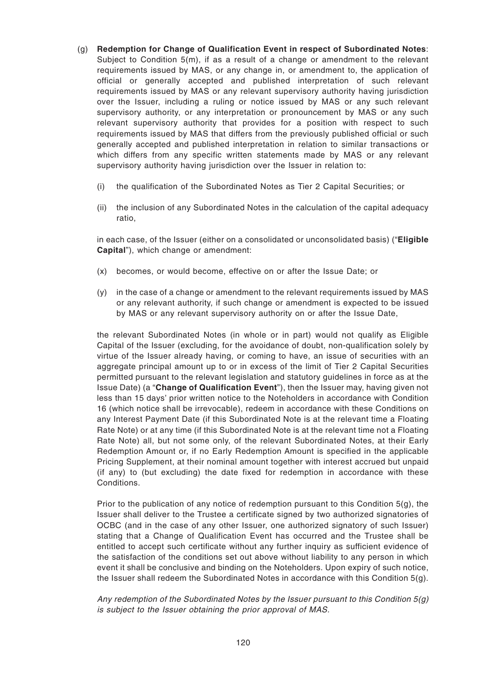- (g) **Redemption for Change of Qualification Event in respect of Subordinated Notes**: Subject to Condition 5(m), if as a result of a change or amendment to the relevant requirements issued by MAS, or any change in, or amendment to, the application of official or generally accepted and published interpretation of such relevant requirements issued by MAS or any relevant supervisory authority having jurisdiction over the Issuer, including a ruling or notice issued by MAS or any such relevant supervisory authority, or any interpretation or pronouncement by MAS or any such relevant supervisory authority that provides for a position with respect to such requirements issued by MAS that differs from the previously published official or such generally accepted and published interpretation in relation to similar transactions or which differs from any specific written statements made by MAS or any relevant supervisory authority having jurisdiction over the Issuer in relation to:
	- (i) the qualification of the Subordinated Notes as Tier 2 Capital Securities; or
	- (ii) the inclusion of any Subordinated Notes in the calculation of the capital adequacy ratio,

in each case, of the Issuer (either on a consolidated or unconsolidated basis) ("**Eligible Capital**"), which change or amendment:

- (x) becomes, or would become, effective on or after the Issue Date; or
- (y) in the case of a change or amendment to the relevant requirements issued by MAS or any relevant authority, if such change or amendment is expected to be issued by MAS or any relevant supervisory authority on or after the Issue Date,

the relevant Subordinated Notes (in whole or in part) would not qualify as Eligible Capital of the Issuer (excluding, for the avoidance of doubt, non-qualification solely by virtue of the Issuer already having, or coming to have, an issue of securities with an aggregate principal amount up to or in excess of the limit of Tier 2 Capital Securities permitted pursuant to the relevant legislation and statutory guidelines in force as at the Issue Date) (a "**Change of Qualification Event**"), then the Issuer may, having given not less than 15 days' prior written notice to the Noteholders in accordance with Condition 16 (which notice shall be irrevocable), redeem in accordance with these Conditions on any Interest Payment Date (if this Subordinated Note is at the relevant time a Floating Rate Note) or at any time (if this Subordinated Note is at the relevant time not a Floating Rate Note) all, but not some only, of the relevant Subordinated Notes, at their Early Redemption Amount or, if no Early Redemption Amount is specified in the applicable Pricing Supplement, at their nominal amount together with interest accrued but unpaid (if any) to (but excluding) the date fixed for redemption in accordance with these Conditions.

Prior to the publication of any notice of redemption pursuant to this Condition 5(g), the Issuer shall deliver to the Trustee a certificate signed by two authorized signatories of OCBC (and in the case of any other Issuer, one authorized signatory of such Issuer) stating that a Change of Qualification Event has occurred and the Trustee shall be entitled to accept such certificate without any further inquiry as sufficient evidence of the satisfaction of the conditions set out above without liability to any person in which event it shall be conclusive and binding on the Noteholders. Upon expiry of such notice, the Issuer shall redeem the Subordinated Notes in accordance with this Condition  $5(q)$ .

Any redemption of the Subordinated Notes by the Issuer pursuant to this Condition  $5(q)$ is subject to the Issuer obtaining the prior approval of MAS.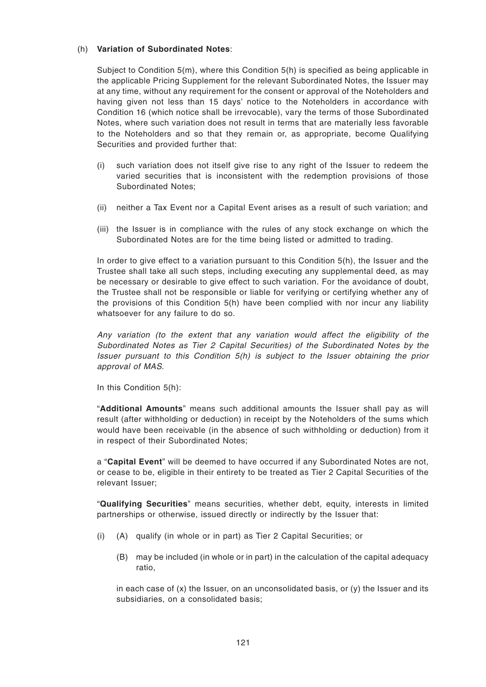#### (h) **Variation of Subordinated Notes**:

Subject to Condition 5(m), where this Condition 5(h) is specified as being applicable in the applicable Pricing Supplement for the relevant Subordinated Notes, the Issuer may at any time, without any requirement for the consent or approval of the Noteholders and having given not less than 15 days' notice to the Noteholders in accordance with Condition 16 (which notice shall be irrevocable), vary the terms of those Subordinated Notes, where such variation does not result in terms that are materially less favorable to the Noteholders and so that they remain or, as appropriate, become Qualifying Securities and provided further that:

- (i) such variation does not itself give rise to any right of the Issuer to redeem the varied securities that is inconsistent with the redemption provisions of those Subordinated Notes;
- (ii) neither a Tax Event nor a Capital Event arises as a result of such variation; and
- (iii) the Issuer is in compliance with the rules of any stock exchange on which the Subordinated Notes are for the time being listed or admitted to trading.

In order to give effect to a variation pursuant to this Condition 5(h), the Issuer and the Trustee shall take all such steps, including executing any supplemental deed, as may be necessary or desirable to give effect to such variation. For the avoidance of doubt, the Trustee shall not be responsible or liable for verifying or certifying whether any of the provisions of this Condition 5(h) have been complied with nor incur any liability whatsoever for any failure to do so.

Any variation (to the extent that any variation would affect the eligibility of the Subordinated Notes as Tier 2 Capital Securities) of the Subordinated Notes by the Issuer pursuant to this Condition  $5(h)$  is subject to the Issuer obtaining the prior approval of MAS.

In this Condition 5(h):

"**Additional Amounts**" means such additional amounts the Issuer shall pay as will result (after withholding or deduction) in receipt by the Noteholders of the sums which would have been receivable (in the absence of such withholding or deduction) from it in respect of their Subordinated Notes;

a "**Capital Event**" will be deemed to have occurred if any Subordinated Notes are not, or cease to be, eligible in their entirety to be treated as Tier 2 Capital Securities of the relevant Issuer;

"**Qualifying Securities**" means securities, whether debt, equity, interests in limited partnerships or otherwise, issued directly or indirectly by the Issuer that:

- (i) (A) qualify (in whole or in part) as Tier 2 Capital Securities; or
	- (B) may be included (in whole or in part) in the calculation of the capital adequacy ratio,

in each case of (x) the Issuer, on an unconsolidated basis, or (y) the Issuer and its subsidiaries, on a consolidated basis;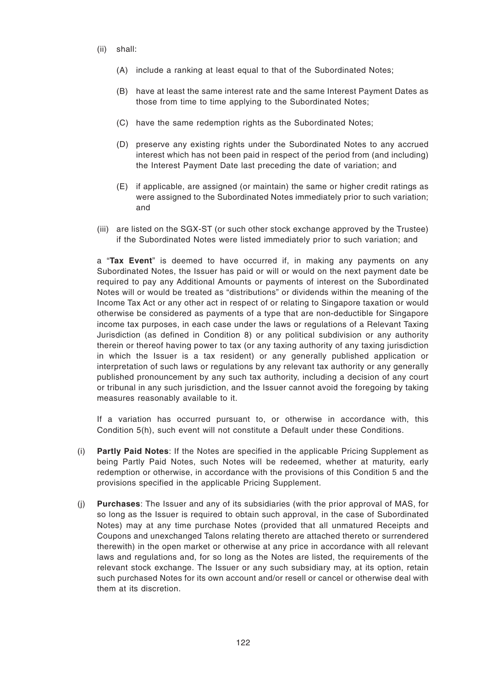- (ii) shall:
	- (A) include a ranking at least equal to that of the Subordinated Notes;
	- (B) have at least the same interest rate and the same Interest Payment Dates as those from time to time applying to the Subordinated Notes;
	- (C) have the same redemption rights as the Subordinated Notes;
	- (D) preserve any existing rights under the Subordinated Notes to any accrued interest which has not been paid in respect of the period from (and including) the Interest Payment Date last preceding the date of variation; and
	- (E) if applicable, are assigned (or maintain) the same or higher credit ratings as were assigned to the Subordinated Notes immediately prior to such variation; and
- (iii) are listed on the SGX-ST (or such other stock exchange approved by the Trustee) if the Subordinated Notes were listed immediately prior to such variation; and

a "**Tax Event**" is deemed to have occurred if, in making any payments on any Subordinated Notes, the Issuer has paid or will or would on the next payment date be required to pay any Additional Amounts or payments of interest on the Subordinated Notes will or would be treated as "distributions" or dividends within the meaning of the Income Tax Act or any other act in respect of or relating to Singapore taxation or would otherwise be considered as payments of a type that are non-deductible for Singapore income tax purposes, in each case under the laws or regulations of a Relevant Taxing Jurisdiction (as defined in Condition 8) or any political subdivision or any authority therein or thereof having power to tax (or any taxing authority of any taxing jurisdiction in which the Issuer is a tax resident) or any generally published application or interpretation of such laws or regulations by any relevant tax authority or any generally published pronouncement by any such tax authority, including a decision of any court or tribunal in any such jurisdiction, and the Issuer cannot avoid the foregoing by taking measures reasonably available to it.

If a variation has occurred pursuant to, or otherwise in accordance with, this Condition 5(h), such event will not constitute a Default under these Conditions.

- (i) **Partly Paid Notes**: If the Notes are specified in the applicable Pricing Supplement as being Partly Paid Notes, such Notes will be redeemed, whether at maturity, early redemption or otherwise, in accordance with the provisions of this Condition 5 and the provisions specified in the applicable Pricing Supplement.
- (j) **Purchases**: The Issuer and any of its subsidiaries (with the prior approval of MAS, for so long as the Issuer is required to obtain such approval, in the case of Subordinated Notes) may at any time purchase Notes (provided that all unmatured Receipts and Coupons and unexchanged Talons relating thereto are attached thereto or surrendered therewith) in the open market or otherwise at any price in accordance with all relevant laws and regulations and, for so long as the Notes are listed, the requirements of the relevant stock exchange. The Issuer or any such subsidiary may, at its option, retain such purchased Notes for its own account and/or resell or cancel or otherwise deal with them at its discretion.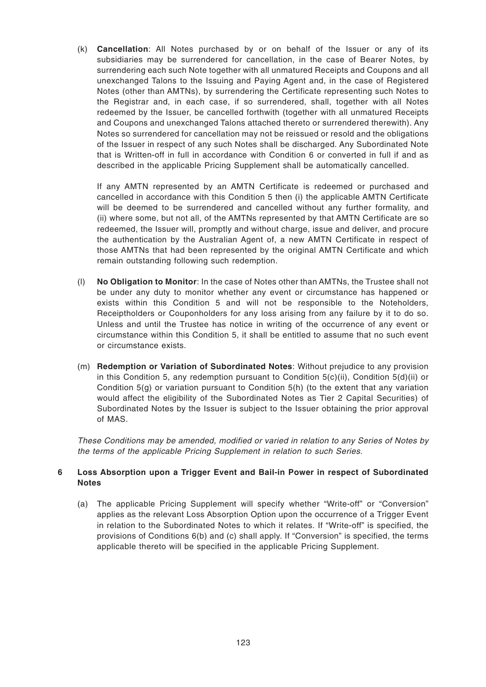(k) **Cancellation**: All Notes purchased by or on behalf of the Issuer or any of its subsidiaries may be surrendered for cancellation, in the case of Bearer Notes, by surrendering each such Note together with all unmatured Receipts and Coupons and all unexchanged Talons to the Issuing and Paying Agent and, in the case of Registered Notes (other than AMTNs), by surrendering the Certificate representing such Notes to the Registrar and, in each case, if so surrendered, shall, together with all Notes redeemed by the Issuer, be cancelled forthwith (together with all unmatured Receipts and Coupons and unexchanged Talons attached thereto or surrendered therewith). Any Notes so surrendered for cancellation may not be reissued or resold and the obligations of the Issuer in respect of any such Notes shall be discharged. Any Subordinated Note that is Written-off in full in accordance with Condition 6 or converted in full if and as described in the applicable Pricing Supplement shall be automatically cancelled.

If any AMTN represented by an AMTN Certificate is redeemed or purchased and cancelled in accordance with this Condition 5 then (i) the applicable AMTN Certificate will be deemed to be surrendered and cancelled without any further formality, and (ii) where some, but not all, of the AMTNs represented by that AMTN Certificate are so redeemed, the Issuer will, promptly and without charge, issue and deliver, and procure the authentication by the Australian Agent of, a new AMTN Certificate in respect of those AMTNs that had been represented by the original AMTN Certificate and which remain outstanding following such redemption.

- (l) **No Obligation to Monitor**: In the case of Notes other than AMTNs, the Trustee shall not be under any duty to monitor whether any event or circumstance has happened or exists within this Condition 5 and will not be responsible to the Noteholders, Receiptholders or Couponholders for any loss arising from any failure by it to do so. Unless and until the Trustee has notice in writing of the occurrence of any event or circumstance within this Condition 5, it shall be entitled to assume that no such event or circumstance exists.
- (m) **Redemption or Variation of Subordinated Notes**: Without prejudice to any provision in this Condition 5, any redemption pursuant to Condition 5(c)(ii), Condition 5(d)(ii) or Condition 5(g) or variation pursuant to Condition 5(h) (to the extent that any variation would affect the eligibility of the Subordinated Notes as Tier 2 Capital Securities) of Subordinated Notes by the Issuer is subject to the Issuer obtaining the prior approval of MAS.

These Conditions may be amended, modified or varied in relation to any Series of Notes by the terms of the applicable Pricing Supplement in relation to such Series.

### **6 Loss Absorption upon a Trigger Event and Bail-in Power in respect of Subordinated Notes**

(a) The applicable Pricing Supplement will specify whether "Write-off" or "Conversion" applies as the relevant Loss Absorption Option upon the occurrence of a Trigger Event in relation to the Subordinated Notes to which it relates. If "Write-off" is specified, the provisions of Conditions 6(b) and (c) shall apply. If "Conversion" is specified, the terms applicable thereto will be specified in the applicable Pricing Supplement.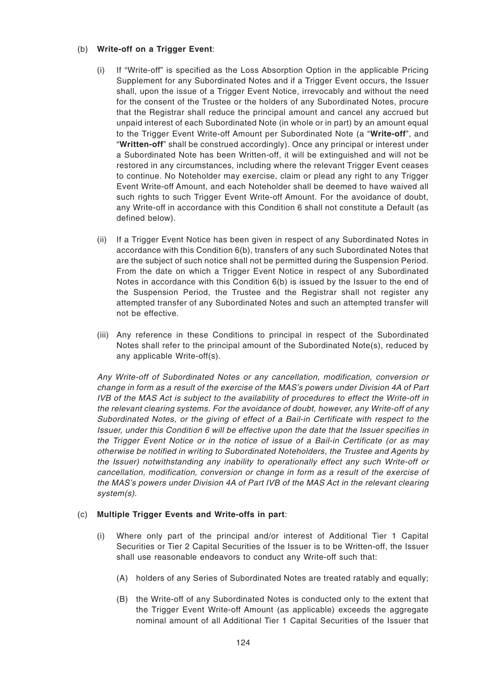#### (b) **Write-off on a Trigger Event**:

- (i) If "Write-off" is specified as the Loss Absorption Option in the applicable Pricing Supplement for any Subordinated Notes and if a Trigger Event occurs, the Issuer shall, upon the issue of a Trigger Event Notice, irrevocably and without the need for the consent of the Trustee or the holders of any Subordinated Notes, procure that the Registrar shall reduce the principal amount and cancel any accrued but unpaid interest of each Subordinated Note (in whole or in part) by an amount equal to the Trigger Event Write-off Amount per Subordinated Note (a "**Write-off**", and "**Written-off**" shall be construed accordingly). Once any principal or interest under a Subordinated Note has been Written-off, it will be extinguished and will not be restored in any circumstances, including where the relevant Trigger Event ceases to continue. No Noteholder may exercise, claim or plead any right to any Trigger Event Write-off Amount, and each Noteholder shall be deemed to have waived all such rights to such Trigger Event Write-off Amount. For the avoidance of doubt, any Write-off in accordance with this Condition 6 shall not constitute a Default (as defined below).
- (ii) If a Trigger Event Notice has been given in respect of any Subordinated Notes in accordance with this Condition 6(b), transfers of any such Subordinated Notes that are the subject of such notice shall not be permitted during the Suspension Period. From the date on which a Trigger Event Notice in respect of any Subordinated Notes in accordance with this Condition 6(b) is issued by the Issuer to the end of the Suspension Period, the Trustee and the Registrar shall not register any attempted transfer of any Subordinated Notes and such an attempted transfer will not be effective.
- (iii) Any reference in these Conditions to principal in respect of the Subordinated Notes shall refer to the principal amount of the Subordinated Note(s), reduced by any applicable Write-off(s).

Any Write-off of Subordinated Notes or any cancellation, modification, conversion or change in form as a result of the exercise of the MAS's powers under Division 4A of Part IVB of the MAS Act is subject to the availability of procedures to effect the Write-off in the relevant clearing systems. For the avoidance of doubt, however, any Write-off of any Subordinated Notes, or the giving of effect of a Bail-in Certificate with respect to the Issuer, under this Condition 6 will be effective upon the date that the Issuer specifies in the Trigger Event Notice or in the notice of issue of a Bail-in Certificate (or as may otherwise be notified in writing to Subordinated Noteholders, the Trustee and Agents by the Issuer) notwithstanding any inability to operationally effect any such Write-off or cancellation, modification, conversion or change in form as a result of the exercise of the MAS's powers under Division 4A of Part IVB of the MAS Act in the relevant clearing system(s).

### (c) **Multiple Trigger Events and Write-offs in part**:

- (i) Where only part of the principal and/or interest of Additional Tier 1 Capital Securities or Tier 2 Capital Securities of the Issuer is to be Written-off, the Issuer shall use reasonable endeavors to conduct any Write-off such that:
	- (A) holders of any Series of Subordinated Notes are treated ratably and equally;
	- (B) the Write-off of any Subordinated Notes is conducted only to the extent that the Trigger Event Write-off Amount (as applicable) exceeds the aggregate nominal amount of all Additional Tier 1 Capital Securities of the Issuer that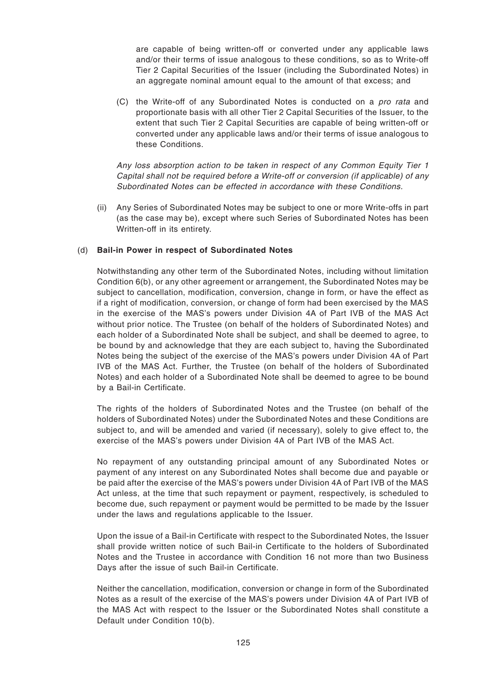are capable of being written-off or converted under any applicable laws and/or their terms of issue analogous to these conditions, so as to Write-off Tier 2 Capital Securities of the Issuer (including the Subordinated Notes) in an aggregate nominal amount equal to the amount of that excess; and

(C) the Write-off of any Subordinated Notes is conducted on a pro rata and proportionate basis with all other Tier 2 Capital Securities of the Issuer, to the extent that such Tier 2 Capital Securities are capable of being written-off or converted under any applicable laws and/or their terms of issue analogous to these Conditions.

Any loss absorption action to be taken in respect of any Common Equity Tier 1 Capital shall not be required before a Write-off or conversion (if applicable) of any Subordinated Notes can be effected in accordance with these Conditions.

(ii) Any Series of Subordinated Notes may be subject to one or more Write-offs in part (as the case may be), except where such Series of Subordinated Notes has been Written-off in its entirety.

### (d) **Bail-in Power in respect of Subordinated Notes**

Notwithstanding any other term of the Subordinated Notes, including without limitation Condition 6(b), or any other agreement or arrangement, the Subordinated Notes may be subject to cancellation, modification, conversion, change in form, or have the effect as if a right of modification, conversion, or change of form had been exercised by the MAS in the exercise of the MAS's powers under Division 4A of Part IVB of the MAS Act without prior notice. The Trustee (on behalf of the holders of Subordinated Notes) and each holder of a Subordinated Note shall be subject, and shall be deemed to agree, to be bound by and acknowledge that they are each subject to, having the Subordinated Notes being the subject of the exercise of the MAS's powers under Division 4A of Part IVB of the MAS Act. Further, the Trustee (on behalf of the holders of Subordinated Notes) and each holder of a Subordinated Note shall be deemed to agree to be bound by a Bail-in Certificate.

The rights of the holders of Subordinated Notes and the Trustee (on behalf of the holders of Subordinated Notes) under the Subordinated Notes and these Conditions are subject to, and will be amended and varied (if necessary), solely to give effect to, the exercise of the MAS's powers under Division 4A of Part IVB of the MAS Act.

No repayment of any outstanding principal amount of any Subordinated Notes or payment of any interest on any Subordinated Notes shall become due and payable or be paid after the exercise of the MAS's powers under Division 4A of Part IVB of the MAS Act unless, at the time that such repayment or payment, respectively, is scheduled to become due, such repayment or payment would be permitted to be made by the Issuer under the laws and regulations applicable to the Issuer.

Upon the issue of a Bail-in Certificate with respect to the Subordinated Notes, the Issuer shall provide written notice of such Bail-in Certificate to the holders of Subordinated Notes and the Trustee in accordance with Condition 16 not more than two Business Days after the issue of such Bail-in Certificate.

Neither the cancellation, modification, conversion or change in form of the Subordinated Notes as a result of the exercise of the MAS's powers under Division 4A of Part IVB of the MAS Act with respect to the Issuer or the Subordinated Notes shall constitute a Default under Condition 10(b).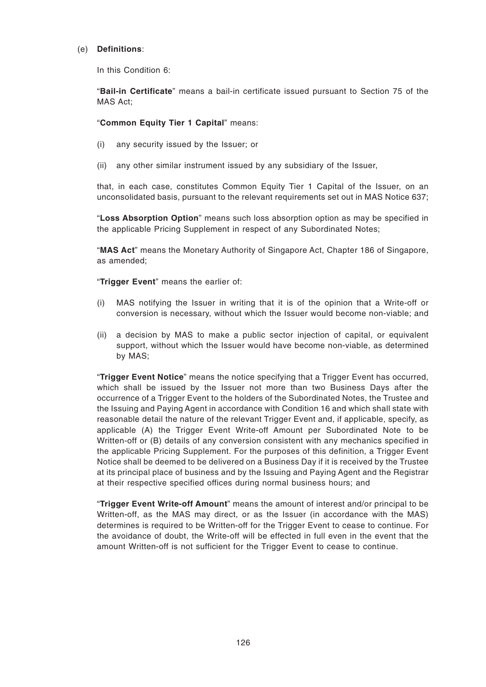### (e) **Definitions**:

In this Condition 6:

"**Bail-in Certificate**" means a bail-in certificate issued pursuant to Section 75 of the MAS Act;

## "**Common Equity Tier 1 Capital**" means:

- (i) any security issued by the Issuer; or
- (ii) any other similar instrument issued by any subsidiary of the Issuer,

that, in each case, constitutes Common Equity Tier 1 Capital of the Issuer, on an unconsolidated basis, pursuant to the relevant requirements set out in MAS Notice 637;

"**Loss Absorption Option**" means such loss absorption option as may be specified in the applicable Pricing Supplement in respect of any Subordinated Notes;

"**MAS Act**" means the Monetary Authority of Singapore Act, Chapter 186 of Singapore, as amended;

"**Trigger Event**" means the earlier of:

- (i) MAS notifying the Issuer in writing that it is of the opinion that a Write-off or conversion is necessary, without which the Issuer would become non-viable; and
- (ii) a decision by MAS to make a public sector injection of capital, or equivalent support, without which the Issuer would have become non-viable, as determined by MAS;

"**Trigger Event Notice**" means the notice specifying that a Trigger Event has occurred, which shall be issued by the Issuer not more than two Business Days after the occurrence of a Trigger Event to the holders of the Subordinated Notes, the Trustee and the Issuing and Paying Agent in accordance with Condition 16 and which shall state with reasonable detail the nature of the relevant Trigger Event and, if applicable, specify, as applicable (A) the Trigger Event Write-off Amount per Subordinated Note to be Written-off or (B) details of any conversion consistent with any mechanics specified in the applicable Pricing Supplement. For the purposes of this definition, a Trigger Event Notice shall be deemed to be delivered on a Business Day if it is received by the Trustee at its principal place of business and by the Issuing and Paying Agent and the Registrar at their respective specified offices during normal business hours; and

"**Trigger Event Write-off Amount**" means the amount of interest and/or principal to be Written-off, as the MAS may direct, or as the Issuer (in accordance with the MAS) determines is required to be Written-off for the Trigger Event to cease to continue. For the avoidance of doubt, the Write-off will be effected in full even in the event that the amount Written-off is not sufficient for the Trigger Event to cease to continue.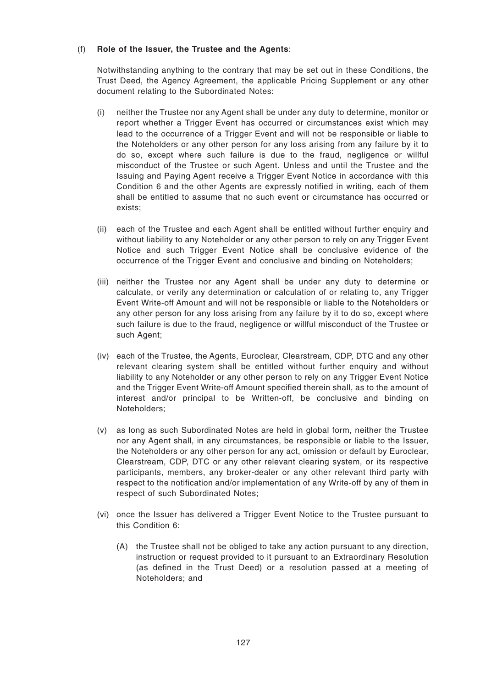### (f) **Role of the Issuer, the Trustee and the Agents**:

Notwithstanding anything to the contrary that may be set out in these Conditions, the Trust Deed, the Agency Agreement, the applicable Pricing Supplement or any other document relating to the Subordinated Notes:

- (i) neither the Trustee nor any Agent shall be under any duty to determine, monitor or report whether a Trigger Event has occurred or circumstances exist which may lead to the occurrence of a Trigger Event and will not be responsible or liable to the Noteholders or any other person for any loss arising from any failure by it to do so, except where such failure is due to the fraud, negligence or willful misconduct of the Trustee or such Agent. Unless and until the Trustee and the Issuing and Paying Agent receive a Trigger Event Notice in accordance with this Condition 6 and the other Agents are expressly notified in writing, each of them shall be entitled to assume that no such event or circumstance has occurred or exists;
- (ii) each of the Trustee and each Agent shall be entitled without further enquiry and without liability to any Noteholder or any other person to rely on any Trigger Event Notice and such Trigger Event Notice shall be conclusive evidence of the occurrence of the Trigger Event and conclusive and binding on Noteholders;
- (iii) neither the Trustee nor any Agent shall be under any duty to determine or calculate, or verify any determination or calculation of or relating to, any Trigger Event Write-off Amount and will not be responsible or liable to the Noteholders or any other person for any loss arising from any failure by it to do so, except where such failure is due to the fraud, negligence or willful misconduct of the Trustee or such Agent;
- (iv) each of the Trustee, the Agents, Euroclear, Clearstream, CDP, DTC and any other relevant clearing system shall be entitled without further enquiry and without liability to any Noteholder or any other person to rely on any Trigger Event Notice and the Trigger Event Write-off Amount specified therein shall, as to the amount of interest and/or principal to be Written-off, be conclusive and binding on Noteholders;
- (v) as long as such Subordinated Notes are held in global form, neither the Trustee nor any Agent shall, in any circumstances, be responsible or liable to the Issuer, the Noteholders or any other person for any act, omission or default by Euroclear, Clearstream, CDP, DTC or any other relevant clearing system, or its respective participants, members, any broker-dealer or any other relevant third party with respect to the notification and/or implementation of any Write-off by any of them in respect of such Subordinated Notes;
- (vi) once the Issuer has delivered a Trigger Event Notice to the Trustee pursuant to this Condition 6:
	- (A) the Trustee shall not be obliged to take any action pursuant to any direction, instruction or request provided to it pursuant to an Extraordinary Resolution (as defined in the Trust Deed) or a resolution passed at a meeting of Noteholders; and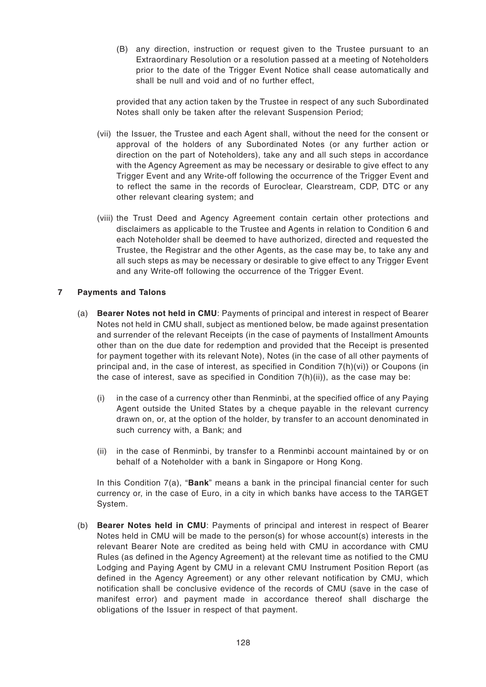(B) any direction, instruction or request given to the Trustee pursuant to an Extraordinary Resolution or a resolution passed at a meeting of Noteholders prior to the date of the Trigger Event Notice shall cease automatically and shall be null and void and of no further effect,

provided that any action taken by the Trustee in respect of any such Subordinated Notes shall only be taken after the relevant Suspension Period;

- (vii) the Issuer, the Trustee and each Agent shall, without the need for the consent or approval of the holders of any Subordinated Notes (or any further action or direction on the part of Noteholders), take any and all such steps in accordance with the Agency Agreement as may be necessary or desirable to give effect to any Trigger Event and any Write-off following the occurrence of the Trigger Event and to reflect the same in the records of Euroclear, Clearstream, CDP, DTC or any other relevant clearing system; and
- (viii) the Trust Deed and Agency Agreement contain certain other protections and disclaimers as applicable to the Trustee and Agents in relation to Condition 6 and each Noteholder shall be deemed to have authorized, directed and requested the Trustee, the Registrar and the other Agents, as the case may be, to take any and all such steps as may be necessary or desirable to give effect to any Trigger Event and any Write-off following the occurrence of the Trigger Event.

## **7 Payments and Talons**

- (a) **Bearer Notes not held in CMU**: Payments of principal and interest in respect of Bearer Notes not held in CMU shall, subject as mentioned below, be made against presentation and surrender of the relevant Receipts (in the case of payments of Installment Amounts other than on the due date for redemption and provided that the Receipt is presented for payment together with its relevant Note), Notes (in the case of all other payments of principal and, in the case of interest, as specified in Condition 7(h)(vi)) or Coupons (in the case of interest, save as specified in Condition  $7(h)(ii)$ , as the case may be:
	- (i) in the case of a currency other than Renminbi, at the specified office of any Paying Agent outside the United States by a cheque payable in the relevant currency drawn on, or, at the option of the holder, by transfer to an account denominated in such currency with, a Bank; and
	- (ii) in the case of Renminbi, by transfer to a Renminbi account maintained by or on behalf of a Noteholder with a bank in Singapore or Hong Kong.

In this Condition 7(a), "**Bank**" means a bank in the principal financial center for such currency or, in the case of Euro, in a city in which banks have access to the TARGET System.

(b) **Bearer Notes held in CMU**: Payments of principal and interest in respect of Bearer Notes held in CMU will be made to the person(s) for whose account(s) interests in the relevant Bearer Note are credited as being held with CMU in accordance with CMU Rules (as defined in the Agency Agreement) at the relevant time as notified to the CMU Lodging and Paying Agent by CMU in a relevant CMU Instrument Position Report (as defined in the Agency Agreement) or any other relevant notification by CMU, which notification shall be conclusive evidence of the records of CMU (save in the case of manifest error) and payment made in accordance thereof shall discharge the obligations of the Issuer in respect of that payment.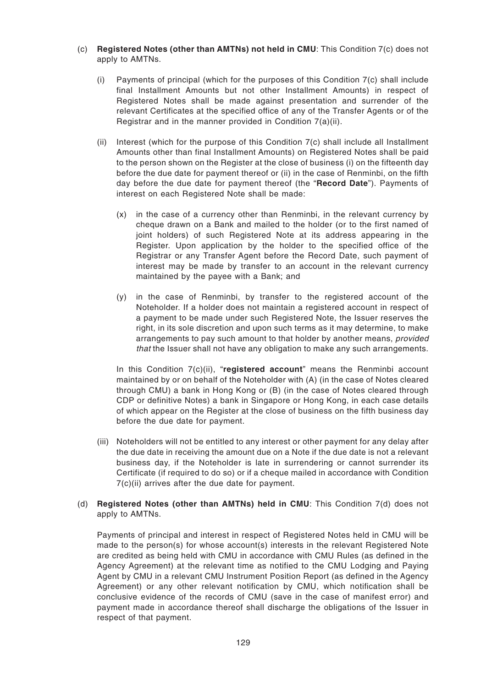- (c) **Registered Notes (other than AMTNs) not held in CMU**: This Condition 7(c) does not apply to AMTNs.
	- (i) Payments of principal (which for the purposes of this Condition 7(c) shall include final Installment Amounts but not other Installment Amounts) in respect of Registered Notes shall be made against presentation and surrender of the relevant Certificates at the specified office of any of the Transfer Agents or of the Registrar and in the manner provided in Condition 7(a)(ii).
	- (ii) Interest (which for the purpose of this Condition 7(c) shall include all Installment Amounts other than final Installment Amounts) on Registered Notes shall be paid to the person shown on the Register at the close of business (i) on the fifteenth day before the due date for payment thereof or (ii) in the case of Renminbi, on the fifth day before the due date for payment thereof (the "**Record Date**"). Payments of interest on each Registered Note shall be made:
		- (x) in the case of a currency other than Renminbi, in the relevant currency by cheque drawn on a Bank and mailed to the holder (or to the first named of joint holders) of such Registered Note at its address appearing in the Register. Upon application by the holder to the specified office of the Registrar or any Transfer Agent before the Record Date, such payment of interest may be made by transfer to an account in the relevant currency maintained by the payee with a Bank; and
		- (y) in the case of Renminbi, by transfer to the registered account of the Noteholder. If a holder does not maintain a registered account in respect of a payment to be made under such Registered Note, the Issuer reserves the right, in its sole discretion and upon such terms as it may determine, to make arrangements to pay such amount to that holder by another means, provided that the Issuer shall not have any obligation to make any such arrangements.

In this Condition 7(c)(ii), "**registered account**" means the Renminbi account maintained by or on behalf of the Noteholder with (A) (in the case of Notes cleared through CMU) a bank in Hong Kong or (B) (in the case of Notes cleared through CDP or definitive Notes) a bank in Singapore or Hong Kong, in each case details of which appear on the Register at the close of business on the fifth business day before the due date for payment.

(iii) Noteholders will not be entitled to any interest or other payment for any delay after the due date in receiving the amount due on a Note if the due date is not a relevant business day, if the Noteholder is late in surrendering or cannot surrender its Certificate (if required to do so) or if a cheque mailed in accordance with Condition 7(c)(ii) arrives after the due date for payment.

### (d) **Registered Notes (other than AMTNs) held in CMU**: This Condition 7(d) does not apply to AMTNs.

Payments of principal and interest in respect of Registered Notes held in CMU will be made to the person(s) for whose account(s) interests in the relevant Registered Note are credited as being held with CMU in accordance with CMU Rules (as defined in the Agency Agreement) at the relevant time as notified to the CMU Lodging and Paying Agent by CMU in a relevant CMU Instrument Position Report (as defined in the Agency Agreement) or any other relevant notification by CMU, which notification shall be conclusive evidence of the records of CMU (save in the case of manifest error) and payment made in accordance thereof shall discharge the obligations of the Issuer in respect of that payment.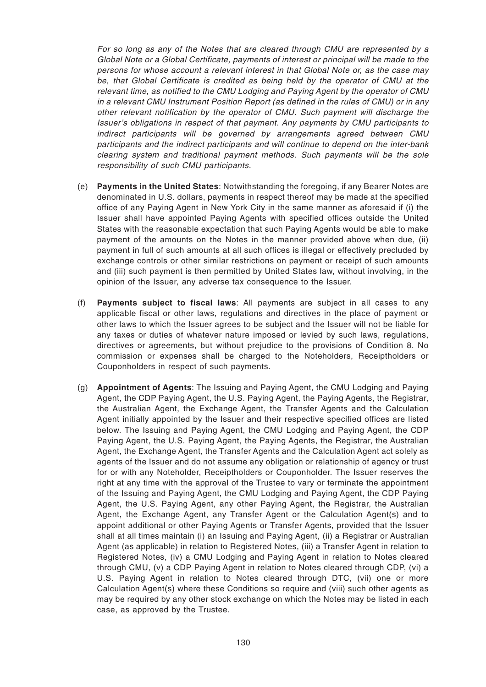For so long as any of the Notes that are cleared through CMU are represented by a Global Note or a Global Certificate, payments of interest or principal will be made to the persons for whose account a relevant interest in that Global Note or, as the case may be, that Global Certificate is credited as being held by the operator of CMU at the relevant time, as notified to the CMU Lodging and Paying Agent by the operator of CMU in a relevant CMU Instrument Position Report (as defined in the rules of CMU) or in any other relevant notification by the operator of CMU. Such payment will discharge the Issuer's obligations in respect of that payment. Any payments by CMU participants to indirect participants will be governed by arrangements agreed between CMU participants and the indirect participants and will continue to depend on the inter-bank clearing system and traditional payment methods. Such payments will be the sole responsibility of such CMU participants.

- (e) **Payments in the United States**: Notwithstanding the foregoing, if any Bearer Notes are denominated in U.S. dollars, payments in respect thereof may be made at the specified office of any Paying Agent in New York City in the same manner as aforesaid if (i) the Issuer shall have appointed Paying Agents with specified offices outside the United States with the reasonable expectation that such Paying Agents would be able to make payment of the amounts on the Notes in the manner provided above when due, (ii) payment in full of such amounts at all such offices is illegal or effectively precluded by exchange controls or other similar restrictions on payment or receipt of such amounts and (iii) such payment is then permitted by United States law, without involving, in the opinion of the Issuer, any adverse tax consequence to the Issuer.
- (f) **Payments subject to fiscal laws**: All payments are subject in all cases to any applicable fiscal or other laws, regulations and directives in the place of payment or other laws to which the Issuer agrees to be subject and the Issuer will not be liable for any taxes or duties of whatever nature imposed or levied by such laws, regulations, directives or agreements, but without prejudice to the provisions of Condition 8. No commission or expenses shall be charged to the Noteholders, Receiptholders or Couponholders in respect of such payments.
- (g) **Appointment of Agents**: The Issuing and Paying Agent, the CMU Lodging and Paying Agent, the CDP Paying Agent, the U.S. Paying Agent, the Paying Agents, the Registrar, the Australian Agent, the Exchange Agent, the Transfer Agents and the Calculation Agent initially appointed by the Issuer and their respective specified offices are listed below. The Issuing and Paying Agent, the CMU Lodging and Paying Agent, the CDP Paying Agent, the U.S. Paying Agent, the Paying Agents, the Registrar, the Australian Agent, the Exchange Agent, the Transfer Agents and the Calculation Agent act solely as agents of the Issuer and do not assume any obligation or relationship of agency or trust for or with any Noteholder, Receiptholders or Couponholder. The Issuer reserves the right at any time with the approval of the Trustee to vary or terminate the appointment of the Issuing and Paying Agent, the CMU Lodging and Paying Agent, the CDP Paying Agent, the U.S. Paying Agent, any other Paying Agent, the Registrar, the Australian Agent, the Exchange Agent, any Transfer Agent or the Calculation Agent(s) and to appoint additional or other Paying Agents or Transfer Agents, provided that the Issuer shall at all times maintain (i) an Issuing and Paying Agent, (ii) a Registrar or Australian Agent (as applicable) in relation to Registered Notes, (iii) a Transfer Agent in relation to Registered Notes, (iv) a CMU Lodging and Paying Agent in relation to Notes cleared through CMU, (v) a CDP Paying Agent in relation to Notes cleared through CDP, (vi) a U.S. Paying Agent in relation to Notes cleared through DTC, (vii) one or more Calculation Agent(s) where these Conditions so require and (viii) such other agents as may be required by any other stock exchange on which the Notes may be listed in each case, as approved by the Trustee.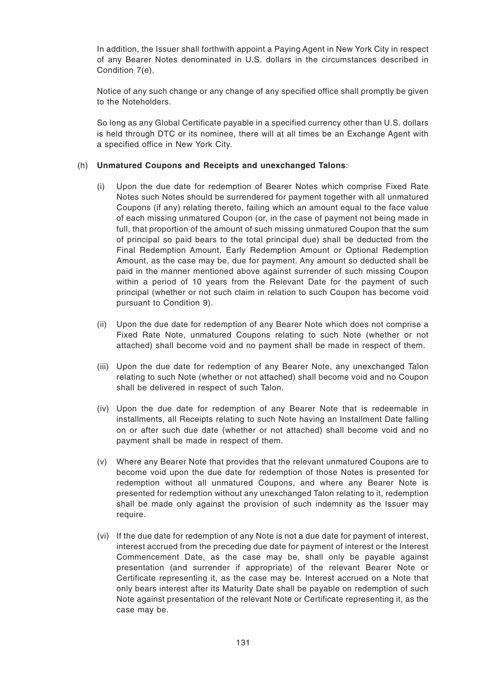In addition, the Issuer shall forthwith appoint a Paying Agent in New York City in respect of any Bearer Notes denominated in U.S. dollars in the circumstances described in Condition 7(e).

Notice of any such change or any change of any specified office shall promptly be given to the Noteholders.

So long as any Global Certificate payable in a specified currency other than U.S. dollars is held through DTC or its nominee, there will at all times be an Exchange Agent with a specified office in New York City.

### (h) **Unmatured Coupons and Receipts and unexchanged Talons**:

- (i) Upon the due date for redemption of Bearer Notes which comprise Fixed Rate Notes such Notes should be surrendered for payment together with all unmatured Coupons (if any) relating thereto, failing which an amount equal to the face value of each missing unmatured Coupon (or, in the case of payment not being made in full, that proportion of the amount of such missing unmatured Coupon that the sum of principal so paid bears to the total principal due) shall be deducted from the Final Redemption Amount, Early Redemption Amount or Optional Redemption Amount, as the case may be, due for payment. Any amount so deducted shall be paid in the manner mentioned above against surrender of such missing Coupon within a period of 10 years from the Relevant Date for the payment of such principal (whether or not such claim in relation to such Coupon has become void pursuant to Condition 9).
- (ii) Upon the due date for redemption of any Bearer Note which does not comprise a Fixed Rate Note, unmatured Coupons relating to such Note (whether or not attached) shall become void and no payment shall be made in respect of them.
- (iii) Upon the due date for redemption of any Bearer Note, any unexchanged Talon relating to such Note (whether or not attached) shall become void and no Coupon shall be delivered in respect of such Talon.
- (iv) Upon the due date for redemption of any Bearer Note that is redeemable in installments, all Receipts relating to such Note having an Installment Date falling on or after such due date (whether or not attached) shall become void and no payment shall be made in respect of them.
- (v) Where any Bearer Note that provides that the relevant unmatured Coupons are to become void upon the due date for redemption of those Notes is presented for redemption without all unmatured Coupons, and where any Bearer Note is presented for redemption without any unexchanged Talon relating to it, redemption shall be made only against the provision of such indemnity as the Issuer may require.
- (vi) If the due date for redemption of any Note is not a due date for payment of interest, interest accrued from the preceding due date for payment of interest or the Interest Commencement Date, as the case may be, shall only be payable against presentation (and surrender if appropriate) of the relevant Bearer Note or Certificate representing it, as the case may be. Interest accrued on a Note that only bears interest after its Maturity Date shall be payable on redemption of such Note against presentation of the relevant Note or Certificate representing it, as the case may be.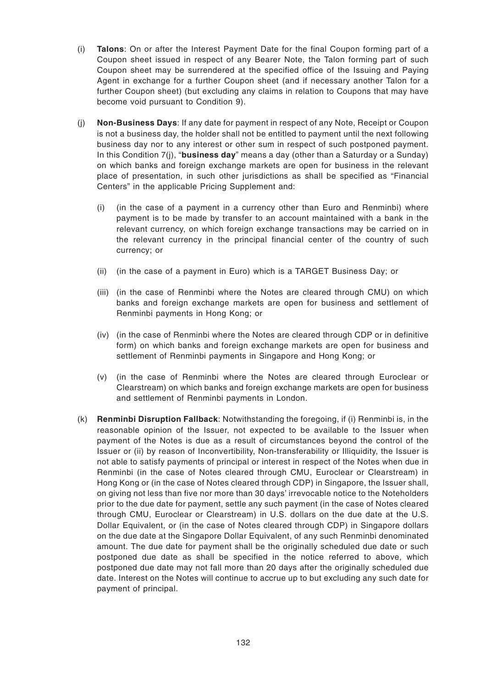- (i) **Talons**: On or after the Interest Payment Date for the final Coupon forming part of a Coupon sheet issued in respect of any Bearer Note, the Talon forming part of such Coupon sheet may be surrendered at the specified office of the Issuing and Paying Agent in exchange for a further Coupon sheet (and if necessary another Talon for a further Coupon sheet) (but excluding any claims in relation to Coupons that may have become void pursuant to Condition 9).
- (j) **Non-Business Days**: If any date for payment in respect of any Note, Receipt or Coupon is not a business day, the holder shall not be entitled to payment until the next following business day nor to any interest or other sum in respect of such postponed payment. In this Condition 7(j), "**business day**" means a day (other than a Saturday or a Sunday) on which banks and foreign exchange markets are open for business in the relevant place of presentation, in such other jurisdictions as shall be specified as "Financial Centers" in the applicable Pricing Supplement and:
	- (i) (in the case of a payment in a currency other than Euro and Renminbi) where payment is to be made by transfer to an account maintained with a bank in the relevant currency, on which foreign exchange transactions may be carried on in the relevant currency in the principal financial center of the country of such currency; or
	- (ii) (in the case of a payment in Euro) which is a TARGET Business Day; or
	- (iii) (in the case of Renminbi where the Notes are cleared through CMU) on which banks and foreign exchange markets are open for business and settlement of Renminbi payments in Hong Kong; or
	- (iv) (in the case of Renminbi where the Notes are cleared through CDP or in definitive form) on which banks and foreign exchange markets are open for business and settlement of Renminbi payments in Singapore and Hong Kong; or
	- (v) (in the case of Renminbi where the Notes are cleared through Euroclear or Clearstream) on which banks and foreign exchange markets are open for business and settlement of Renminbi payments in London.
- (k) **Renminbi Disruption Fallback**: Notwithstanding the foregoing, if (i) Renminbi is, in the reasonable opinion of the Issuer, not expected to be available to the Issuer when payment of the Notes is due as a result of circumstances beyond the control of the Issuer or (ii) by reason of Inconvertibility, Non-transferability or Illiquidity, the Issuer is not able to satisfy payments of principal or interest in respect of the Notes when due in Renminbi (in the case of Notes cleared through CMU, Euroclear or Clearstream) in Hong Kong or (in the case of Notes cleared through CDP) in Singapore, the Issuer shall, on giving not less than five nor more than 30 days' irrevocable notice to the Noteholders prior to the due date for payment, settle any such payment (in the case of Notes cleared through CMU, Euroclear or Clearstream) in U.S. dollars on the due date at the U.S. Dollar Equivalent, or (in the case of Notes cleared through CDP) in Singapore dollars on the due date at the Singapore Dollar Equivalent, of any such Renminbi denominated amount. The due date for payment shall be the originally scheduled due date or such postponed due date as shall be specified in the notice referred to above, which postponed due date may not fall more than 20 days after the originally scheduled due date. Interest on the Notes will continue to accrue up to but excluding any such date for payment of principal.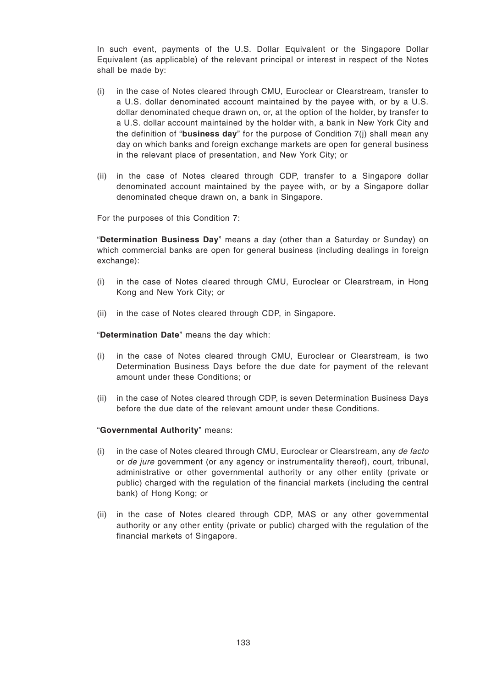In such event, payments of the U.S. Dollar Equivalent or the Singapore Dollar Equivalent (as applicable) of the relevant principal or interest in respect of the Notes shall be made by:

- (i) in the case of Notes cleared through CMU, Euroclear or Clearstream, transfer to a U.S. dollar denominated account maintained by the payee with, or by a U.S. dollar denominated cheque drawn on, or, at the option of the holder, by transfer to a U.S. dollar account maintained by the holder with, a bank in New York City and the definition of "**business day**" for the purpose of Condition 7(j) shall mean any day on which banks and foreign exchange markets are open for general business in the relevant place of presentation, and New York City; or
- (ii) in the case of Notes cleared through CDP, transfer to a Singapore dollar denominated account maintained by the payee with, or by a Singapore dollar denominated cheque drawn on, a bank in Singapore.

For the purposes of this Condition 7:

"**Determination Business Day**" means a day (other than a Saturday or Sunday) on which commercial banks are open for general business (including dealings in foreign exchange):

- (i) in the case of Notes cleared through CMU, Euroclear or Clearstream, in Hong Kong and New York City; or
- (ii) in the case of Notes cleared through CDP, in Singapore.

"**Determination Date**" means the day which:

- (i) in the case of Notes cleared through CMU, Euroclear or Clearstream, is two Determination Business Days before the due date for payment of the relevant amount under these Conditions; or
- (ii) in the case of Notes cleared through CDP, is seven Determination Business Days before the due date of the relevant amount under these Conditions.

#### "**Governmental Authority**" means:

- (i) in the case of Notes cleared through CMU, Euroclear or Clearstream, any de facto or *de jure* government (or any agency or instrumentality thereof), court, tribunal, administrative or other governmental authority or any other entity (private or public) charged with the regulation of the financial markets (including the central bank) of Hong Kong; or
- (ii) in the case of Notes cleared through CDP, MAS or any other governmental authority or any other entity (private or public) charged with the regulation of the financial markets of Singapore.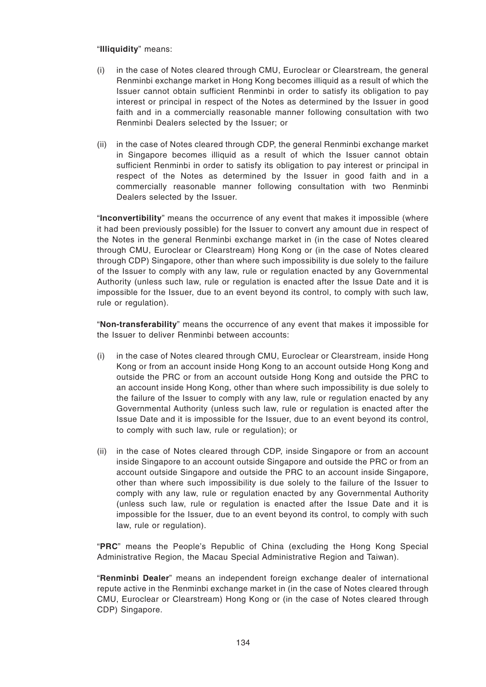### "**Illiquidity**" means:

- (i) in the case of Notes cleared through CMU, Euroclear or Clearstream, the general Renminbi exchange market in Hong Kong becomes illiquid as a result of which the Issuer cannot obtain sufficient Renminbi in order to satisfy its obligation to pay interest or principal in respect of the Notes as determined by the Issuer in good faith and in a commercially reasonable manner following consultation with two Renminbi Dealers selected by the Issuer; or
- (ii) in the case of Notes cleared through CDP, the general Renminbi exchange market in Singapore becomes illiquid as a result of which the Issuer cannot obtain sufficient Renminbi in order to satisfy its obligation to pay interest or principal in respect of the Notes as determined by the Issuer in good faith and in a commercially reasonable manner following consultation with two Renminbi Dealers selected by the Issuer.

"**Inconvertibility**" means the occurrence of any event that makes it impossible (where it had been previously possible) for the Issuer to convert any amount due in respect of the Notes in the general Renminbi exchange market in (in the case of Notes cleared through CMU, Euroclear or Clearstream) Hong Kong or (in the case of Notes cleared through CDP) Singapore, other than where such impossibility is due solely to the failure of the Issuer to comply with any law, rule or regulation enacted by any Governmental Authority (unless such law, rule or regulation is enacted after the Issue Date and it is impossible for the Issuer, due to an event beyond its control, to comply with such law, rule or regulation).

"**Non-transferability**" means the occurrence of any event that makes it impossible for the Issuer to deliver Renminbi between accounts:

- (i) in the case of Notes cleared through CMU, Euroclear or Clearstream, inside Hong Kong or from an account inside Hong Kong to an account outside Hong Kong and outside the PRC or from an account outside Hong Kong and outside the PRC to an account inside Hong Kong, other than where such impossibility is due solely to the failure of the Issuer to comply with any law, rule or regulation enacted by any Governmental Authority (unless such law, rule or regulation is enacted after the Issue Date and it is impossible for the Issuer, due to an event beyond its control, to comply with such law, rule or regulation); or
- (ii) in the case of Notes cleared through CDP, inside Singapore or from an account inside Singapore to an account outside Singapore and outside the PRC or from an account outside Singapore and outside the PRC to an account inside Singapore, other than where such impossibility is due solely to the failure of the Issuer to comply with any law, rule or regulation enacted by any Governmental Authority (unless such law, rule or regulation is enacted after the Issue Date and it is impossible for the Issuer, due to an event beyond its control, to comply with such law, rule or regulation).

"**PRC**" means the People's Republic of China (excluding the Hong Kong Special Administrative Region, the Macau Special Administrative Region and Taiwan).

"**Renminbi Dealer**" means an independent foreign exchange dealer of international repute active in the Renminbi exchange market in (in the case of Notes cleared through CMU, Euroclear or Clearstream) Hong Kong or (in the case of Notes cleared through CDP) Singapore.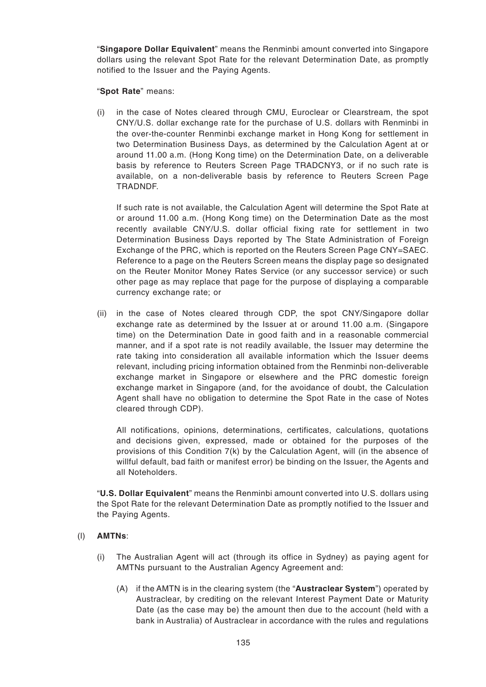"**Singapore Dollar Equivalent**" means the Renminbi amount converted into Singapore dollars using the relevant Spot Rate for the relevant Determination Date, as promptly notified to the Issuer and the Paying Agents.

### "**Spot Rate**" means:

(i) in the case of Notes cleared through CMU, Euroclear or Clearstream, the spot CNY/U.S. dollar exchange rate for the purchase of U.S. dollars with Renminbi in the over-the-counter Renminbi exchange market in Hong Kong for settlement in two Determination Business Days, as determined by the Calculation Agent at or around 11.00 a.m. (Hong Kong time) on the Determination Date, on a deliverable basis by reference to Reuters Screen Page TRADCNY3, or if no such rate is available, on a non-deliverable basis by reference to Reuters Screen Page TRADNDF.

If such rate is not available, the Calculation Agent will determine the Spot Rate at or around 11.00 a.m. (Hong Kong time) on the Determination Date as the most recently available CNY/U.S. dollar official fixing rate for settlement in two Determination Business Days reported by The State Administration of Foreign Exchange of the PRC, which is reported on the Reuters Screen Page CNY=SAEC. Reference to a page on the Reuters Screen means the display page so designated on the Reuter Monitor Money Rates Service (or any successor service) or such other page as may replace that page for the purpose of displaying a comparable currency exchange rate; or

(ii) in the case of Notes cleared through CDP, the spot CNY/Singapore dollar exchange rate as determined by the Issuer at or around 11.00 a.m. (Singapore time) on the Determination Date in good faith and in a reasonable commercial manner, and if a spot rate is not readily available, the Issuer may determine the rate taking into consideration all available information which the Issuer deems relevant, including pricing information obtained from the Renminbi non-deliverable exchange market in Singapore or elsewhere and the PRC domestic foreign exchange market in Singapore (and, for the avoidance of doubt, the Calculation Agent shall have no obligation to determine the Spot Rate in the case of Notes cleared through CDP).

All notifications, opinions, determinations, certificates, calculations, quotations and decisions given, expressed, made or obtained for the purposes of the provisions of this Condition 7(k) by the Calculation Agent, will (in the absence of willful default, bad faith or manifest error) be binding on the Issuer, the Agents and all Noteholders.

"**U.S. Dollar Equivalent**" means the Renminbi amount converted into U.S. dollars using the Spot Rate for the relevant Determination Date as promptly notified to the Issuer and the Paying Agents.

# (l) **AMTNs**:

- (i) The Australian Agent will act (through its office in Sydney) as paying agent for AMTNs pursuant to the Australian Agency Agreement and:
	- (A) if the AMTN is in the clearing system (the "**Austraclear System**") operated by Austraclear, by crediting on the relevant Interest Payment Date or Maturity Date (as the case may be) the amount then due to the account (held with a bank in Australia) of Austraclear in accordance with the rules and regulations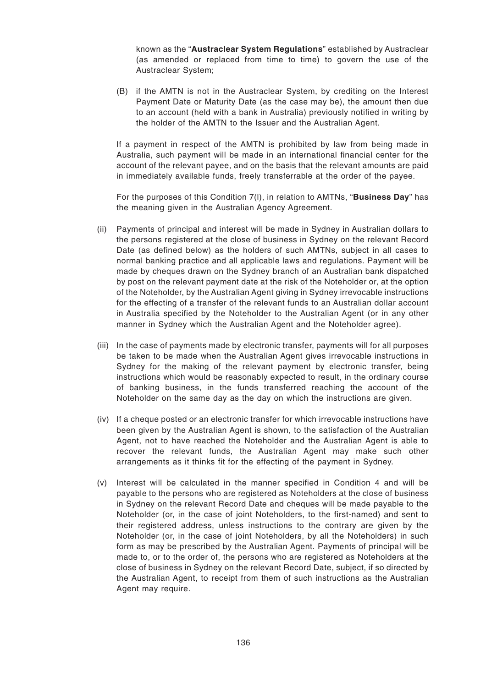known as the "**Austraclear System Regulations**" established by Austraclear (as amended or replaced from time to time) to govern the use of the Austraclear System;

(B) if the AMTN is not in the Austraclear System, by crediting on the Interest Payment Date or Maturity Date (as the case may be), the amount then due to an account (held with a bank in Australia) previously notified in writing by the holder of the AMTN to the Issuer and the Australian Agent.

If a payment in respect of the AMTN is prohibited by law from being made in Australia, such payment will be made in an international financial center for the account of the relevant payee, and on the basis that the relevant amounts are paid in immediately available funds, freely transferrable at the order of the payee.

For the purposes of this Condition 7(l), in relation to AMTNs, "**Business Day**" has the meaning given in the Australian Agency Agreement.

- (ii) Payments of principal and interest will be made in Sydney in Australian dollars to the persons registered at the close of business in Sydney on the relevant Record Date (as defined below) as the holders of such AMTNs, subject in all cases to normal banking practice and all applicable laws and regulations. Payment will be made by cheques drawn on the Sydney branch of an Australian bank dispatched by post on the relevant payment date at the risk of the Noteholder or, at the option of the Noteholder, by the Australian Agent giving in Sydney irrevocable instructions for the effecting of a transfer of the relevant funds to an Australian dollar account in Australia specified by the Noteholder to the Australian Agent (or in any other manner in Sydney which the Australian Agent and the Noteholder agree).
- (iii) In the case of payments made by electronic transfer, payments will for all purposes be taken to be made when the Australian Agent gives irrevocable instructions in Sydney for the making of the relevant payment by electronic transfer, being instructions which would be reasonably expected to result, in the ordinary course of banking business, in the funds transferred reaching the account of the Noteholder on the same day as the day on which the instructions are given.
- (iv) If a cheque posted or an electronic transfer for which irrevocable instructions have been given by the Australian Agent is shown, to the satisfaction of the Australian Agent, not to have reached the Noteholder and the Australian Agent is able to recover the relevant funds, the Australian Agent may make such other arrangements as it thinks fit for the effecting of the payment in Sydney.
- (v) Interest will be calculated in the manner specified in Condition 4 and will be payable to the persons who are registered as Noteholders at the close of business in Sydney on the relevant Record Date and cheques will be made payable to the Noteholder (or, in the case of joint Noteholders, to the first-named) and sent to their registered address, unless instructions to the contrary are given by the Noteholder (or, in the case of joint Noteholders, by all the Noteholders) in such form as may be prescribed by the Australian Agent. Payments of principal will be made to, or to the order of, the persons who are registered as Noteholders at the close of business in Sydney on the relevant Record Date, subject, if so directed by the Australian Agent, to receipt from them of such instructions as the Australian Agent may require.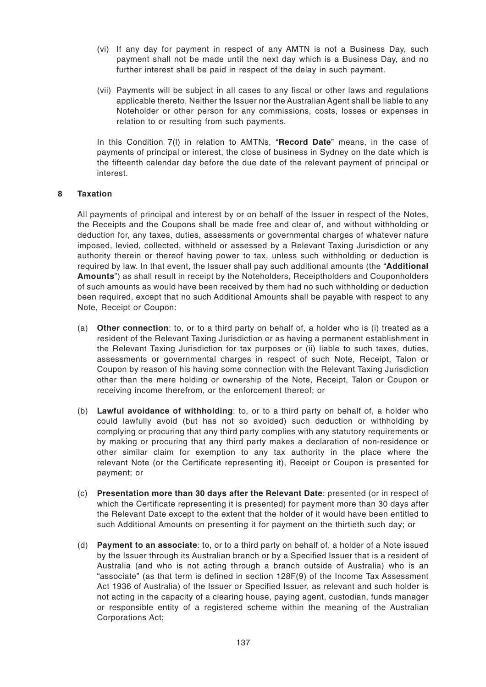- (vi) If any day for payment in respect of any AMTN is not a Business Day, such payment shall not be made until the next day which is a Business Day, and no further interest shall be paid in respect of the delay in such payment.
- (vii) Payments will be subject in all cases to any fiscal or other laws and regulations applicable thereto. Neither the Issuer nor the Australian Agent shall be liable to any Noteholder or other person for any commissions, costs, losses or expenses in relation to or resulting from such payments.

In this Condition 7(l) in relation to AMTNs, "**Record Date**" means, in the case of payments of principal or interest, the close of business in Sydney on the date which is the fifteenth calendar day before the due date of the relevant payment of principal or interest.

### **8 Taxation**

All payments of principal and interest by or on behalf of the Issuer in respect of the Notes, the Receipts and the Coupons shall be made free and clear of, and without withholding or deduction for, any taxes, duties, assessments or governmental charges of whatever nature imposed, levied, collected, withheld or assessed by a Relevant Taxing Jurisdiction or any authority therein or thereof having power to tax, unless such withholding or deduction is required by law. In that event, the Issuer shall pay such additional amounts (the "**Additional Amounts**") as shall result in receipt by the Noteholders, Receiptholders and Couponholders of such amounts as would have been received by them had no such withholding or deduction been required, except that no such Additional Amounts shall be payable with respect to any Note, Receipt or Coupon:

- (a) **Other connection**: to, or to a third party on behalf of, a holder who is (i) treated as a resident of the Relevant Taxing Jurisdiction or as having a permanent establishment in the Relevant Taxing Jurisdiction for tax purposes or (ii) liable to such taxes, duties, assessments or governmental charges in respect of such Note, Receipt, Talon or Coupon by reason of his having some connection with the Relevant Taxing Jurisdiction other than the mere holding or ownership of the Note, Receipt, Talon or Coupon or receiving income therefrom, or the enforcement thereof; or
- (b) **Lawful avoidance of withholding**: to, or to a third party on behalf of, a holder who could lawfully avoid (but has not so avoided) such deduction or withholding by complying or procuring that any third party complies with any statutory requirements or by making or procuring that any third party makes a declaration of non-residence or other similar claim for exemption to any tax authority in the place where the relevant Note (or the Certificate representing it), Receipt or Coupon is presented for payment; or
- (c) **Presentation more than 30 days after the Relevant Date**: presented (or in respect of which the Certificate representing it is presented) for payment more than 30 days after the Relevant Date except to the extent that the holder of it would have been entitled to such Additional Amounts on presenting it for payment on the thirtieth such day; or
- (d) **Payment to an associate**: to, or to a third party on behalf of, a holder of a Note issued by the Issuer through its Australian branch or by a Specified Issuer that is a resident of Australia (and who is not acting through a branch outside of Australia) who is an "associate" (as that term is defined in section 128F(9) of the Income Tax Assessment Act 1936 of Australia) of the Issuer or Specified Issuer, as relevant and such holder is not acting in the capacity of a clearing house, paying agent, custodian, funds manager or responsible entity of a registered scheme within the meaning of the Australian Corporations Act;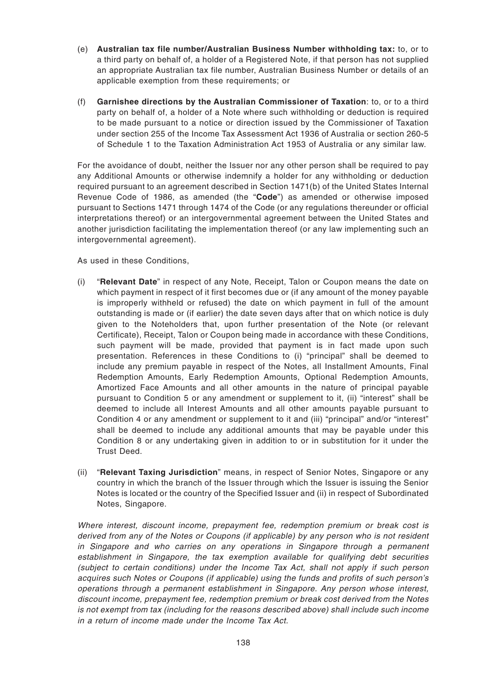- (e) **Australian tax file number/Australian Business Number withholding tax:** to, or to a third party on behalf of, a holder of a Registered Note, if that person has not supplied an appropriate Australian tax file number, Australian Business Number or details of an applicable exemption from these requirements; or
- (f) **Garnishee directions by the Australian Commissioner of Taxation**: to, or to a third party on behalf of, a holder of a Note where such withholding or deduction is required to be made pursuant to a notice or direction issued by the Commissioner of Taxation under section 255 of the Income Tax Assessment Act 1936 of Australia or section 260-5 of Schedule 1 to the Taxation Administration Act 1953 of Australia or any similar law.

For the avoidance of doubt, neither the Issuer nor any other person shall be required to pay any Additional Amounts or otherwise indemnify a holder for any withholding or deduction required pursuant to an agreement described in Section 1471(b) of the United States Internal Revenue Code of 1986, as amended (the "**Code**") as amended or otherwise imposed pursuant to Sections 1471 through 1474 of the Code (or any regulations thereunder or official interpretations thereof) or an intergovernmental agreement between the United States and another jurisdiction facilitating the implementation thereof (or any law implementing such an intergovernmental agreement).

As used in these Conditions,

- (i) "**Relevant Date**" in respect of any Note, Receipt, Talon or Coupon means the date on which payment in respect of it first becomes due or (if any amount of the money payable is improperly withheld or refused) the date on which payment in full of the amount outstanding is made or (if earlier) the date seven days after that on which notice is duly given to the Noteholders that, upon further presentation of the Note (or relevant Certificate), Receipt, Talon or Coupon being made in accordance with these Conditions, such payment will be made, provided that payment is in fact made upon such presentation. References in these Conditions to (i) "principal" shall be deemed to include any premium payable in respect of the Notes, all Installment Amounts, Final Redemption Amounts, Early Redemption Amounts, Optional Redemption Amounts, Amortized Face Amounts and all other amounts in the nature of principal payable pursuant to Condition 5 or any amendment or supplement to it, (ii) "interest" shall be deemed to include all Interest Amounts and all other amounts payable pursuant to Condition 4 or any amendment or supplement to it and (iii) "principal" and/or "interest" shall be deemed to include any additional amounts that may be payable under this Condition 8 or any undertaking given in addition to or in substitution for it under the Trust Deed.
- (ii) "**Relevant Taxing Jurisdiction**" means, in respect of Senior Notes, Singapore or any country in which the branch of the Issuer through which the Issuer is issuing the Senior Notes is located or the country of the Specified Issuer and (ii) in respect of Subordinated Notes, Singapore.

Where interest, discount income, prepayment fee, redemption premium or break cost is derived from any of the Notes or Coupons (if applicable) by any person who is not resident in Singapore and who carries on any operations in Singapore through a permanent establishment in Singapore, the tax exemption available for qualifying debt securities (subject to certain conditions) under the Income Tax Act, shall not apply if such person acquires such Notes or Coupons (if applicable) using the funds and profits of such person's operations through a permanent establishment in Singapore. Any person whose interest, discount income, prepayment fee, redemption premium or break cost derived from the Notes is not exempt from tax (including for the reasons described above) shall include such income in a return of income made under the Income Tax Act.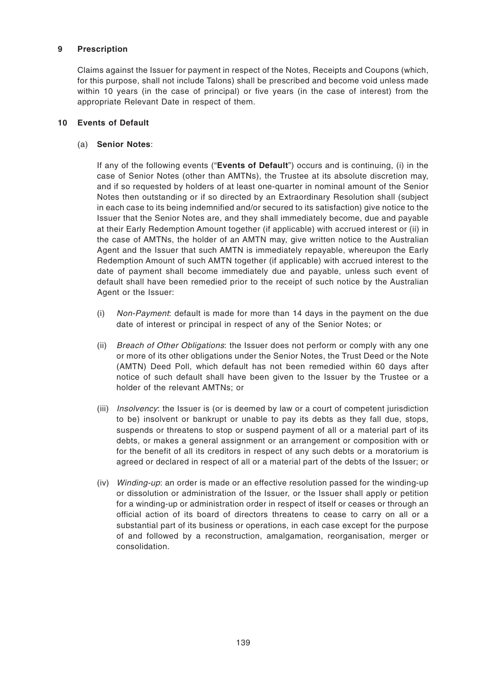## **9 Prescription**

Claims against the Issuer for payment in respect of the Notes, Receipts and Coupons (which, for this purpose, shall not include Talons) shall be prescribed and become void unless made within 10 years (in the case of principal) or five years (in the case of interest) from the appropriate Relevant Date in respect of them.

### **10 Events of Default**

## (a) **Senior Notes**:

If any of the following events ("**Events of Default**") occurs and is continuing, (i) in the case of Senior Notes (other than AMTNs), the Trustee at its absolute discretion may, and if so requested by holders of at least one-quarter in nominal amount of the Senior Notes then outstanding or if so directed by an Extraordinary Resolution shall (subject in each case to its being indemnified and/or secured to its satisfaction) give notice to the Issuer that the Senior Notes are, and they shall immediately become, due and payable at their Early Redemption Amount together (if applicable) with accrued interest or (ii) in the case of AMTNs, the holder of an AMTN may, give written notice to the Australian Agent and the Issuer that such AMTN is immediately repayable, whereupon the Early Redemption Amount of such AMTN together (if applicable) with accrued interest to the date of payment shall become immediately due and payable, unless such event of default shall have been remedied prior to the receipt of such notice by the Australian Agent or the Issuer:

- (i) Non-Payment: default is made for more than 14 days in the payment on the due date of interest or principal in respect of any of the Senior Notes; or
- (ii) Breach of Other Obligations: the Issuer does not perform or comply with any one or more of its other obligations under the Senior Notes, the Trust Deed or the Note (AMTN) Deed Poll, which default has not been remedied within 60 days after notice of such default shall have been given to the Issuer by the Trustee or a holder of the relevant AMTNs; or
- (iii) Insolvency: the Issuer is (or is deemed by law or a court of competent jurisdiction to be) insolvent or bankrupt or unable to pay its debts as they fall due, stops, suspends or threatens to stop or suspend payment of all or a material part of its debts, or makes a general assignment or an arrangement or composition with or for the benefit of all its creditors in respect of any such debts or a moratorium is agreed or declared in respect of all or a material part of the debts of the Issuer; or
- (iv) Winding-up: an order is made or an effective resolution passed for the winding-up or dissolution or administration of the Issuer, or the Issuer shall apply or petition for a winding-up or administration order in respect of itself or ceases or through an official action of its board of directors threatens to cease to carry on all or a substantial part of its business or operations, in each case except for the purpose of and followed by a reconstruction, amalgamation, reorganisation, merger or consolidation.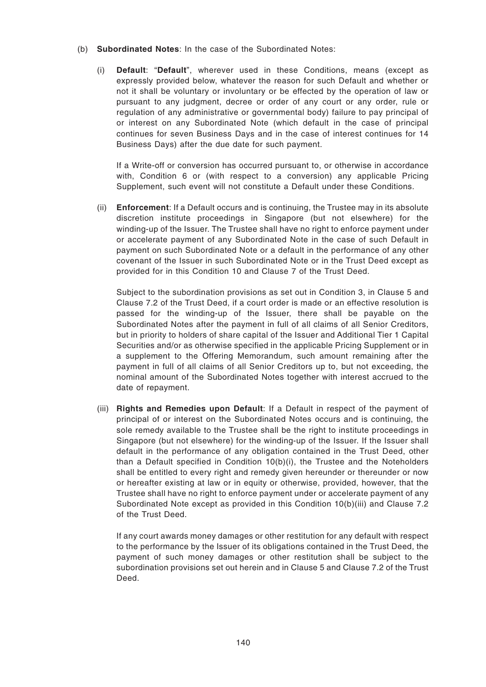- (b) **Subordinated Notes**: In the case of the Subordinated Notes:
	- (i) **Default**: "**Default**", wherever used in these Conditions, means (except as expressly provided below, whatever the reason for such Default and whether or not it shall be voluntary or involuntary or be effected by the operation of law or pursuant to any judgment, decree or order of any court or any order, rule or regulation of any administrative or governmental body) failure to pay principal of or interest on any Subordinated Note (which default in the case of principal continues for seven Business Days and in the case of interest continues for 14 Business Days) after the due date for such payment.

If a Write-off or conversion has occurred pursuant to, or otherwise in accordance with, Condition 6 or (with respect to a conversion) any applicable Pricing Supplement, such event will not constitute a Default under these Conditions.

(ii) **Enforcement**: If a Default occurs and is continuing, the Trustee may in its absolute discretion institute proceedings in Singapore (but not elsewhere) for the winding-up of the Issuer. The Trustee shall have no right to enforce payment under or accelerate payment of any Subordinated Note in the case of such Default in payment on such Subordinated Note or a default in the performance of any other covenant of the Issuer in such Subordinated Note or in the Trust Deed except as provided for in this Condition 10 and Clause 7 of the Trust Deed.

Subject to the subordination provisions as set out in Condition 3, in Clause 5 and Clause 7.2 of the Trust Deed, if a court order is made or an effective resolution is passed for the winding-up of the Issuer, there shall be payable on the Subordinated Notes after the payment in full of all claims of all Senior Creditors, but in priority to holders of share capital of the Issuer and Additional Tier 1 Capital Securities and/or as otherwise specified in the applicable Pricing Supplement or in a supplement to the Offering Memorandum, such amount remaining after the payment in full of all claims of all Senior Creditors up to, but not exceeding, the nominal amount of the Subordinated Notes together with interest accrued to the date of repayment.

(iii) **Rights and Remedies upon Default**: If a Default in respect of the payment of principal of or interest on the Subordinated Notes occurs and is continuing, the sole remedy available to the Trustee shall be the right to institute proceedings in Singapore (but not elsewhere) for the winding-up of the Issuer. If the Issuer shall default in the performance of any obligation contained in the Trust Deed, other than a Default specified in Condition 10(b)(i), the Trustee and the Noteholders shall be entitled to every right and remedy given hereunder or thereunder or now or hereafter existing at law or in equity or otherwise, provided, however, that the Trustee shall have no right to enforce payment under or accelerate payment of any Subordinated Note except as provided in this Condition 10(b)(iii) and Clause 7.2 of the Trust Deed.

If any court awards money damages or other restitution for any default with respect to the performance by the Issuer of its obligations contained in the Trust Deed, the payment of such money damages or other restitution shall be subject to the subordination provisions set out herein and in Clause 5 and Clause 7.2 of the Trust Deed.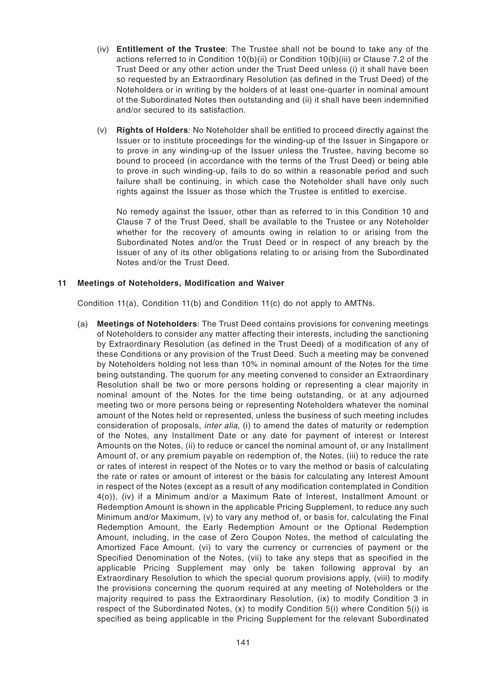- (iv) **Entitlement of the Trustee**: The Trustee shall not be bound to take any of the actions referred to in Condition 10(b)(ii) or Condition 10(b)(iii) or Clause 7.2 of the Trust Deed or any other action under the Trust Deed unless (i) it shall have been so requested by an Extraordinary Resolution (as defined in the Trust Deed) of the Noteholders or in writing by the holders of at least one-quarter in nominal amount of the Subordinated Notes then outstanding and (ii) it shall have been indemnified and/or secured to its satisfaction.
- (v) **Rights of Holders**: No Noteholder shall be entitled to proceed directly against the Issuer or to institute proceedings for the winding-up of the Issuer in Singapore or to prove in any winding-up of the Issuer unless the Trustee, having become so bound to proceed (in accordance with the terms of the Trust Deed) or being able to prove in such winding-up, fails to do so within a reasonable period and such failure shall be continuing, in which case the Noteholder shall have only such rights against the Issuer as those which the Trustee is entitled to exercise.

No remedy against the Issuer, other than as referred to in this Condition 10 and Clause 7 of the Trust Deed, shall be available to the Trustee or any Noteholder whether for the recovery of amounts owing in relation to or arising from the Subordinated Notes and/or the Trust Deed or in respect of any breach by the Issuer of any of its other obligations relating to or arising from the Subordinated Notes and/or the Trust Deed.

### **11 Meetings of Noteholders, Modification and Waiver**

Condition 11(a), Condition 11(b) and Condition 11(c) do not apply to AMTNs.

(a) **Meetings of Noteholders**: The Trust Deed contains provisions for convening meetings of Noteholders to consider any matter affecting their interests, including the sanctioning by Extraordinary Resolution (as defined in the Trust Deed) of a modification of any of these Conditions or any provision of the Trust Deed. Such a meeting may be convened by Noteholders holding not less than 10% in nominal amount of the Notes for the time being outstanding. The quorum for any meeting convened to consider an Extraordinary Resolution shall be two or more persons holding or representing a clear majority in nominal amount of the Notes for the time being outstanding, or at any adjourned meeting two or more persons being or representing Noteholders whatever the nominal amount of the Notes held or represented, unless the business of such meeting includes consideration of proposals, *inter alia*, (i) to amend the dates of maturity or redemption of the Notes, any Installment Date or any date for payment of interest or Interest Amounts on the Notes, (ii) to reduce or cancel the nominal amount of, or any Installment Amount of, or any premium payable on redemption of, the Notes, (iii) to reduce the rate or rates of interest in respect of the Notes or to vary the method or basis of calculating the rate or rates or amount of interest or the basis for calculating any Interest Amount in respect of the Notes (except as a result of any modification contemplated in Condition 4(o)), (iv) if a Minimum and/or a Maximum Rate of Interest, Installment Amount or Redemption Amount is shown in the applicable Pricing Supplement, to reduce any such Minimum and/or Maximum, (v) to vary any method of, or basis for, calculating the Final Redemption Amount, the Early Redemption Amount or the Optional Redemption Amount, including, in the case of Zero Coupon Notes, the method of calculating the Amortized Face Amount, (vi) to vary the currency or currencies of payment or the Specified Denomination of the Notes, (vii) to take any steps that as specified in the applicable Pricing Supplement may only be taken following approval by an Extraordinary Resolution to which the special quorum provisions apply, (viii) to modify the provisions concerning the quorum required at any meeting of Noteholders or the majority required to pass the Extraordinary Resolution, (ix) to modify Condition 3 in respect of the Subordinated Notes, (x) to modify Condition 5(i) where Condition 5(i) is specified as being applicable in the Pricing Supplement for the relevant Subordinated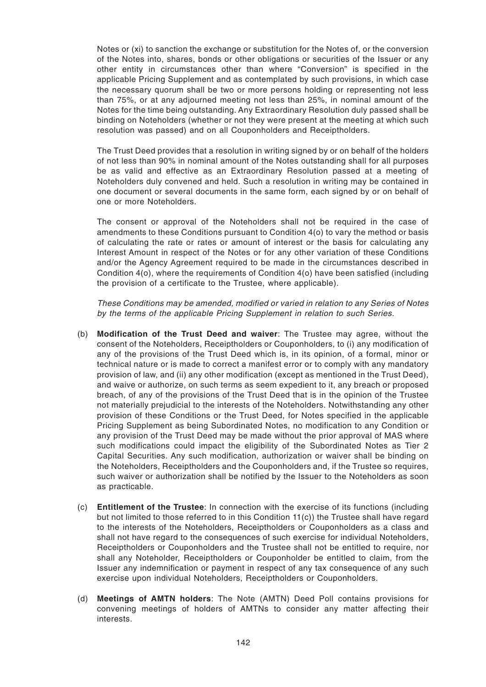Notes or (xi) to sanction the exchange or substitution for the Notes of, or the conversion of the Notes into, shares, bonds or other obligations or securities of the Issuer or any other entity in circumstances other than where "Conversion" is specified in the applicable Pricing Supplement and as contemplated by such provisions, in which case the necessary quorum shall be two or more persons holding or representing not less than 75%, or at any adjourned meeting not less than 25%, in nominal amount of the Notes for the time being outstanding. Any Extraordinary Resolution duly passed shall be binding on Noteholders (whether or not they were present at the meeting at which such resolution was passed) and on all Couponholders and Receiptholders.

The Trust Deed provides that a resolution in writing signed by or on behalf of the holders of not less than 90% in nominal amount of the Notes outstanding shall for all purposes be as valid and effective as an Extraordinary Resolution passed at a meeting of Noteholders duly convened and held. Such a resolution in writing may be contained in one document or several documents in the same form, each signed by or on behalf of one or more Noteholders.

The consent or approval of the Noteholders shall not be required in the case of amendments to these Conditions pursuant to Condition 4(o) to vary the method or basis of calculating the rate or rates or amount of interest or the basis for calculating any Interest Amount in respect of the Notes or for any other variation of these Conditions and/or the Agency Agreement required to be made in the circumstances described in Condition 4(o), where the requirements of Condition 4(o) have been satisfied (including the provision of a certificate to the Trustee, where applicable).

These Conditions may be amended, modified or varied in relation to any Series of Notes by the terms of the applicable Pricing Supplement in relation to such Series.

- (b) **Modification of the Trust Deed and waiver**: The Trustee may agree, without the consent of the Noteholders, Receiptholders or Couponholders, to (i) any modification of any of the provisions of the Trust Deed which is, in its opinion, of a formal, minor or technical nature or is made to correct a manifest error or to comply with any mandatory provision of law, and (ii) any other modification (except as mentioned in the Trust Deed), and waive or authorize, on such terms as seem expedient to it, any breach or proposed breach, of any of the provisions of the Trust Deed that is in the opinion of the Trustee not materially prejudicial to the interests of the Noteholders. Notwithstanding any other provision of these Conditions or the Trust Deed, for Notes specified in the applicable Pricing Supplement as being Subordinated Notes, no modification to any Condition or any provision of the Trust Deed may be made without the prior approval of MAS where such modifications could impact the eligibility of the Subordinated Notes as Tier 2 Capital Securities. Any such modification, authorization or waiver shall be binding on the Noteholders, Receiptholders and the Couponholders and, if the Trustee so requires, such waiver or authorization shall be notified by the Issuer to the Noteholders as soon as practicable.
- (c) **Entitlement of the Trustee**: In connection with the exercise of its functions (including but not limited to those referred to in this Condition 11(c)) the Trustee shall have regard to the interests of the Noteholders, Receiptholders or Couponholders as a class and shall not have regard to the consequences of such exercise for individual Noteholders, Receiptholders or Couponholders and the Trustee shall not be entitled to require, nor shall any Noteholder, Receiptholders or Couponholder be entitled to claim, from the Issuer any indemnification or payment in respect of any tax consequence of any such exercise upon individual Noteholders, Receiptholders or Couponholders.
- (d) **Meetings of AMTN holders**: The Note (AMTN) Deed Poll contains provisions for convening meetings of holders of AMTNs to consider any matter affecting their interests.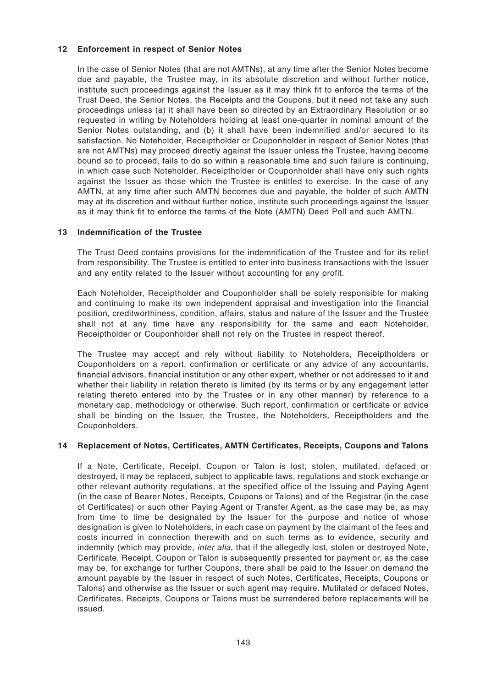### **12 Enforcement in respect of Senior Notes**

In the case of Senior Notes (that are not AMTNs), at any time after the Senior Notes become due and payable, the Trustee may, in its absolute discretion and without further notice, institute such proceedings against the Issuer as it may think fit to enforce the terms of the Trust Deed, the Senior Notes, the Receipts and the Coupons, but it need not take any such proceedings unless (a) it shall have been so directed by an Extraordinary Resolution or so requested in writing by Noteholders holding at least one-quarter in nominal amount of the Senior Notes outstanding, and (b) it shall have been indemnified and/or secured to its satisfaction. No Noteholder, Receiptholder or Couponholder in respect of Senior Notes (that are not AMTNs) may proceed directly against the Issuer unless the Trustee, having become bound so to proceed, fails to do so within a reasonable time and such failure is continuing, in which case such Noteholder, Receiptholder or Couponholder shall have only such rights against the Issuer as those which the Trustee is entitled to exercise. In the case of any AMTN, at any time after such AMTN becomes due and payable, the holder of such AMTN may at its discretion and without further notice, institute such proceedings against the Issuer as it may think fit to enforce the terms of the Note (AMTN) Deed Poll and such AMTN.

## **13 Indemnification of the Trustee**

The Trust Deed contains provisions for the indemnification of the Trustee and for its relief from responsibility. The Trustee is entitled to enter into business transactions with the Issuer and any entity related to the Issuer without accounting for any profit.

Each Noteholder, Receiptholder and Couponholder shall be solely responsible for making and continuing to make its own independent appraisal and investigation into the financial position, creditworthiness, condition, affairs, status and nature of the Issuer and the Trustee shall not at any time have any responsibility for the same and each Noteholder, Receiptholder or Couponholder shall not rely on the Trustee in respect thereof.

The Trustee may accept and rely without liability to Noteholders, Receiptholders or Couponholders on a report, confirmation or certificate or any advice of any accountants, financial advisors, financial institution or any other expert, whether or not addressed to it and whether their liability in relation thereto is limited (by its terms or by any engagement letter relating thereto entered into by the Trustee or in any other manner) by reference to a monetary cap, methodology or otherwise. Such report, confirmation or certificate or advice shall be binding on the Issuer, the Trustee, the Noteholders, Receiptholders and the Couponholders.

### **14 Replacement of Notes, Certificates, AMTN Certificates, Receipts, Coupons and Talons**

If a Note, Certificate, Receipt, Coupon or Talon is lost, stolen, mutilated, defaced or destroyed, it may be replaced, subject to applicable laws, regulations and stock exchange or other relevant authority regulations, at the specified office of the Issuing and Paying Agent (in the case of Bearer Notes, Receipts, Coupons or Talons) and of the Registrar (in the case of Certificates) or such other Paying Agent or Transfer Agent, as the case may be, as may from time to time be designated by the Issuer for the purpose and notice of whose designation is given to Noteholders, in each case on payment by the claimant of the fees and costs incurred in connection therewith and on such terms as to evidence, security and indemnity (which may provide, *inter alia*, that if the allegedly lost, stolen or destroyed Note, Certificate, Receipt, Coupon or Talon is subsequently presented for payment or, as the case may be, for exchange for further Coupons, there shall be paid to the Issuer on demand the amount payable by the Issuer in respect of such Notes, Certificates, Receipts, Coupons or Talons) and otherwise as the Issuer or such agent may require. Mutilated or defaced Notes, Certificates, Receipts, Coupons or Talons must be surrendered before replacements will be issued.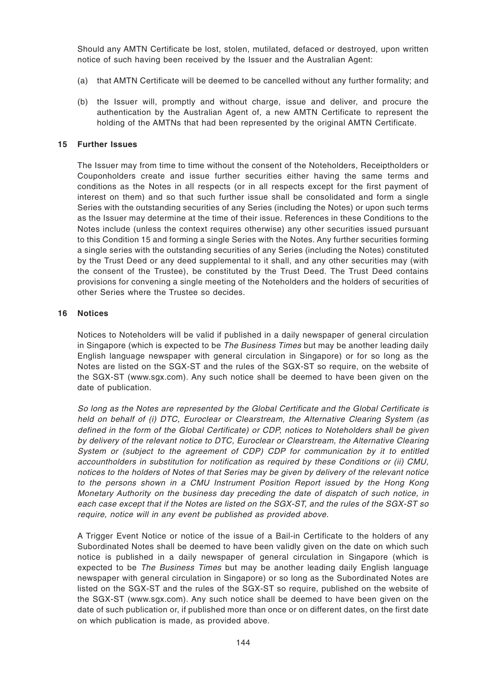Should any AMTN Certificate be lost, stolen, mutilated, defaced or destroyed, upon written notice of such having been received by the Issuer and the Australian Agent:

- (a) that AMTN Certificate will be deemed to be cancelled without any further formality; and
- (b) the Issuer will, promptly and without charge, issue and deliver, and procure the authentication by the Australian Agent of, a new AMTN Certificate to represent the holding of the AMTNs that had been represented by the original AMTN Certificate.

#### **15 Further Issues**

The Issuer may from time to time without the consent of the Noteholders, Receiptholders or Couponholders create and issue further securities either having the same terms and conditions as the Notes in all respects (or in all respects except for the first payment of interest on them) and so that such further issue shall be consolidated and form a single Series with the outstanding securities of any Series (including the Notes) or upon such terms as the Issuer may determine at the time of their issue. References in these Conditions to the Notes include (unless the context requires otherwise) any other securities issued pursuant to this Condition 15 and forming a single Series with the Notes. Any further securities forming a single series with the outstanding securities of any Series (including the Notes) constituted by the Trust Deed or any deed supplemental to it shall, and any other securities may (with the consent of the Trustee), be constituted by the Trust Deed. The Trust Deed contains provisions for convening a single meeting of the Noteholders and the holders of securities of other Series where the Trustee so decides.

#### **16 Notices**

Notices to Noteholders will be valid if published in a daily newspaper of general circulation in Singapore (which is expected to be *The Business Times* but may be another leading daily English language newspaper with general circulation in Singapore) or for so long as the Notes are listed on the SGX-ST and the rules of the SGX-ST so require, on the website of the SGX-ST (www.sgx.com). Any such notice shall be deemed to have been given on the date of publication.

So long as the Notes are represented by the Global Certificate and the Global Certificate is held on behalf of (i) DTC, Euroclear or Clearstream, the Alternative Clearing System (as defined in the form of the Global Certificate) or CDP, notices to Noteholders shall be given by delivery of the relevant notice to DTC, Euroclear or Clearstream, the Alternative Clearing System or (subject to the agreement of CDP) CDP for communication by it to entitled accountholders in substitution for notification as required by these Conditions or (ii) CMU, notices to the holders of Notes of that Series may be given by delivery of the relevant notice to the persons shown in a CMU Instrument Position Report issued by the Hong Kong Monetary Authority on the business day preceding the date of dispatch of such notice, in each case except that if the Notes are listed on the SGX-ST, and the rules of the SGX-ST so require, notice will in any event be published as provided above.

A Trigger Event Notice or notice of the issue of a Bail-in Certificate to the holders of any Subordinated Notes shall be deemed to have been validly given on the date on which such notice is published in a daily newspaper of general circulation in Singapore (which is expected to be *The Business Times* but may be another leading daily English language newspaper with general circulation in Singapore) or so long as the Subordinated Notes are listed on the SGX-ST and the rules of the SGX-ST so require, published on the website of the SGX-ST (www.sgx.com). Any such notice shall be deemed to have been given on the date of such publication or, if published more than once or on different dates, on the first date on which publication is made, as provided above.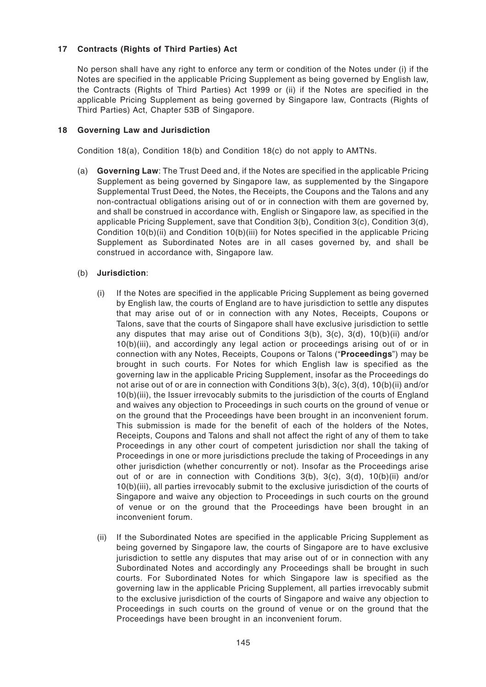# **17 Contracts (Rights of Third Parties) Act**

No person shall have any right to enforce any term or condition of the Notes under (i) if the Notes are specified in the applicable Pricing Supplement as being governed by English law, the Contracts (Rights of Third Parties) Act 1999 or (ii) if the Notes are specified in the applicable Pricing Supplement as being governed by Singapore law, Contracts (Rights of Third Parties) Act, Chapter 53B of Singapore.

### **18 Governing Law and Jurisdiction**

Condition 18(a), Condition 18(b) and Condition 18(c) do not apply to AMTNs.

(a) **Governing Law**: The Trust Deed and, if the Notes are specified in the applicable Pricing Supplement as being governed by Singapore law, as supplemented by the Singapore Supplemental Trust Deed, the Notes, the Receipts, the Coupons and the Talons and any non-contractual obligations arising out of or in connection with them are governed by, and shall be construed in accordance with, English or Singapore law, as specified in the applicable Pricing Supplement, save that Condition 3(b), Condition 3(c), Condition 3(d), Condition 10(b)(ii) and Condition 10(b)(iii) for Notes specified in the applicable Pricing Supplement as Subordinated Notes are in all cases governed by, and shall be construed in accordance with, Singapore law.

## (b) **Jurisdiction**:

- (i) If the Notes are specified in the applicable Pricing Supplement as being governed by English law, the courts of England are to have jurisdiction to settle any disputes that may arise out of or in connection with any Notes, Receipts, Coupons or Talons, save that the courts of Singapore shall have exclusive jurisdiction to settle any disputes that may arise out of Conditions 3(b), 3(c), 3(d), 10(b)(ii) and/or 10(b)(iii), and accordingly any legal action or proceedings arising out of or in connection with any Notes, Receipts, Coupons or Talons ("**Proceedings**") may be brought in such courts. For Notes for which English law is specified as the governing law in the applicable Pricing Supplement, insofar as the Proceedings do not arise out of or are in connection with Conditions 3(b), 3(c), 3(d), 10(b)(ii) and/or 10(b)(iii), the Issuer irrevocably submits to the jurisdiction of the courts of England and waives any objection to Proceedings in such courts on the ground of venue or on the ground that the Proceedings have been brought in an inconvenient forum. This submission is made for the benefit of each of the holders of the Notes, Receipts, Coupons and Talons and shall not affect the right of any of them to take Proceedings in any other court of competent jurisdiction nor shall the taking of Proceedings in one or more jurisdictions preclude the taking of Proceedings in any other jurisdiction (whether concurrently or not). Insofar as the Proceedings arise out of or are in connection with Conditions 3(b), 3(c), 3(d), 10(b)(ii) and/or 10(b)(iii), all parties irrevocably submit to the exclusive jurisdiction of the courts of Singapore and waive any objection to Proceedings in such courts on the ground of venue or on the ground that the Proceedings have been brought in an inconvenient forum.
- (ii) If the Subordinated Notes are specified in the applicable Pricing Supplement as being governed by Singapore law, the courts of Singapore are to have exclusive jurisdiction to settle any disputes that may arise out of or in connection with any Subordinated Notes and accordingly any Proceedings shall be brought in such courts. For Subordinated Notes for which Singapore law is specified as the governing law in the applicable Pricing Supplement, all parties irrevocably submit to the exclusive jurisdiction of the courts of Singapore and waive any objection to Proceedings in such courts on the ground of venue or on the ground that the Proceedings have been brought in an inconvenient forum.